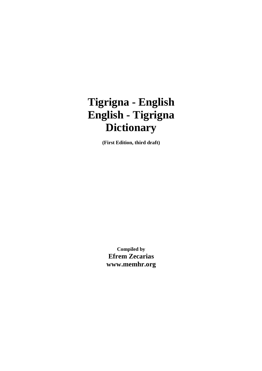# **Tigrigna - English English - Tigrigna Dictionary**

**(First Edition, third draft)** 

**Compiled by Efrem Zecarias www.memhr.org**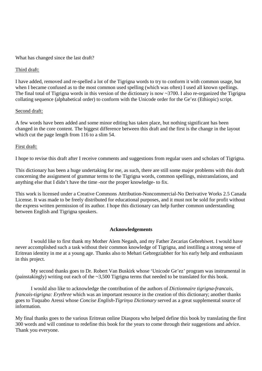What has changed since the last draft?

### Third draft:

I have added, removed and re-spelled a lot of the Tigrigna words to try to conform it with common usage, but when I became confused as to the most common used spelling (which was often) I used all known spellings. The final total of Tigrigna words in this version of the dictionary is now ~3700. I also re-organized the Tigrigna collating sequence (alphabetical order) to conform with the Unicode order for the Ge'ez (Ethiopic) script.

### Second draft:

A few words have been added and some minor editing has taken place, but nothing significant has been changed in the core content. The biggest difference between this draft and the first is the change in the layout which cut the page length from 116 to a slim 54.

### First draft:

I hope to revise this draft after I receive comments and suggestions from regular users and scholars of Tigrigna.

This dictionary has been a huge undertaking for me, as such, there are still some major problems with this draft concerning the assignment of grammar terms to the Tigrigna words, common spellings, mistranslations, and anything else that I didn't have the time -nor the proper knowledge- to fix.

This work is licensed under a Creative Commons Attribution-Noncommercial-No Derivative Works 2.5 Canada License. It was made to be freely distributed for educational purposes, and it must not be sold for profit without the express written permission of its author. I hope this dictionary can help further common understanding between English and Tigrigna speakers.

#### **Acknowledgements**

I would like to first thank my Mother Alem Negash, and my Father Zecarias Gebrehiwet. I would have never accomplished such a task without their common knowledge of Tigrigna, and instilling a strong sense of Eritrean identity in me at a young age. Thanks also to Mehari Gebregziabher for his early help and enthusiasm in this project.

My second thanks goes to Dr. Robert Van Buskirk whose 'Unicode Ge'ez' program was instrumental in (painstakingly) writing out each of the  $\sim 3,500$  Tigrigna terms that needed to be translated for this book.

I would also like to acknowledge the contribution of the authors of *Dictionnaire tigrigna-francais, francais-tigrigna: Erythree* which was an important resource in the creation of this dictionary; another thanks goes to Tuquabo Aressi whose *Concise English-Tigrinya Dictionary* served as a great supplemental source of information.

My final thanks goes to the various Eritrean online Diaspora who helped define this book by translating the first 300 words and will continue to redefine this book for the years to come through their suggestions and advice. Thank you everyone.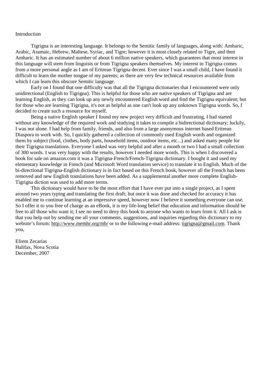#### Introduction

Tigrigna is an interesting language. It belongs to the Semitic family of languages, along with: Amharic, Arabic, Aramaic, Hebrew, Maltese, Syriac, and Tigre; however it is most closely related to Tigre, and then Amharic. It has an estimated number of about 6 million native speakers, which guarantees that most interest in this language will stem from linguists or from Tigrigna speakers themselves. My interest in Tigrigna comes from a more personal angle as I am of Eritrean Tigrigna decent. Ever since I was a small child, I have found it difficult to learn the mother tongue of my parents; as there are very few technical resources available from which I can learn this obscure Semitic language.

Early on I found that one difficulty was that all the Tigrigna dictionaries that I encountered were only unidirectional (English to Tigrigna). This is helpful for those who are native speakers of Tigrigna and are learning English, as they can look up any newly encountered English word and find the Tigrigna equivalent; but for those who are learning Tigrigna, it's not as helpful as one can't look up any unknown Tigrigna words. So, I decided to create such a resource for myself.

Being a native English speaker I found my new project very difficult and frustrating, I had started without any knowledge of the required work and studying it takes to compile a bidirectional dictionary; luckily, I was not alone. I had help from family, friends, and also from a large anonymous internet based Eritrean Diaspora to work with. So, I quickly gathered a collection of commonly used English words and organized them by subject (food, clothes, body parts, household items, outdoor items, etc...) and asked many people for their Tigrigna translations. Everyone I asked was very helpful and after a month or two I had a small collection of 300 words. I was very happy with the results, however I needed more words. This is when I discovered a book for sale on amazon.com it was a Tigrigna-French/French-Tigrigna dictionary. I bought it and used my elementary knowledge in French (and Microsoft Word translation service) to translate it to English. Much of the bi-directional Tigrigna-English dictionary is in fact based on this French book, however all the French has been removed and new English translations have been added. As a supplemental another more complete English-Tigrigna diction was used to add more terms.

This dictionary would have to be the most effort that I have ever put into a single project, as I spent around two years typing and translating the first draft; but once it was done and checked for accuracy it has enabled me to continue learning at an impressive speed, however now I believe it something everyone can use. So I offer it to you free of charge as an eBook, it is my life-long belief that education and information should be free to all those who want it; I see no need to deny this book to anyone who wants to learn from it. All I ask is that you help out by sending me all your comments, suggestions, and inquiries regarding this dictionary to my website's forum: http://www.memhr.org/mb/ or to the following e-mail address: tigrigna@gmail.com. Thank you,

Efrem Zecarias Halifax, Nova Scotia December, 2007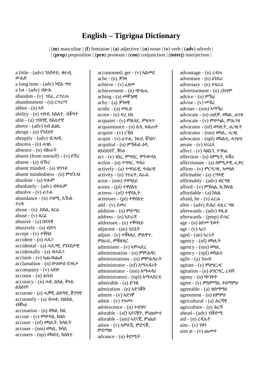## **English – Tigrigna Dictionary**

| (**m**) masculine | (**f**) feminine | (**a**) adjective | (**n**) noun | (**v**) verb | (**adv**) adverb | | (**prep**) preposition | (**prn**) pronoun | (**con**) conjunction | (**interj**) interjection |

accustomed, get - (v) ኣልመደ

a little - (adv) ንእሽቶይ, ቁሩብ, ውሕድ a long time - (adv) ነዊሕ ግዝ a lot - (adv) ብዙሕ abandon - (v) ገደፈ, ረጥረጠ abandonment - (n) ርጥረጣ abbot - (n) ኣባ ability - (n) ጥበብ, ክእለት, ብቕዓት able - (a) ጥበባዊ, ክእለታዊ above - (adv) ኣብ ልዕሊ abrupt - (n) ሃንደበት abruptly - (adv) ብጋህዲ abscess -  $(n)$  ሓ $n\Delta$ absence - (n) ብኩራት absent (from oneself) - (v) ቦኾረ absent - (a) ብኹር absent minded - (a) ዝንጉዕ absent mindedness - (n) ምዝንጋዕ absolute - (a) ፍጹም absolutely - (adv) ብፍጹም absolve - (v) ፈተሐ abundance - (n) ታዐሚ, እኹል ተረፍ abuse - (n) በደል, ጸርፊ abuse - (v) ጸረፈ abusive - (a) በደላዊ abusively - (a) ብድላ accept -  $(v)$   $\tau \bar{\phi}$   $\Lambda$ accident - (n) ሓደጋ accidental - (a) ሓደጋዊ, ሃንደበታዊ accidentally - (a) ብሓደጋ acclaim - (v) ኣጨብጨበ acclamation - (n) ውዕውዕ ደገፍታ accompany - (v) ኣሰነየ account - (n) ሕሳብ accuracy - (n) ሓቂ, ልክዕ, ቅኑዕ, ልክዕነት accurate - (a) ሓቓዊ, ልክዓዊ, ቕንዓዊ accurately - (a) ብሓቂ, ብልክዕ, ብቑኑዕ accusation - (n) ወከሰ, ክሲ accuse  $-(v)$  ምውካስ, ከሰሰ accuser - (nf) ወካሲት, ከሳሲት accuser - (nm) ወካሲ, ከሳሲ accusers - (np) ወከስቲ, ከሰስቲ

ache - (n) ቓንዛ achieve - (v) ፈጸመ achievement - (n) ጭብጢ aching - (a) መቐንዘዊ achy - (a) ቓንዛዊ acidic - (a) መጺጽ acorn - (n) ፍረ ኦክ acquaint - (v) ምልላይ, ምፍላጥ acquaintance - (n) ሌላ, ፍልጠት acquire - (v) ረኸበ acquit - (v) ፈተሐ, ንጹህ, ቕንዕና acquittal - (n) ምኽፋል ዕዳ, ዘይበደለኛ, ቑኑዕ act - (v) ገበረ, ምግባር, ምትውሳእ action - (n) ተግባር, ግብሪ actively - (a) ተግባራዊ, ግብራዊ activity - (n) ንጥፈት, ስራሕ actor - (nm) ተዋሳአይ actors - (pl) ተዋሰእቲ actress - (nf) ተዋሳኢት actresses - (pl) ተዋሰእቲ add - (v) ደመረ addition - (n) ምድማር address - (n) ኣድራሻ addressee - (n) ተቐባላይ adjacent - (an) ጎረቤት adjust - (v) ተቖጻጸረ, ምልዋጥ, ምዕራይ, ምቑጽጻር administer - (v) ኣምሓደረ administration - (n) ምምሕዳር administrations - (n) ምምሕዳራት administrator - (nf) አማሓዳሪት administrator - (nm) አማሓዳሪ administrators - (npl) አማሓደርቲ admirable - (a) ድንቂ admiration - (n) ኣድንቖት admire - (v) ኣድነቐ admit - (v) ተኣመነ adolescence - (n) ጉብዝና adorable - (af) ኣደናቒት, ምጩውቲ adorable - (am) ኣደናቒ, ምጩይ adore - (v) ኣምለኸ, ምድናቕ, ምድማጽ advance - (n) ቅድሚት

advantage - (n) ረብሓ adventure - (n) ዕንደራ adversary - (n) ተጻራሪ advertisement - (n) ረክላም advice - (n) ምኽሪ advise -  $(v)$  መኸረ adviser - (nm) ኣማኻሪ advocate - (n) ጠበቓ, ወከል, ሐገዝ advocate - (v) ምውካል, ምሕጋዝ advocator - (nf) ወካሊት, ሐጋዚት advocator - (nm) ወካሊ, ሓጋዚ advocator - (npl) ወከልቲ, ሓገዝቲ aerate - (v) ኣናፈሰ affect - (v) ሳዕቤን, ተንከፈ affection - (n) ስምዒት, ፍቕሪ affectionate - (a) ስምዒታዊ, ፈቃር affirm - (v) ምርግጋጽ, ኣመስለ affirmable - (a) ርግጻዊ affirmably - (adv) ብርግጽ afford - (v) ምኽኣል, ኪኸፍል affordable - (a) ክኣል afraid, be  $- (v)$   $\angle$   $\angle$   $\angle$   $\angle$ after - (adv) ድሕሪ ሓጺር ግዜ afterwards - (adv) ቀጺሉ afterwards - (prep) ድሓር age - (n) ዕድመ ሂወት age - (v) ኣረገ aged - (an) ኣረጊት agency - (nf) ወካሊት agency - (nm) ወካሊ agency - (npl) ወከልቲ agile - (a) ንጡፍ agitate - (v) ምዕግርጋር agitation - (n) ዕግርግር, ረብሻ agony - (n) ጭንቀት agree - (v) ምስምማዕ, ተሰማምዐ agreeable - (a) ዝሰማማዕ agreement - (n) ስምምዕ agricultural - (a) ሕርሻዊ agriculture - (n) ሕርሻ ahead - (adv) ብቕድሚ aid - (n) ረዲኤት aim - (v) ሃቀነ aim at  $-(v)$  ጨመተ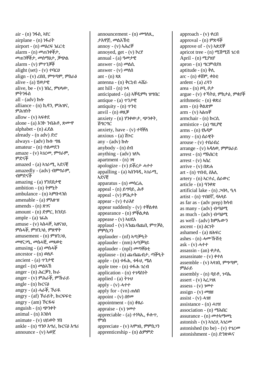air - (n) ንፋስ, ኣየር airplane - (n) ነፋሪት airport - (n) መዕረፍ ነፈርቲ alarm -  $(n)$  መጠንቀቅታ, መጠንቐቕታ, መሰማዕታ, ቓጭል alarm - (v) ምጥንቓቕ alight (set) -  $(v) \tarrow \text{QCD}$ align - (v) ረበበ, ምግጣም, ምስራዕ alive - (a) ሂወታዊ alive, be - (v) ነበረ, ምህላው, ምትንፋስ all - (adv) ኩሉ alliance - (n) ኪዳን, ምሕዝና, ምሕዝነት allow - (v) ኣፍቀደ alone - (a) እንኮ ንብሕቶ, ጽሙዋ alphabet - (n) ፈደል already - (n adv) ድሮ always - (adv) ኩሉ ግዜ amateur - (n) ተልመደን amaze -  $(v)$   $\lambda$  $\lambda$  $\sigma$ ,  $\sigma$ <sub> $\sigma$ </sub> $\sigma$ ,  $\sigma$ <sub> $\sigma$ </sub>, ምድናቕ amazed - (a) ኣገራሚ, ኣደናቒ amazedly - (adv) ብምግራም, ብምድናቕ amazing - (a) ሃንደበታዊ ambition - (n) ትምኒት ambulance - (n) ኣምቡላንስ amenable - (a) ምእዙዝ amends - (n) ጽገና amount - (n) ድምር, ክንደይ ample  $-$  (a)  $\n *16*$  $\n *16*$  $\n *16*$ amuse - (v) ኣስሓቐ, ኣዘናገዐ, ምስሓቕ, ምዝንጋዕ, ምጽዋት amusement - (n) ምዝንጋዕ, መዛናጋዒ, መስሓቒ, መጻወቲ amusing  $-$  (a) መስሓኞ ancestor - (n) ወለዶ ancient - (a) ጥንታዊ angel - (n) መልኣኽ anger - (n) ሕርቓን, ኩራ anger - (v) ምሕራቕ, ምኹራይ angle - (n) ኩርናዕ angry - (a) ሓራቕ, ኾራዪ angry - (af) ኾራይት, ኩርፍፍቲ angry - (am) ኾርፋፍ anguish - (n) ጭንቀት animal - (n) እንስሳ animate - (v) ህይወት ሃበ ankle - (n) ግንቦ እግሪ, ኩርናዕ እግሪ announce -  $(v)$  አወጀ

announcement -  $(n)$   $\sigma$ <sup>o</sup> $\gamma$  $\lambda$ <sub>c</sub>, ታእዋጅ, መልእኽቲ annoy - (v) ኣሕረቐ annoyed, get - (v) ኮረየ annual - (a) ዓመታዊ answer -  $(n)$  መልሲ answer - (v) መለሰ ant - (n) ጻጸ antenna - (n) ቅርኒብ ሓሸራ ant hill -  $(n)$   $\nu \Lambda$ anticipated - (a) ኣቐዲምካ ዝግበር antique - (a) ጥንታዊ antiquity - (n) ጥንቲ anvil - (n) ወጸቓ anxiety - (n) ሃንቀውታ, ጭንቀት, ሽግርግር anxiety, have - (v) ተሻቐለ anxious - (a) ሽጉር any - (adv) ኩሉ anybody - (n) ሰብ anything - (adv) ገለኳ apartment - (n) ገዛ apologize - (v) ይቕረታ ሓተተ appalling  $-$  (a) ኣሰንባዲ, ኣገራሚ, ኣደናቒ apparatus - (n) መሳርሒ appeal - (n) ይግባይ, ሕቶ appeal - (v) ምሕታት appear - (v) ተራእየ appear suddenly - (v) ተቐልቀለ appearance - (n) ምቕልቃል appease - (v) ኣህደአ applaud  $-$  (v) ላንጨብጨበ, ምጥቓዕ, ምምስጋን applauder - (nf) ኣጣቓዒት applauder - (nm) ኣጣቓዓይ applauder - (npl) መጣቐዕቲ applause - (n) ጨብጨብታ, ጣቕዒት apple - (n) ቱፋሕ, ቱፋህ, ሜለ apple tree - (n) ቱፋሕ ገረብ application - (n) ተገዳስነት applied - (a) ትጉህ apply - (v) ሓተተ apply for - (vn) ጠለበ appoint - (v) ሰየመ appointment - (n) ቆጸራ appraise -  $(v)$   $70$ appreciable - (a) ተነካኢ, ፉሉጥ, ሞገስ appreciate - (v) ኣሞገሰ, ምምስጋን apprenticeship - (n) ልምምድ

approach - (v) ቀረበ approval - (n) ምጽዳቕ approve of  $-(v)$  ኣጽደ $\overline{\phi}$ apricot tree - (n) ሚሽሚሽ ገረብ April - (n) ሚያዝያ apron - (n) ግርምብያለ aptitude - (n) ቅሊ arc - (n) ቀሸም, ቀስቲ ardent - (a) ረሳን area - (n) ዞባ, ቦታ argue - (v) ተኻትዐ, ምክታዕ, ምቁያቕ arithmetic - (n) ቁጽሪ arm - (n) ቅልጽም arm  $- (v)$  ኣ $\phi \overline{m}$ armchair - (n) ኩርሲ armistice - (a) ግዚያዊ arms - (n) የእዳዎ army - (n) ሰራዊት arouse -  $(v)$  ተበራበረ arrange - (v) ኣዳለወ, ምምዕራይ arrest - (n) ማእሰርቲ arrest - (v) ኣሰረ arrive - (v) በጽሐ art - (n) ጥበብ, ስእሊ artery - (n) ኣርተሪ, ሰራውር article - (n) ዓንቀጽ artificial lake - (n) ጋብላ, ዒላ artist - (n) ጥበበኛ, ሳኣላይ as far as - (adv prep) ክሳብ as many - (adv) ብጣዕሚ as much - (adv) ብጣዕሚ as well - (adv) ከምኡውን ascent - (n) ዕርገት ashamed - (a) ዘሕፍር ashes -  $(n)$  ሓሙኸሽቲ ask - (v) ሓተተ assassin - (an) ቀታሊ assassinate - (v)  $\phi \psi \wedge$ assemble - (v) ኣላገበ, ምግጣም, ምዕራይ assembly - (n) ባይቶ, ጉባኤ assert - (v) ኣረጋገጸ assess -  $(v)$   $7$  $\sigma$  $\nu$  $+$ assign - (v) መዘዘ assist -  $(v)$   $\Delta$ 7*H* assistance - (n) ሓገዝ association - (n) ማሕበር assurance -  $(n)$  መተኣማመኒ astonish -  $(v)$   $\lambda$  $\lambda$  $\lambda$  $\mu$ ,  $\lambda$  $\lambda$  $\sigma$ astonished (to be) - (v)  $\tau$ 12 $\sigma$ astonishment - (n) ድንጽዉና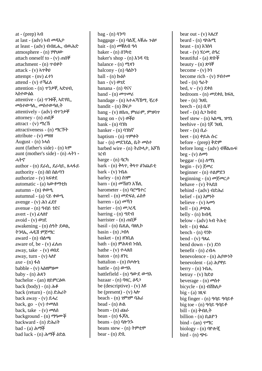at - (prep) ኣብ at last - (adv) ኣብ መዳእታ at least - (adv) ብብዚሒ, ብዉሕድ atmosphere - (n) ሃዋህው attach oneself to - (v) ጠበቐ attachment - (n) ጥብቀት attack - (v) ኣጥቅዐ attempt - (nv) ፈተነ attend  $-(v)$  ተኻፈለ attention - (n) ጥንቃቐ, ኣድህብ, ኣስተውዕል attentive - (a)  $T^2\phi\overline{\phi}$ ,  $\lambda$ ድሃቢ, መስተውዓሊ, መስተውዓሊት attentively - (adv) ብጥንቃቐ attorney - (n) ጠበቓ attract - (v) ማረኸ attractiveness - (n) ማርኾት attribute - (v) መዘዘ August - (n) ነሓሰ aunt (father's side) - (n) ኣሞ aunt (mother's side) - (n) ሓትነ - ሓትኖ author - (n) ደራሲ, ደራሳይ, ጸሓፋይ authority - (n) ሰበ ስልጣን authorize - (v) ኣፍቀደ automatic - (a) ኣውቶማቲክ autumn - (n) ቀውዒ autumnal - (a) ናይ ቀውዒ avenge - (v) ሕነ ፈደየ avenue - (n) ዓብይ ጎደና avert - (v) ፈላለየ avoid - (v) ወገደ awakening - (n) ሰዓት ደወል, ትንሳኤ, ሓዲሽ ምጅማር award - (n) ብልጫ aware of, be  $-(v)$   $\angle A \cap$ away, take  $-(v)$  ወሰደ away, turn - (v) ኣለየ axe - (n) ፋስ babble - (v) ኣዕዘምዘመ baby - (n) ሕጻን bachelor - (an) ዘይምርዕዉ back  $(body) - (n)$   $\partial_t \phi$ back (return) - (n) ድሕሪት back away - (v) ደሓረ back, go  $-(v)$   $\negthinspace +$   $\negthinspace \negthinspace \sigma$  $\negthinspace$  $\negthinspace$ back, take  $-(v)$   $\omega$   $\theta$ background - (n) ማዓሙቕ backward - (n) ድሕሪት bad - (a) ሕማቕ bad luck -  $(n)$  ሕማ $\widetilde{\phi}$  ዕድል

bag - (n) ሳንጣ baggage -  $(n)$  ባልጃ, ኣቹሑ ጉዕዞ bait - (n) መቑለብ ዓሳ baker - (n) ሰንካቲ baker's shop - (n) እንዳ ባኒ balance -  $(n)$  ሚዛን balcony - (n) ባልኮን ball - (n) ኩዕሶ ban - (v) ወገደ banana - (n) ባናና band -  $(n)$  መጥመሪ bandage - (n) ኣተሓኻኸማ, ቺረቶ bandit - (n) ሽፍታ bang - (v) ዘበጠ, ምህራም, ምዝባጥ bang on  $-(v)$   $\omega \overline{\phi} \rho$ bank - (n) ባንክ banker - (n) ባንከኛ baptism - (n) ጥምቀት bar - (n) መደንደል, ቤት መስተ barbed wire - (n) ትሪኮላታ, እሾኽ ገረብ barge - (n) ባርካ bark - (n) ቅላጥ, ቅላጥ ዕንጨይቲ bark - (v) ነብሐ barley - (n) ስገም barn - (n) መኽዘን አኽሊ barometer - (n) ባሮሜተር barrel - (n) መድፍዕ, ፊስቶ barren - (a) መኻን barrier - (n)  $\omega$ 24 barring - (n) ግድብ barrister - (n) ጠበቓ basil - (n) ቤዚል, ባዘሊኮ basin - (n) ጋብላ basket - (n) ዘንቢል bath - (n) ምሕጻብ ነብሲ bathe  $- (v) \tau A$ ጸበ baton - (n) ዘንጊ battalion - (n) ቦጦሎኒ battle - (n) ውግእ battlefield - (n) ዓውደ ውግእ bazaar - (n) ባዛር, ዕዳጋ be (descriptive) - (v) እዩ be (present) - (v) ኣሎ beach - (n) ገምገም ባሕሪ bead - (n) ሉል beam - (n) ጩራ bean - (n) ፋጆሊ beans - (n) ባሎንኌ beans stew - (n) ትምቲሞ bear - (n) ድቢ

bear out  $- (v)$   $\lambda$ 828 beard - (n) ጭሕሚ beast - (n) እንስሳ beat - (v) ሃረመ, ሰዓረ beautiful - (a) ጽቡቕ beauty - (n) ጽባቐ become - (v) ኮነ become rich - (v) ሃብተመ bed - (n) ዓራት bed, v - (v) ደቀሰ bedroom - (n) መደቀሲ ከፍሊ bee - (n) ንህቢ beech -  $(n)$   $0.7$ beef - (n) ስጋ ከብቲ beef stew - (n) ኣልጫ, ዝግኒ beehive - (n)  $\frac{1}{2}$   $\frac{1}{2}$   $\frac{1}{2}$ beer - (n) ቢራ beet - (n) ቀይሕ ሱር before - (prep) ቅድም before long - (adv) ብቑልጡፍ beg - (v) ለመነ beggar - (n) ለማኒ begin -  $(v)$  ጀመረ beginner - (n) ተልምደን beginning - (n)  $\omega \notin \mathcal{D}$ behave - (v) ትኣደበ behind - (adv) ብድሕሪ belief - (n) እምነት believe -  $(v)$   $\lambda^{\sigma}$ bell - (n) ቃጭል belly - (n) ከብዲ below - (adv) ኣብ ትሕቲ belt - (n) ቁልፊ bench - (n) ባንኮ bend - (v) ዓጸፈ bend down - (v) ደነነ benefit - (n) ረብሓ benevolence - (n) ሕያውነት benevolent - (a) ሕያዋይ berry - (n) ነብሒ betray - (v) ከድዐ beverage -  $(n)$  መስተ bicycle - (n) ብሽክለታ big - (a) ገዚፍ big finger - (n) ዓባይ ዓባይቶ big toe - (n) ዓባይ ዓባይቶ bill - (n) ቅብሊት billion - (n) ቢልዮን bind -  $(an)$   $\tau$  $\tau$  $C$ biology - (n) ባዮሎጂ bird - (n) ጭሩ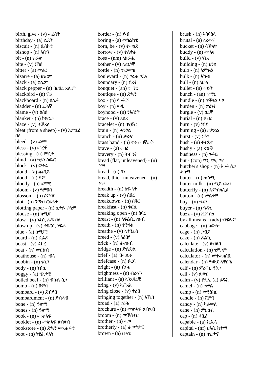birth, give - (v) ሓረሰት birthday - (a) ልደት biscuit - (n) ቢስኮቲ bishop - (n) ኣቡን bit - (n) ቁራጽ bite  $-(v)$  *i*  $\hbar$  *i*  $\hbar$ bitter - (a)  $\omega$ <sub>6</sub>C bizarre - (a) ዘገርም black - (a) ጸሊም black pepper - (n) በርበረ ጸሊም blackbird - (n) ዋሪ blackboard - (n) ሰሌዳ bladder - (n) ፊሕኛ blame - (v) ከሰሰ blanket - (n) ኮቦርታ blaze -  $(v)$   $\pm$  $\frac{3}{2}$ 80 bleat (from a sheep) - (v) እምቤዕ በለ bleed - (v) ደመየ bless -  $(v)$  መረቐ blessing - (n) ምርቓ blind - (a) ዓይነ ስዉር block - (v) ወተፈ blond  $-$  (a) ጨዓይ blood - (n) ደም bloody - (a) ደማዊ bloom - (v) ዓምበበ blossom - (n) ዕምባባ blot - (n) ንጣብ ርስሓት blotting paper - (n) ሰታይ ቀለም blouse - (n) ካሚሻ blow - (v) ነፈሰ, ኡፍ በለ blow up - (v) ተባርዐ, ነፍሐ blue - (a) ሰማያዊ board - (n) ፈራዶ boast - (v) ፈከረ boat -  $(n)$  መርከብ boathouse - (n) ገበላ bobbin -  $(n)$  ቁኒን body - (n) ነብሲ boggy - (a) ጭቃዊ boiled beef - (n) ብሱል ስጋ bomb - (n) ቦምባ bombard - (v) ደብደበ bombardment - (n) ደብዳብ bone - (n) ዓጽሚ bones - (n) ዓጽሚ book - (n) መጽሓፍ booklet - (n) መጽሓፍ ጸብጻብ bookstore - (n) ድኳን መጻሕፍቲ boot - (n) ነዊሕ ሳእኒ

border - (n) ዶብ boring - (a)  $\omega$  ሰልከዊ born, be  $- (v) \pm \omega_0 g$ borrow - (v) ተለቀሐ boss - (nm) ኣስራሒ bother -  $(v)$  ላጨነኞ bottle - (n) ጥርሙዝ boulevard - (n) ገፊሕ ጎደና boundary - (n) ደረት bouquet - (an) ጥማር boutique - (n) ድኳን box - (n) ሳንዱቕ boy - (n) ወዲ boyhood - (n) ንእስነት brace - (v) ኣሰረ bracelet - (n) በናጅር brain - (n) ሓንጎል branch - (n) ቃራና brass band - (n) ጥሩምበኛታት brave - (a) ተባዕ bravery - (n) ትብዓት bread (flat, unleavened) - (n) ቂጫ bread - (n) ባኒ bread, thick unleavened - (n) ጐጐ breadth - (n) ስፍሓት break up - (v) ሰበረ breakdown - (n) ስባር breakfast - (n) ቁርሲ breaking open - (n) ስባር breast - (n) ኣፍልቢ, ጡብ breath - (n) ትንፋስ breathe - (v) ኣተንፈሰ breed - (v) ኣዕበየ brick - (n) ሑጡብ bridge - (n) ድልድል brief - (a) ብሓጺሩ briefcase - (n) ቦርሳ bright - (a) ብሩህ brightness - (n) ብራሃን brilliant - (a) ኣንጸባረቒ bring - (v) ኣምጸአ bring close - (v) ቀረበ bringing together - (n) ኣኼባ broad - (a) ገፊሕ brochure - (n) መጽሓፍ ጸብጻብ broom - (n) መኾስተር brother - (n) ሓወ brotherly - (a) ሕውነታዊ brown - (a) ቡናዊ

brush - (n) ኣስባስላ brutal - (a)  $k\angle d^{p}G$ bucket - (n) ሳንኮሎ buddy - (n) መሓዛ build - (v) ሃነጸ building - (n) ህንጻ bulb - (n) ኣምፑል bulk - (n) እኩብ bull - (n) ኣርሓ bullet - (n) ጥይት bunch - (an) ጥማር bundle - (n) ጥቕላል ባኮ burden - (n) ጽዕነት burgle -  $(v)$  ሰረ $\overline{\phi}$ burial -  $(n)$  ቀብሪ burn - (v) ነደደ burning - (a) ዘቃጽል burst - (v) ነቶገ bush - (n) ቆትቋጥ bushy - (a) ጽዑቕ business - (n)  $r$ - $R$ ይ but - (con) ግን, ግና, ጌና butcher's shop - (n) እንዳ ስጋ ሓሰማ butter - (n) ጠስሚ butter milk - (n) ማይ ጨባ butterfly - (n) ጽምብላሊዕ button - (n) መልጎም buy - (v) ዓደገ buyer - (n) ዓዳጊ buzz - (v) ዚዝ በለ by all means - (adv) ብፍጹም cabbage - (n) ካውሎ cage - (n) ጋብያ cake - (n) ዶልሺ calculate - (v) ጸብጸበ calculation - (n) ገምጋም calculator - (n) መተሓሳሰቢ calendar - (n) ዓውደ ኣዋርሕ calf - (n) ምራኽ, ዳንጋ call - (v) ጸውዐ calm - (v) ሃድአ, (a) ህዱእ camel -  $(n)$   $\n 2$ መል camp - (n) መዓስከር candle - (n) ሽምዓ candy - (n) ካራመለ cane - (n) ምርኩስ cap - (n) ቆቢዕ capable - (a) ኪኢላ capital - (nf) ርእሲ ከተማ captain - (n) ካፒታኖ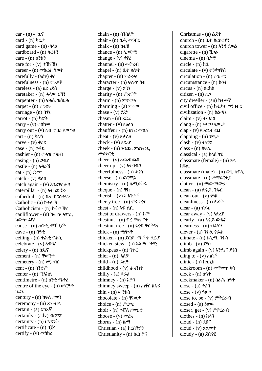car - (n)  $\omega$ <sub>h</sub> $\zeta$ card - (n) ካርታ card game - (n) ጣላዕ cardboard - (n) ካርቶን care - (n) ክንከን care for  $- (v)$   $\tau$ ሽናሽነ career - (n) መስርሕ ሂወት carefully - (adv) ቀስ carefulness - (n) ጥንቃቐ careless - (a) ዘይግደስ caretaker - (n) ሓላው ርሻን carpenter - (n) ናሕሲ ዝሰርሕ carpet - (n) ምንጻፍ carriage - (n) ባጎኒ carrot - (n) ካሮት carry - (v) ተሰከመ carry out -  $(v)$  ላብ ግብሪ ኣውዓለ cart - (n) ካሮሳ carve - (v) ቀረጸ case - (n) ጉዳይ cashier - (n) ተሓዝ ገንዘብ casing  $- (n)$   $\mathcal{P} \Omega$ castle - (n) ኣዳራሽ cat - (n) ድሙ catch - (v) ቈለበ catch again - (v) እንደገና ሓዘ caterpillar - (n) ኣብ ጨጎራ cathedral  $-$  (n) ቤ $+$  ክርስ $+$ ያን Catholic - (a) ኮተሊኽ Catholicism - (n) ኩትልኽና cauliflower - (n) ካውሎ ፍዮሪ, ካውሎ ፊየሪ cause - (n) ጠንቂ, ምኽንያት cave - (n) በዓቲ ceiling - (n) ትሕቲ ናሕሲ celebrate - (v) ኣብዓለ celery - (n) ሰዴኖ cement - (n) ቸመንቶ cemetery -  $(n)$  መቻብር cent - (n) ሳንቲም center - (n) ማእከል centimetre - (n) ሰንቲ ሜተረ centre of the eye - (n)  $\omega$ <sub>C</sub> $9\text{h}$ ዓይኒ century -  $(n)$  ክፍለ  $H$ ሙን ceremony - (n) ጽምብል certain - (a) ርግጸኛ certainly - (adv) ብርግጽ certainty - (n) ርግጽነት certificate - (n) ባጀላ certify - (v) መስከረ

chain - (n) ሰንሰለት chair - (n) ሴዳ, መንበር chalk - (n) ኩርሽ chance - (n) ኣጋጣሚ change -  $(v)$  ቀየረ channel - (n) መትረብ chapel - (n) ቤተ ጸሎት chapter - (n) ምዕራፍ character - (n) ፍሉጥ ሰብ charge - (v) ጸዓነ charity - (n) ምጽዋት charm - (n) ምጥውና charming  $-$  (a)  $\mathcal{P} \mathcal{P} \mathcal{P}$ chase - (v) ሃደነ chasm - (n) ጸድፊ chatter - (v) ኣዕለለ chauffeur - (n) ዘዋር መኪና cheat - (v) ኣታለለ check - (v) ኣጸረየ cheek - (n) ኑንጪ, ምዕጉርቲ, ሙዕጉርቲ cheer -  $(v)$  ኣጨብጨበ cheer up - (v) ኣተባብዐ cheerfulness - (n) ሓጎስ cheese - (n) ፎርማጆ chemistry - (n) ኬሚስትራ cheque - (n) ቸክ cherish - (v) ኣሐንቀቐ cherry tree - (n) ቸሪ ገረብ chest - (n) ኣፍ ልቢ chest of drawers - (n) ኮሞ chestnut - (n) ፍረ ቸስትናት chestnut tree - (n) ገረብ ቸስትናት chick - (n) ጫቚት chicken - (n) ደርሆ, ጫቚት ደርሆ chicken stew - (n) ኣልጫ, ዝግኒ chickpeas - (n) ዓተር chief - (n) ሓለቓ child - (n) ቈልዓ childhood - (v) ሕጻንነት chilly - (a) ቆራሪ chimney -  $(n)$  እቶን chimney sweep - (n) ጠቐር ዘጽሪ chin - (n) መንከስ chocolate - (n) ቸኮላታ choice - (n) ምርጫ choir - (n) ጉጅለ ዘመርቲ choose -  $(v)$  መረጸ chorus - (n) ዜማ Christian - (a) ክርስትያን Christianity - (n) ክርስትና

Christmas - (a) ልደት church - (n) ቤተ ክርስቲያን church tower - (n) እንዳ ደወል cigarette - (n) ሽጋራ cinema - (n) ሲነማ circle - (n) ክቢ circulate - (v) ተንቀሳቐሰ circulation - (n) ምዝዋር circumstance - (n) ኩነት circus - (n) ሰርከስ citizen - (n) ዜጋ city dweller - (an) ከተመኛ civil office - (n) ኩነታት መነባብር civilization - (n) ስልጣኔ claim - (v) ተጣረዐ clang - (n) ጫውጫውታ clap - (v) ኣንጨብጨበ clapping -  $(n)$   $\eta \overline{p}$ ታ clash - (v) ተናጎጸ class - (n) ክፍሊ classical - (a) ክላሲካዊ classmate (female) - (n) ጓል ክፍሊ classmate (male) - (n) ወዲ ክፍሊ classmate - (n) መማህርተይ clatter - (n) ጫውጫውታ clean - (a) ጽሩይ, ንጹር clean out - (v) ገዓዘ cleanliness - (n) ጽሬት clear - (a) ብሩህ clear away - (v) ኣጽረየ clearly - (a) ጽሩይ ውጹእ clearness - (n) ብራሃን clever - (a) ንፉዕ, ጎራሕ climate - (n) ክሊማ, ንፋስ climb - (v) ደየበ climb again - (v) እንደገና ደየበ cling to  $- (v)$  ጠበ $\overline{\phi}$ clinic - (n) ክሊኒክ cloakroom - (n) መቐመጥ ካባ clock - (n) ሰዓት clockmaker - (n) ሰራሕ ሰዓት close -  $(a)$  ቀረበ close - (v) ዓጸወ close to, be  $- (v)$  ምቅርራብ closed - (a) ዕጽዉ closer, get - (v) ምቅርራብ clothes - (n) ክዳን cloud - (n) ደበና cloud - (v) ጸልመተ cloudy - (a) ደበናዊ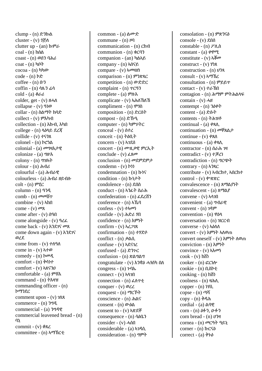clump - (n) ድንኩል cluster - (v) ጎጅለ clutter up - (an) ኩምራ coal - (n) ከሰል coast - (n) ወሰን ባሕሪ coat - (n) ካቦት cocoa - (n) ካካው code - (n) ኮድ coffee - (n) ቡን coffin - (n) ሳጹን ሬሳ cold - (a) ቆራሪ colder, get - (v) ዘሓለ collapse - (v) ዓነወ collar - (n) ስልማት ክሳድ collect - (v) ምእካብ collection - (n) እኩብ, እካበ college - (n) ላዕላይ ደረጃ collide -  $(v)$  ተናንጸ colonel - (n) ኮሮነል colonial - (a) መግዛእታዊ colonize - (a) ግዙእ colony - (n) ግዝኣት colour - (n) ሕብሪ colourful - (a) ሕብራዊ colourless - (a) ሕብሪ ዘይብሉ colt - (n) ምሂር column - (n) ዓንዲ comb - (n) መመሸጥ combine - (v) ኣከበ come -  $(v)$  መጸ come after - (v) ሰዓበ come alongside - (v) ዓረፈ come back - (v) እንደገና መጸ come down again - (v) እንደገና ወረደ come from - (v) ተለዓለ come in  $-(v)$  λ $+$  Φ comedy -  $(n)$  ኮ $m_{\tau}$ comfort - (n) ቅሳነተ comfort - (v) ኣጸናንዐ comfortable - (a) ምቹእ command - (n) ትእዛዝ commanding officer - (n) ኮማንደር comment upon - (v) ገለጸ commerce - (n) ንግዲ commercial - (a) ንግዳዊ commercial leavened bread - (n) ባኒ commit - (v) ቆጸረ committee - (n) ኣማኸርቲ

common - (a) ልሙድ commune - (n) ዞባ communication - (n) ርክብ communion - (n) ቁርባን companion - (an) ካልኣይ company - (n) ኣሰናይ compare -  $(v)$  አመዛዘነ comparison - (n) ምንጽጻር competition - (n) ውድድር complaint - (n) ጥርዓን complete - (a) ምሉእ complicate - (v) ኣሕለኽለኸ compliment - (n) ሞጎስ composition - (n) ድርሰት compost - (n) ድኹዒ computer - (n) ካምፑትር conceal - (v) ሰተረ conceit - (n) ትዕቢት concern - (v) ኣገደሰ concert - (n) ሙዚቃዊ ምርኢት conclude -  $(v)$   $\&8a^{\pi}$ conclusion - (n) መደምደምታ condemn - (v) ኮነነ condemnation - (n) ኩነና condition - (n) ኩነታት condolence - (n) ደበስ conduct - (n) ኣንፈት ስራሕ confederation - (n) ፈደረሽን conference - (n) ኣኼባ confess -  $(v)$  ተኣመነ confide - (v) ሕድሪ ሃበ confidence - (n) እምነት confirm - (v) ኣረጋገጸ confirmation - (n) ተሃድሶ conflict - (n) ቃልሲ confuse - (v) ኣደናገረ confused - (a) ድንጉር confusion - (n) ጽልግልግ congratulate - (v) እንቋዕ ሓጎሰካ በለ congress - (n) ጉባኤ connect - (v) ኣላገበ connection - (n) ፈለጥቲ conquer -  $(v)$  ወረረ conquest - (n) ማርኾት conscience - (n) ሕልና consent - (n) ውዕል consent to - (v) ኣጽደቐ consequence - (n) ሳዕቤን consider - (v) ሓሰበ considerable - (a) ኣገዳሲ consideration - (n) ግምት

consolation - (n) ምጽንናዕ console - (v) ደበሰ constable - (n) ፖሊስ constant - (a) ቀዋሚ constitute - (v)  $\lambda \overline{\mathscr{C}}$ construct - (v) ሃነጸ construction - (n) ህንጻ consult - (v) ኣማኸረ consultation - (n) ምይይጥ contact -  $(v)$  ተራኸበ contagion - (n) ሕማም ምትሕልላፍ contain - (v) ሓዘ contempt - (n) ንዕቀት content - (a) ድሱት contents - (n) ትሕዝቶ continual - (a) ቀጻሊ continuation - (n) መቐጸልታ continue - (v) ቀጸለ continuous - (a) ቀጻሊ contractor - (n) ሰራሕ ገዛ contradict - (v) ተቓረነ contradiction - (n) ግርጭት contrary - (n) ኣንጻር contribute - (v) ኣብርከተ, ኣበርከተ control - (v) ቍጽጽር convalescence - (n) ጸማልያነት convalescent - (a) ጸማልያ convene - (v) ኣላገበ convenient - (a) ግብራዊ convent -  $(n)$   $n9$ convention - (n) ዋዕላ conversation - (n) ዝርርብ converse - (v) ኣዕለለ convert - (v) እምነት ኣለወጠ convert oneself - (v) እምነት ለወጠ conviction - (n) እምነት convince -  $(v)$  ኢ $\delta v$ cook - (v) ከሸነ cooker - (n) ፎርነሎ cookie - (n) ቢስኮቲ cooking - (n) ክሽነ coolness - (n) ዛሕሊ copper - (n) ነሃሲ copse - (n) ጣሻ copy - (n) ቅዳሕ cordial - (a) ልባዊ corn - (n) ዕፉን, ዑፉን corn bread - (n) ሀንዛ cornea - (n) መርዓት ዓይኒ corner - (n) ኩርናዕ correct - (a) ቅኑዕ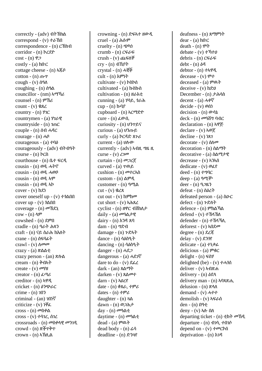correctly - (adv) ብትኽክል correspond - (v) ተራኸበ correspondence - (n) ርኽክብ corridor - (n) ኮረደዮ cost - (n) ዋጋ costly - (a) ክቡር cottage cheese - (n) ኣጁቦ cotton - (n) ጡጥ cough - (v) ሰዓለ coughing - (n) ሰዓል councillor - (nm) ኣማኻሪ counsel - (n) ምኽሪ count - (v) ቈጸረ country - (n) ሃገር countrymen - (a) ሃገራዊ countryside - (n) ገጠር couple - (n) ሰብ ሓዳር courage - (n) ሓቦ courageous - (a) ተባዕ courageously - (adv) ብትብዓት course - (n) ኮርስ courthouse - (n) ቤተ ፍርዲ cousin - (n) ወዲ ሓትኖ cousin - (n) ወዲ ሓወቦ cousin - (n) ወዲ ኣሞ cousin - (n) ወዲ ኣኮ cover - (v) ከደነ cover oneself up - (v) ተጎልበበ cover up - (v) ጎልበበ coverage - (n) መኽደኒ cow - (n) ላም cowshed - (n) ደምበ cradle - (n) ዓራት ሕጻን craft - (n) ናይ ስራሕ ክእለት crane - (n) ሰፍሳፊት crawl - (v) ለመመ crazy - (a) ጽልልቲ crazy person - (an) ጽሉል cream - (n) ቅብኣት create - (v) መሃዘ creator - (n) ፈጣሪ creditor - (n) ኣዋዲ cricket - (n) ዕንጭራር crime - (n) ገበን criminal - (an) ገበነኛ criticize - (v) ነቐፈ cross - (n) መስቀል cross - (v) ተሳገረ, ሰገረ crossroads - (n) መስቀላዊ መንገዲ crowd - (n) ጽቕጥቅጥ crown - (n) ኣኽሊል

crowning - (n) ድፍኣተ ዘውዲ cruel - (a) ሕሱም cruelty - (n) ጭካነ crumb - (n) ርፍራፍ crush - (v) ጨፍለቐ cry - (n) ብኽያት crystal - (n) ሓቒቕ cult - (n) እምነት cultivate - (v) ኮስኮሰ cultivated - (a) ኩስኩስ cultivation - (n) ዘራእቲ cunning - (a) ሃሳይ, ጎራሕ cup - (n) ኩባያ cupboard - (n) ኣርማድዮ cure - (n) ፈውሲ curiosity - (n) ህንጥይና curious - (a) ህንጡይ curly - (a) ኮርዳድ ጸጉሪ current - (a) ህሉው currently - (adv) ኣብዚ ግዜ ዚ curse -  $(v)$   $\angle 7$ <sup>*dp*</sup> curtain -  $(n)$  መጋረጀ curved - (a) ጥዉይ cushion - (n) መተርኣስ custom - (n) ልምዲ customer - (n) ዓሚል cut - (v) ቈረጸ cut out - (v) ከምከመ cut short - (v) ኣሕጸረ cyclist - (n) ዘዋር ብሽክለታ daily - (a) መዓልታዊ dairy - (n) እንዳ ጸባ dam - (n) ግድብ damage - (n) ጉድኣት dance - (n) ሳዕስዒት dancing - (n) ሳዕስዒት danger - (n) ሓደጋ dangerous - (a) ሓደገኛ dare to do - (v) ደፈረ dark - (an) ጸልማት darken - (v) ጸልመተ darn - (v) ኣዐረየ date - (n) ቆጸራ, ተምሪ dates - (n) ተምሪ daughter - (n) ጓል dawn - (n) ወጋሕታ day - (n) መዓልቲ daytime - (n) መዓልቲ dead - (a) ምዉት dead body - (n) ሬሳ deadline - (n) ድንጓየ

deafness - (n) ጸማምነት dear - (a) ክቡር death - (n) ሞት debate - (v) ተኻተዐ debris - (n) ርፍራፍ debt - (n) ዕዳ debtor - (n) ተኣዋዲ decease - (v) ሞተ deceased - (a) ምዉት deceive - (v) ከድዐ December - (n) ታሕሳስ decent - (a) ሓቀኛ decide - (v) ወሰነ decision - (n) ውሳኔ deck - (n) መዓሸግ ባብር declaration - (n) ኣዋጅ declare - (v) ኣወጀ decline -  $(v)$  ነጸገ decorate - (v) ሰለመ decoration - (n) ስልማት decorative - (a) ስልማታዊ decrease - (v) ኣንኣሰ dedicate - (v) ወፈየ deed - (n) ተግባር deep - (a) ዓሚቝ deer - (n) ዓጋዜን defeat - (n) ስዕረት defeated person - (a) ስዑር defect - (n) ጉድለት defence - (n) ምክልኻል defend - (v) ተኸላኸለ defender - (n) ተኸላኻሊ deforest - (v) ኣበደመ degree - (n) ደረጃ delay - (v) ደንጎየ delicate - (a) ተነቃፊ delicious - (a) ምቁር delight - (n) ፍስሃ delighted (be) - (v) ተሓጎሰ deliver - (v) ኣብጽሐ delivery - (n) ዕደላ delivery man - (n) ኣባጻጽሒ delusion - (n) ጽላለ demand - (v) ሓተተ demolish - (v) ኣፍራሰ den - (n) በዓቲ deny - (v) ኣሉ በለ departing ticket - (n) ቲከት መኸዲ departure - (n) ብገሳ, ተበገሶ depend on - (v) ተመርኮሰ deprivation - (n) እገዳ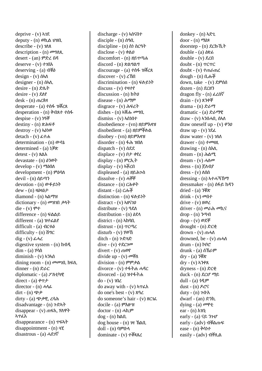deprive - (v) ኣገደ deputy - (n) ወኪል ህዝቢ describe - (v) ገለጸ description - (n) መግለጺ desert - (an) ምድረ በዳ deserve -  $(v)$   $\tau$  $n\lambda$ deserving - (a) ብቑዕ design - (v) ሰኣለ designer - (n) ሰኣሊ desire - (n) ድሌት desire - (v) ደለየ desk - (n) ጠረጰዛ desperate - (a) ተስፋ ዝቖረጸ desperation - (n) ቅብጸተ ተስፋ despise - (v) ነዓቐ destiny - (n) ጽሕፍቶ destroy - (v) ኣዕነወ detach - (v) ፈተሐ determination - (n) ውሳኔ determined - (a) ነቓጽ detest - (v) ጸልአ devastate - (n) ዕንወት develop - (v) ማዕበለ development - (n) ምዕባለ devil - (n) ሰይጣን devotion - (n) ውፉይነት dew - (n) ዛዕዛዕታ diamond - (n) ኣልማዝ dictionary - (n) መዝገበ ቃላት die -  $(v)$   $\varphi$ + difference - (n) ፍልልይ different - (a) ዝተፈልየ difficult - (a) ብርቱዕ difficulty - (n) ሽግር dig - (v) ፈሓረ digestive system - (n) ከብዲ dim - (a) ሃሳስ diminish - (v) ኣንኣሰ dining room - (n) መመገቢ ክፍሊ dinner - (n) ድራር diplomatic - (a) ፖለቲካዊ direct - (a) ቀጥታ director - (n) ሓላፊ dirt - (n) ጭቃ dirty - (a) ጭቃዊ, ረሳሕ disadvantage - (n) ጉድኣት disappear - (v) ጠፍአ, ሃለዋት ኣጥፈአ disappearance - (n) ጥፍኣት disappointment - (n) ጓሂ disastrous - (a) ሓደገኛ

discharge - (v) ኣሰናበተ disciple - (n) ሰዓቢ discipline - (n) ስነ ስርዓት disclose - (v) ቀልዐ discomfort - (n) ዘይጥጣሐ discord - (n) ጽልግልግ discourage - (a) ተስፋ ዝቖረጸ discover - (v) ረኸበ discrimination - (n) ፍሉይነት discuss - (v) ተዛተየ discussion - (n) ክትዐ disease - (n) ሕማም disgrace - (v) ሕፍረት dishes - (n) ኣቔሑ መግቢ dismiss - (v) ኣሰነበተ disobedience - (vn) ዘይምእዛዝ disobedient - (a) ዘይምቕሉል disobey - (vn) ዘይምእዛዝ disorder - (n) ፋሕ ዝበለ dispatch - (v) ሰደደ displace - (v) ቦታ ቀየረ display - (n) ምርኢት display - (v) ኣቕረበ displeased - (a) ዘይሕጉስ dissolve - (v) ሓቐቐ distance - (n) ርሕቀት distant - (a) ርሑቕ distinction - (n) ፍሉይነት distract - (v) ኣዘናገዐ distribute - (v) ዓደለ distribution - (n) ዕደላ district - (n) ኣከባቢ distrust - (n) ጥርጣረ disturb - (v) ሃወኸ ditch - (n) ጉድጓድ dive -  $(v)$  ተደርገመ divert - (v) ጠወየ divide up - (v) መቐለ division - (n) ምምቃል divorce - (v) ተፋትሐ ሓዳር divorced - (a) ዝተፋትሐ do - (v) ገበረ do away with - (v) ኣጥፈአ do one's best - (v) ጸዓረ do someone's hair - (v) ዘርገፈ docile - (a) ምእዙዝ doctor - (n) ሓኪም dog - (n) ከልቢ dog house - (n) ገዛ ኸልቢ doll - (n) ባምቡላ dominate - (v) ተቖጻጸረ

donkey - (n) ኣድጊ door - (n) ማዕጾ doorstep - (n) ደርኩኺት double - (a) ዕጽፊ double - (v) ደረበ doubt - (n) ጥርጥር doubt - (v) ተጠራጠረ dough - (n) ቢሑቕ down, take - (v) ደምሰሰ dozen - (n) ደርዘን dragon fly - (n) ፈረሰኛ drain - (v) ጸንቀቐ drama - (n) ድራማ dramatic - (a) ድራማዊ draw - (v) ኣንሰሓበ, ሰኣለ draw oneself up - (v) ቀንዐ draw up  $- (v)$  ነደፈ draw water - (v) ገለለ drawer - (n) ተመዛዚ drawing - (n) ስእሊ dream - (n) ሕልሚ dream - (v) ሓለመ dress - (n) ጀለብያ dress - (v) ለበሰ dressing - (n) ኣተሓኻኸማ dressmaker - (n) ሰፋይ ክዳን dried - (a) ንቑጽ drink - (v) መሰተ drive - (v) ዘወረ driver - (n) መራሕ መኪና drop - (n) ንጣብ drop - (v) ወደቐ drought - (n) ድርቂ drown - (v) ጠሓለ drowned, be - (v) ጠሓለ drum - (n) ኮቦሮ drunk - (a) ሰኽራም dry - (a) ንቑጽ dry - (v) ኣንቀጸ dryness - (n) ድርቂ duck - (n) ደርሆ ማይ dull - (a) ጎዲም dust - (n) ዶሮና duty - (n) ጉቡእ dwarf - (an) ድንኪ dying - (a) መዋቲ ear - (n) እዝኒ early  $-$  (a)  $9$   $9$   $7$  $0$ early - (adv) ብቑልጡፍ ease - (n) ቅሳነተ easily - (adv) ብቐሊል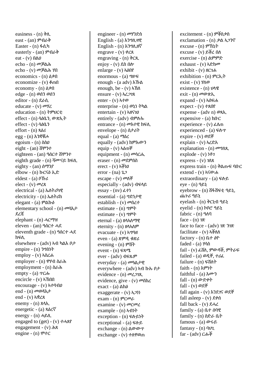easiness -  $(n)$   $\partial \Lambda$ . east - (an) ምብራቅ Easter - (n) ፋሲካ easterly - (an) ምብራቅ eat - (v) በልዐ echo -  $(n)$  መቓልሕ echo - (v) መቓልሕ ሃበ economics - (n) ዕቃበ economize - (v) ቆጠበ economy  $-(n)$   $\phi \neq 0$ edge - (n) ወሰን ወሰን editor - (n) ደራሲ educate -  $(v)$   $\sigma v / Z$ education - (n) ትምህርቲ effect - (n) ሳዕቤን, ውጽኢት effect - (v) ሳዕቤን effort  $-$  (n)  $80<sub>o</sub>$ egg - (n) እንቋቑሖ egoism - (n) ስስዐ eight - (an) ሸሞንተ eighteen - (an) ዓሰርተ ሸሞንተ eighth grade - (n) ሻሙናይ ክፍሊ eighty - (an) ሰማንያ elbow - (n) ኩርናዕ ኢድ eldest - (a) ቦኹሪ elect -  $(v)$  መረጸ electrical - (a) ኤለትሪካዊ electricity - (n) ኤለትሪክ elegant - (a) ምልኩዕ elementary school - (n) መባእታ ደረጃ elephant - (n) ሓርማዝ eleven - (an) ዓሰርተ ሓደ eleventh grade - (n) ዓሰርተ ሓደ ክፍሊ elsewhere - (adv) ኣብ ካልእ ቦታ empire - (n) ንግስነት employ - (v) ኣስረሐ employer - (n) ዋሃብ ስራሕ employment - (n) ስራሕ empty - (a) ጥርሑ encircle - (v) ኣኽበበ encourage - (v) ኣተባብዐ end - (n) መወዳእታ end - (v) ኣቋረጸ enemy - (n) ጸላኢ energetic - (a) ጻዕረኛ energy - (n) ሓይሊ engaged to  $(get) - (v) + A8$ engagement - (v) ሕጸ engine - (n) ሞተር

engineer - (n) መሃንድስ English - (a) እንግሊዛዊ English - (n) እንግሊዘኛ engrave - (v) ቀረጸ engraving - (n) ቅርጺ enjoy - (v) ደስ በሎ enlarge - (v) ኣዕበየ enormous - (a) ግዙፍ enough - (a adv) እኹል enough, be - (v) ኣኸለ ensure -  $(v)$   $\lambda$ ረጋገጸ enter - (v) ኣተወ enterprise - (n) ወኒነ ትካል entertain - (v) ኣዘናገዐ entirely - (adv) ብምሉኡ entrance - (n) መእተዊ ክፍሊ envelope - (n) ሰታሪት equal  $-$  (a) ማዕረ equally - (adv) ከምኡውን equip - (v) ኣዕጠቐ equipment -  $(n)$   $\omega$ <sup>d</sup> $C$ *d* $C$ eraser - (n) መደምሰስ erect - (v) ኣቕነዐ error -  $(na)$   $22$ escape -  $(v)$  መለኞ especially - (adv) ብፍላይ essay - (nv) ፈተነ essential - (a) ግድነታዊ establish -  $(v)$  መሰረተ estimate - (n) ግምት estimate - (v) ግምት eternal - (a) ዘላኣለማዊ eternity - (n) ዘላኣለም evacuate - (v) ኣግዓዘ even - (a) ጽምዲ ቁጽሪ evening - (n) ምሸት event - (n) ፍጻሜ ever - (adv) ብፍጹም everyday - (a) መዓልታዊ everywhere - (adv) ኣብ ኩኡ ቦታ evidence -  $(n)$   $\omega$ 278 evidence, give -  $(v)$   $\omega$   $\phi$ hd exact - (a) ልክዕ exaggerate - (v) ኣጋነነ exam  $-$  (n) ምርመራ examine - (v) መርመረ example - (n) ኣብነት exception - (n) ፍሉይነት exceptional - (a) ፍሉይ exchange - (n) ልውውጥ exchange - (v) ተለዋወጠ

excitement - (n) ምቕስቃስ exclamation - (n) ቃል ኣጋንኖ excuse - (n) ምኽኒት excuse - (v) ይቕረ በለ exercise - (n) ልምምድ exhaust -  $(v)$  ኢድከመ exhibit - (v) ዘርገሐ exhibition - (n) ምርኢት exist - (v) ሃለወ existence - (n) ህላዌ exit - (n) መውጽኢ expand - (v) ኣሰፍሐ expect - (v) ተጸበየ expense - (adv n) ወጻኢ expensive - (a) ክቡር experience - (v) ፈለጠ experienced - (a) ፍሉጥ expire - (v) ወደቐ explain - (v) ኣረድአ explanation - (n) መግለጺ explode -  $(v)$   $\n *i*$  $\n *i*$ express - (v) ገለጸ express train - (n) ቅልጡፍ ባቡር extend - (v) ኣናውሐ extraordinary - (a) ፍሉይ eye - (n) ዓይኒ eyebrow - (n) ሸፋሽፍቲ ዓይኒ, ጨጉሪ ዓይኒ eyelash - (n) ቅርኒብ ዓይኒ eyelid - (n) ኮቦሮ ዓይኒ fabric - (n) ዓለባ face - (n) ገጽ face to face - (adv) ገጽ ንገጽ facilitate - (v) ኣቕለለ factory  $-$  (n) ቤ $+$  ዕዮ faded - (a) ሃሳስ fail - (v) ፈሸለ, ምውዳቕ, ምትራፍ failed  $-$  (a)  $\mathcal{R}\mathcal{F}$ ,  $\mathcal{R}\mathcal{L}$ failure - (n) ፍሽለት faith - (n) እምነት faithful - (a)  $\hbar \sigma$ ? fall - (n) ውድቀት fall -  $(v)$  ወደ $\oint$ fall again - (v) እንደገና ወደቐ fall asleep - (v) ደቀሰ fall back - (v) ደሓረ family  $-$  (a) ቤ $+$  ሰባዊ family - (n) ስድራ ቤት famous - (a) ውሩይ fantasy -  $(n)$  ባ $\nu$  $far - (adv)$   $C_1 + \overline{P}$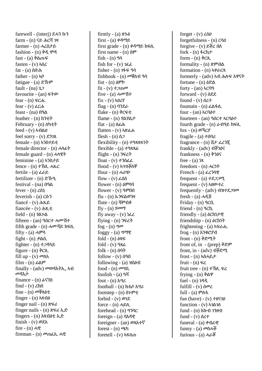farewell - (interj) ደሓን ኩን farm - (n) ናይ ሕርሻ ገዛ farmer - (n) ሓረስታይ fashion - (n) ቅዲ $\varphi$ ዋዳ fast - (a) ቅልጡፍ fasten - (v) ኣሰረ fat - (a) ስቡሕ father  $-$  (n)  $\lambda$  $\theta$ fatigue - (a) ድኹም fault -  $(na)$   $22$ favourite - (an) ፍትው fear - (n) ፍርሒ fear  $- (v)$   $\mathcal{L}$  $\mathcal{L}$  $\mathcal{L}$ feast - (na) በዓል feather - (n) ክንቲት February - (n) ለካቲት feed  $- (v) \lambda \eta \Delta \theta$ feel sorry - (v) ደንገጸ female - (n) ኣንስተይቲ female director - (n) ሓላፊት female guard - (n) ሓላዊት feminine - (a) ኣንስታይ fence - (n) ተኽሊ ሓጹር fertile - (a) ፈራይ fertilizer - (n) ድኹዒ festival - (na) በዓል fever - (n) ረስኒ feverish - (a) ርሱን fiancé - (v) ሕጹይ fiancée - (v) ሕጺቲ field - (n) ጎልጉል fifteen - (an) ዓሰርተ ሓሙሽተ fifth grade - (n) ሓሙሻይ ክፍሊ fifty - (a) ሓምሳ fight - (n) ቃልሲ fighter - (n) ተጋዳላይ figure - (n) ቅርጺ fill up -  $(v)$  መለአ film - (n) ፊልም finally - (adv) መወዳእትኢ, ኣብ መዳእታ finance - (n) ፊናንስ find  $- (v)$   $\lambda$ h $\theta$ fine -  $(n)$  መቅጻዕቲ  $finger - (n)$   $\lambda$ ጻ $n\phi$ finger nail - (n) ጽፍሪ finger nails - (n) ጽፍሪ ኢድ fingers - (n) አጻብዕቲ ኢድ finish - (v) ወደአ fire  $- (n)$   $\mathcal{A} \mathcal{P}$ fireman - (n) መጠፈሊ ሓዊ

firmly - (a) ጽኑዕ first - (a) ቀዳማይ first grade - (n) ቀዳማይ ክፍሊ first name - (n) ስም fish - (n) ዓሳ fish for  $-(v)$   $\nu\omega$ fisher - (n) ገፋፍ ዓሳ fishhook - (n) መቹለብ ዓሳ fist - (n) ዕምኮ fit -  $(v)$  ተጋጠመ five - (a) ሓሙሽተ fix - (v) ኣዐረየ flag - (n) ባንደራ flake - (n) ቅርፍቲ flame - (n) ሃልሃልታ flat - (a) ጸፊሕ flatten - (v) ኣጽፈሐ flesh - (n) ስጋ flexibility - (n) ተዓጻጻፍነት flexible - (a) ተዓጻጻፊ flight - (n) ንፍረት float - (v) ተንስፈፈ flood - (v) ኣጥለቕለቐ flour - (n) ሓሪጭ flow - (v) ፈሰሰ flower - (n) ዕምባባ flower - (v) ዓምበበ flu - (n) ኡንፍልወንዛ flute - (n) ሻምብቆ fly -  $(n)$   $\gamma$   $\sigma$  $\sigma$  $\gamma$ fly away - (v) ነፈረ flying - (n) ንፍረት fog -  $(n)$  ግመ  $foggy - (a)$  ግማዊ fold - (n) ዕጻፍ fold - (v) ዓጸፈ folk - (n) ሰባት follow - (v) ሰዓበ following - (a) ዝስዕብ food - (n) መግቢ foolish - (a) ዓሻ foot - (n) እግሪ football - (n) ኩእሶ እግሪ footstep - (n) ስጉምቲ forbid - (v) ወገደ force - (n) ሓይሊ forehead - (n) ግንባር foreign - (a) ባእዳዊ foreigner - (an) ወጻእተኛ forest - (n) ጫካ foretell - (v) ኣፍለጠ

forget  $-(v)$  ረሰዐ forgetfulness - (n) ርሳዐ forgive - (v) ይቕረ በለ fork - (n) ፋርከታ form - (n) ቅርጺ formality - (n) ጽምብል formation - (n) ኣቀራርጻ formerly - (adv) ኣብ ሕሉፍ እዋናት fortune - (n) ዕድል forty - (an) ኣርባዓ forward - (v) ሰደደ found  $- (v)$  ሰረተ fountain - (n) ፈልፋሊ four - (an) ኣርባዕተ fourteen - (an) ዓሰርተ ኣርባዕተ fourth grade - (n) ራብዓይ ክፍሊ fox - (n) ወኻርያ fragile - (a)  $\tau$ ሰባሪ fragrance - (n) ሽታ ፈረንጂ frankly - (adv) ብቕንዕና frankness - (n) ቅንዕና free  $-$  (a) ነጻ freedom - (n) ሓርነት French - (a) ፈረንሳዊ frequent - (a) ተደጋጋሚ frequent - (v) ኣዘውተረ frequently - (adv) ብዝተደጋገመ fresh - (a) ሓዲሽ Friday - (n) ዓርቢ friend - (n) ዓርኪ friendly - (a) ዕርክነታዊ friendship - (n) ዕርክነት frightening - (a) ኣፍራሒ frog - (n) እንቁሮያብ front - (n) ቅድሚት front of, in - (prep) ቅድም front, in - (adv) ብቕድሚ frost - (n) ኣስሓይታ fruit - (n) ፍረ fruit tree - (n) ተኽሊ ፍረ frying - (n) ቅልዋ fuel - (n) ነዳዲ fulfill -  $(v)$  ሰመረ full - (a) ምሉእ fun (have)  $- (v)$   $\tau$ H $\tau$ 10 function - (v) ኣገልገለ fund - (n) እኩብ ገንዘብ fund  $-$  (v)  $\partial \mathcal{L}$ funeral - (a) ቀብራዊ funny -  $(a)$  መስሓኞ furious - (a) ሓራቖ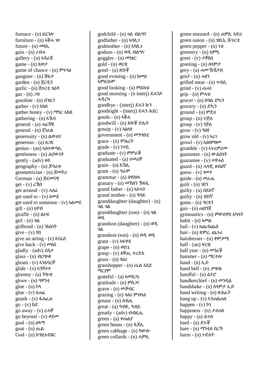furnace - (n) ፎርነሎ furniture -  $(n)$   $\lambda \overline{P} \lambda$   $\eta$ future - (n) መጻኢ gain - (n) ረብሓ gallery - (n) ኣዳራሽ game - (n) ጸወታ game of chance - (n) ምጥላዕ gangster - (n) ሽፍታ garden - (n) ጀርዲን garlic - (n) ሽጉርቲ ጻዕዳ gas - (n) ጋዝ gasoline - (n) በንዚን gather  $- (v)$   $\hbar \Omega$ gather honey - (v) ማዓር ኣከበ gathering - (n) ኣኼባ general - (a) ሓፈሻዊ general - (n) ጀነራል generosity - (n) ልውህና generous - (a) ለጋስ genius - (an) ኣስተውዓሊ gentleness - (n) ሕያውነት gently - (adv) ቀስ geography - (n) ጆግራፍ geometrician - (n) ጆመትሪ German - (a) ጅርመናዊ get -  $(v)$   $\angle \text{h}$ get around - (v) ሓለፈ get used to  $-(v)$   $\Lambda$  $\sigma$ <sub>P</sub> $\Lambda$ get used to someone - (v) ኣልመደ  $g$ ift - (n)  $\mathcal{V}$  $\mathcal{P}$ giraffe - (n) ዘራፍ girl - (n) ጓል girlhood - (n) ንእስነት give  $- (v)$   $\gamma$   $\theta$ give an airing - (v) ኣናፈሰ give back - (y)  $\omega_0$ λή gladly - (adv) ደስታ glass - (n) ብርጭቆ gleam - (v) ኣንጸባረቐ glide - (v) ኣንሻተተ gloomy - (a) ትኩዝ glove - (n) ግዋንቲ glue - (n) ኮላ glue - (v) ለጠፈ gnash - (v) ፋሕፈሐ go - (v) ከደ go away - (v) ረሓቐ go beyond - (v) ቀደመ goal - (n) ዕላማ goat - (n) ጢል God - (n) እግዚኣብሄር

godchild - (n) ጓል ብልግና godfather - (n) ኣባሊገ godmother - (n) ኣባሊገ godson - (n) ወዲ ብልግና goggles - (n) መነጸር gold - (n) ወርቂ good - (a) ጽቡቕ good evening - (n) ከመይ ኣምሲኩም good looking - (a) ምልኩዕ good morning - (n interj) ደሓንዶ ሓዲርካ goodbye - (interj) ደሓን ኩን goodnight - (interj) ደሓን ሕደር goods - (n) ኣቕሓ goodwill - (n) ጽቡቕ ድሌት gossip - (v) ኣዕለለ government - (n) መንግስቲ grace - (n) ምሕረት grade - (v) ነጥቢ graduate - (v) ምምራቕ graduated - (a) ተመሪቐ grain  $-$  (n) እኸሊ gram - (n) ግራም grammar - (n) ስዋስዉ granary - (n) መኽዘን ኽፍሊ grand father - (n) ኣቦሓጎ grand mother - (n) ዓባይ granddaughter (daughter) - (n) ጓል ጓል granddaughter (son) - (n) ጓል ወዲ grandson (daughter) - (n) ወዲ ጓል grandson (son) - (n)  $\mathfrak{a}_k \mathfrak{a}_k$ grant - (v) ኣፍቀደ grape - (n) ወይኒ grasp - (v) ጸቐጠ, ተረድአ grass - (n) ሳዕሪ grasshopper - (n) ጢል ኣደይ ማርያም grateful - (a)  $\hbar \omega \hbar$ ጋኒ gratitude - (n) ምስጋና grave - (n) መቓብር grazing - (n) ሳዕሪ ምብላዕ grease - (n) ስብሒ great - (a) ዓብዪ, ዓብይ greatly - (adv) ብብዚሒ green - (a) ቀጠልያ green beans - (n) ፋጆሊ green cabbage - (n) ካውሎ green collards - (n) ሓምሊ

green mustard - (n) ሐምሊ ኣድሪ green onion - (n) ዝቢኢ ሹጉርቲ green pepper - (n) ጉዕ greenery - (n) ለምዒ greet - (v) ተቐበለ greeting - (n) ሰላምታ grey - (a) ሓሙኹሽታይ  $grief - (n)$  ሓዘን grilled meat - (n) ጥብሲ grind - (v) ጠሓነ grip - (n) ምሓዝ grocer - (n) በዓል ድኳን grocery - (n) ድኳን ground - (n) ምድሪ group - (n) ጉጅለ group - (v) ጎጅለ grow - (v) ዓበየ grow old - (v) ኣረገ growl - (v) ኣዕዘምዘመ grumble - (v) ኣጉረምረመ guarantee - (n) ውሕስነት guarantee - (v) ተዋሓሰ guard - (n) ሓላዊ, ዘብዐኛ guess -  $(v)$   $2*mp*$ guide -  $(n)$  መራሒ guilt -  $(n)$   $n\mathbb{r}$ guilty - (a) በደለኛ guilty - (n) ገበነኛ gums - (n) ግርጻን gun - (n) ጠበንጃ gymnastics - (n) ምውስዋስ አካላት habit -  $(n)$  አመል hail - (v) ኣጨብጨበ hair - (n) ጽምሪ, ጨጉሪ hairdresser - (n) ቀምቃሚ half - (an) ፍርቂ half year - (n)  $\omega$ ? $\angle$  $\phi$ hammer - (n) ማርተሎ hand - (n) ኢድ hand bell - (n) ቃጭል handful - (n) ዕታሮ handkerchief - (n) መንዲል handshake - (n) ሰላምታ ኢድ hand writing - (n) ጽሕፈት hang up  $-$  (v)  $\lambda$ ? ጠልጠለ happen - (v) ኮነ happiness - (n) ታሕጓስ happy - (a) ሕጉስ hard - (a) ድሩቕ hare - (n) ማንቲለ በረኻ harm - (n) ጉድለት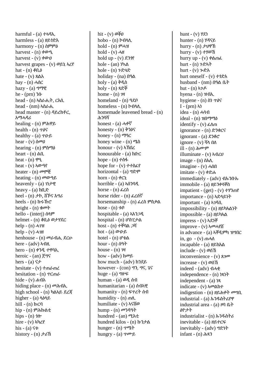harmful - (a) ተጓዳኢ harmless - (a) ዘይጎድእ harmony - (n) ስምምዕ harvest - (n) ቀውዒ harvest -  $(v) \phi \omega_0$ harvest grapes - (v) ወይኒ ኣረየ hat - (n) ቆቢዕ hate - (v) ጸልአ hay - (n) ሓሰር hazy - (a) ግማዊ he - (prn) ንሱ head - (n) ኣስራሒት, ርእሲ head - (nm) ኣስራሒ head master - (n) ዳይረክቶር, አማሓዳሪ healing - (n) ምሕዋይ health - (n) ጥዕና healthy - (a) ጥዑይ hear -  $(v)$  ሰ $\sigma$ <sup>D</sup> $\sigma$ hearing - (n) ምስማዕ heart - (n) ልቢ heat -  $(n)$   $\varphi$ <sup>2</sup> heat -  $(v)$  አውዓየ heater - (n) መሞቒ heating  $- (n)$  መውዓይ heavenly - (a) ገነታዊ heavy - (a) ከቢድ heel - (n) ታኮ, ሸኾና እግሪ heels - (n) ኩሩኹሮ height - (n) ቁመት hello - (interj) ሰላም helmet - (n) ቆቢዕ ወታሃደር help  $- (n)$   $\uparrow$   $\uparrow$   $\uparrow$   $\uparrow$ help  $-(v)$   $\n *+*1H$ henhouse - (n) መራብሒ ደርሁ here - (adv) ኣብዚ hero - (n) ቀንዲ ተዋሳኢ heroic - (an) ጀግና hers - (a) ናታ hesitate - (v) ተጠራጠረ hesitation - (n) ጥርጠራ hide - (v) ሐብአ hiding place - (n) መሕብኢ high school - (n) ካልኣይ ደረጃ higher - (a) ላዕላይ hill - (n) ኩርባ hip - (n) ምሕኩልቲ hips - (n) ጎሎ hire - (v) ኣካረየ his - (a) ናቱ history - (n) ታሪኽ

hit -  $(v)$   $\Phi\Phi$ hobo - (n) ኮብላሊ hold - (n) ምሓዝ hold - (v) ሓዘ hold up - (v) ደንጎየ hole - (an) ነኳል hole - (n) ጉድጓድ holiday - (na) በዓል holy - (a) ቅዲስ holy - (n) ጻድቕ home -  $(n)$   $\n 2<sup>H</sup>$ homeland - (n) ዓደቦ homeless - (n) ኮብላሊ homemade leavened bread - (n) ሕንባሻ honest - (a) ሓቀኛ honesty - (n) ቅንዕና honey - (n) ማዓር honey wine - (n) ሜስ honour - (v) ኣኽበረ honourable - (a) ክቡር hope - (n) ተስፋ hope for - (v) ተተስፈየ horizontal - (a) ግድሞ horn - (n) ቀርኒ horrible - (a) ኣሰንባዲ horse - (n) ፈረስ horse rider - (n) ፈረሰኛ horsemanship - (n) ፈረስ ምስቃል hose - (n) ቱቦ hospitable - (a) ኣአንጋዲ hospital - (n) ሆስፒታል host - (n) ተቐባል ጋሻ hot - (a) ውዑይ hotel - (n) ሆቴል hour - (n) ሰዓት house  $- (n)$   $7<sup>H</sup>$ how - (adv) ከመይ how much - (adv) ክንደይ however - (con) ግን, ግና, ጌና huge - (a) ግዙፍ human - (a) ወዲ ሰብ humanitarian - (a) ሰብኣዊ humanity - (n) ፍጥረት ሰብ humidity - (n) ጠሊ humiliate - (v) ኣናሸወ hump - (n) መንዳዓት hundred - (an) ሚእቲ hundred kilos - (n) ኩንታል hunger - (n) ጥሜት hungry - (a) ጥሙይ

hunt - (v) ሃደነ hunter - (n) ሃዳናይ hurry - (n) ታህዋኽ hurry - (v) ተሃወኸ hurry up - (v) ቀልጠፈ hurt - (n) ጉድኣት hurt - (v) ጐድአ hurt oneself - (v) ተጎድአ husband - (nm) በዓል ቤት hut - (n) ኣጉዶ hyena - (n) ዝብኢ hygiene - (n) ስነ ጥዕና  $I - (prn) \lambda$ idea - (n) ሓሳብ ideal - (n) ዝሰማማዕ identify - (v) ፈለጠ ignorance - (n) ድንቁርና ignorant - (a) ደንቆሮ ignore - (v) ሻላ በለ ill - (n) ሕሙም illuminate -  $(v)$   $\lambda \Omega U$ image - (n) ስእሊ imagine - (v) ሓሰበ imitate - (v) ቀድሐ immediately - (adv) ብኡንቡኡ immobile - (a) ዘይንቀሳቐስ impatient -  $(get)$  -  $(v)$   $+$  $\frac{1}{2}$  $\cap$  $\mathcal{C}$ importance - (n) ኣድላይነት important - (a) ኣገዳሲ impossibility - (n) ዘይካኣልነት impossible - (a) ዘይካኣል impress - (v) ኣደነቐ improve - (v) ኣመሓየሸ in advance - (a) ኣቐዲምካ ዝግበር  $in, go - (v) \nightharpoonup h$ incapable - (a) ዘይክእል include - (v) ወሰኸ inconvenience - (v) ጸገመ increase - (v) ወሰኸ indeed - (adv) ብሓቂ independence - (n) ነጻነት independent - (a) ነጻ indicate - (v) ኣመልከተ indigestion - (n) ዘይሕቀት መግቢ industrial - (a) ኡንዱስትሪያዋ industrial area - (a) ዞባ ቤት ዕዮታት industrialist - (n) ኡንዱስትሪ inevitable - (a) ዘይተርፍ inevitably - (adv) ግድነት infant - (n) ሕጻን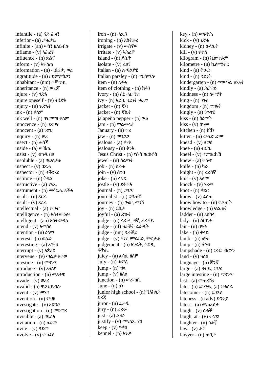infantile - (a) ናይ ሕጻን inferior - (a) ታሕታይ infinite - (an) ወሰን ዘአይብሉ inflame - (v) ኣሕረቐ influence - (n) ጽልዋ inform - (v) ኣፍለጠ information - (n) ሓበሬታ, ወረ ingratitude - (n) ዘይምምስጋን inhabitant - (nm) ተቐማጢ inheritance - (n) ውርሻ injure -  $(v)$  *ጎ*ድአ injure oneself - (v) ተጎድአ injury - (n) ጉድኣት ink - (n) ቀለም ink well - (n) ጥርሙዝ ቀለም innocence - (n) ንጽህና innocent - (a) ንጽህ inquiry -  $(n)$   $\omega$ insect - (n) ሓሰኻ inside - (a) ውሽጢ insist - (v) ብግዲ በለ insoluble - (a) ዘይፍታሕ inspect - (v) በጽሐ inspector - (n) ተቖጻጻሪ institute - (n) ትካል instructive - (a) ሃናጺ instrument - (n) መሳርሒ ኣቐሓ  $insult - (n) 8C\omega$ insult - (v) ጸረፈ intellectual - (a)  $P\nu C$ intelligence - (n) ኣስተውዕሎ intelligent - (an) ኣስተውዓሊ intend -  $(v)$  አመስለ intention - (n) ዕላማ interest - (n) ወለድ interesting - (a) ኣገዳሲ interrupt - (v) ኣቋረጸ intervene - (v) ጣልቃ ኣተወ intestine - (n) መዓንጣ introduce - (v) ኣላለየ introduction - (n) መእተዊ invade - (v) ወረረ invalid - (a) ዋጋ ዘይብሉ invent -  $(v)$  መሃዘ invention - (n) ምህዞ investigate - (v) ኣጽንዐ investigation - (n)  $\omega_{\text{C}}$ invisible - (a) ዘይረአ invitation -  $(n)$   $\partial \mathcal{L}^{\sigma}$ invite - (v) ዓደመ involve - (v) ተኻፈለ

iron - (n) ሓጺን ironing - (n) እስትራረ irrigate - (v) መስኖወ irritate - (v) ኣሕረቐ island - (n) ደሴት isolate - (v) ፈለየ Italian - (a) ኡጣልያዊ Italian parsley - (n) ፐርሰሜሎ item  $-(n)$   $\Delta \vec{\phi}$ item of clothing - (n) ክዳን ivory - (n) ስኒ ሓርማዝ ivy - (n) ኣይቢ ዓይነት ሓረግ jacket - (n) ጁባ jacket - (n) ጃኬት jalapeño pepper -  $(n)$   $\n *P*$  $\phi$ jam - (n) ማልመላታ January - (n) ጥሪ  $jaw - (n)$   $\sigma$ ?כל iealous - (a)  $\phi$ <sub>5</sub>  $\phi$ <sub>5</sub>  $\phi$ <sub>5</sub>  $\phi$ <sub>5</sub>  $\phi$ <sub>5</sub>  $\phi$ <sub>5</sub>  $\phi$ <sub>5</sub>  $\phi$ <sub>5</sub>  $\phi$ <sub>5</sub>  $\phi$ <sub>5</sub>  $\phi$ <sub>5</sub>  $\phi$ <sub>5</sub>  $\phi$ <sub>5</sub>  $\phi$ <sub>5</sub>  $\phi$ <sub>5</sub>  $\phi$ <sub>5</sub>  $\phi$ <sub>5</sub>  $\phi$ <sub>5</sub>  $\phi$ <sub>5</sub>  $\phi$ <sub>5</sub>  $\phi$ <sub>5</sub>  $\phi$ <sub>5</sub>  $\phi$ <sub>5</sub>  $\phi$ <sub>5</sub>  $\phi$ <sub>5</sub>  $\phi$ <sub>5</sub> jealousy - (n) ቅንኢ Jesus Christ - (n) የሱስ ክርስቶስ jewel - (n) ስልማት job - (n) ስራሕ join - (v) ሰዓበ joke - (n) ላግጺ jostle - (v) ደፋፍአ journal - (n) ጋዜጣ journalist - (n) ጋዜጠኛ journey - (n) ጉዕዞ, መገሻ joy - (n) ደስታ joyful - (a) ድሱት judge - (n) ፈራዲ, ዳኛ, ፈራዳይ judge - (nf) ዓራቒት ፈራዲት judge - (nm) ዓራቓይ judge - (v) ዳነየ, ምፍራድ, ምፍታሕ judgement - (n) ኣንፈት, ፍርዲ, ፍትሒ juicy - (a) ፈሳሲ ዘለዎ July - (n) ሓምለ  $jump - (n)$  ዝላ jump - (v) ዘለለ junction - (n) መራኸቢ June - (n) ሰነ junior high school - (n)ማእከላይ ደረጃ  $juror - (n)$  ፌራዲ  $jury - (n)$  ራራዶ  $just - (a)$  ልክ $\phi$ justify - (v) መግለጺ ሃበ keep - (v) ዓቀበ kennel - (n) ኣጉዶ

key - (n) መፍትሕ kick - (v) ነድሐ kidney - (n) ኩላሊት kill - (v) ቀተለ kilogram - (n) ኪሎግራም kilometre - (n) ኪሎሜተር kind - (a) ትዑይ kind - (n) ዓይነት kindergarten - (n) መውዓል ህጻናት kindly - (a) ሕያዋይ kindness - (n) ለውሃት king - (n) ንጉስ kingdom - (n) ግዝኣት kingly - (a) ንጉሳዊ kiss - (n) ስዕመት kiss - (v) ሰዓመ kitchen - (n) ክሽነ kitten - (n) ውላድ ድሙ knead - (v) ለወሰ knee - (n) ብርኪ kneel - (v) ተምበርከኸ knew - (a) ፍሉጥ knife - (n) ካራ knight - (n) ፈረሰኛ knit -  $(v)$  አለመ knock -  $(v)$   $\frac{y}{\alpha}$ knot - (n) ቁጻር know  $-(v)$   $\mathcal{L}\Lambda(0)$ know how to - (n) ፍልጠት knowledge - (n) ፍልጠት ladder - (n) ኣስካላ lady - (n) ሰበይቲ lair - (n) በዓቲ lake - (n) ቀላይ lamb - (n) ዕየት lamp - (n) ፋኑስ lampshade - (n) ገራድ ብርሃን land - (v) ዓለበ language - (n) ቛንቛ large - (a) ዓብይ, ገዚፍ large intestine - (n) ማዓንጣ last - (a) መጠረሽታ late - (n) ድንጉይ, (a) ዝሓለፈ latecomer - (n) ደንጓዩ lateness - (n adv) ድንጉይ latest - (a) መጠረሽታ laugh - (v) ሰሓቐ laugh, at  $-(v)$   $\tau$ ላ $\nu$ 8 laughter - (n) ሳሓቕ law - (v) ሕጊ lawyer - (n) ጠበቓ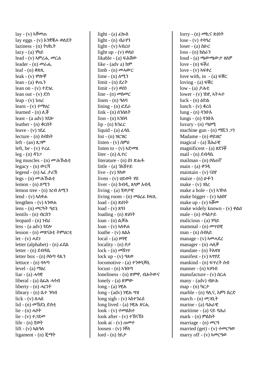lay - (v) ኣቐመጠ lay eggs - (v) እንቋቑሖ ወለደት laziness - (n) ትህኪት lazy - (a) ሃካይ lead - (v) ኣምረሐ, መርሐ leader - (n) መራሒ leaf - (n) ቆጽሊ leak - (v) ሞሎቐ lean  $-$  (a)  $\phi$  $\eta$ ,  $\gamma$ lean on  $-(v)$   $\tau$ ደገሬ lean out - (v) ደነነ leap -  $(v)$  ነጠረ learn -  $(v)$  ተማህረ learned - (n)  $\Lambda \overline{\Phi}$ least - (a adv) ጎደሎ leather - (n) ቆርበት leave  $-(v)$   $2\lambda$ lecture - (n) ስብከት left - (an) ጸጋም left, be  $-(v)$   $\tau$ *d*. leg - (n) ዳንጋ leg muscles - (n) ሙሕኹልቲ legacy - (n) ውርሻ legend  $-$  (n) ኣፌ ታሪኸ legs -  $(n)$  ሙሕኸልቲ lemon - (n) ለሚን lemon tree - (n)  $\frac{1}{4}$  ለሚን lend - (v) ኣለቀሐ lengthen  $-(v) \lambda \partial \phi$ lens - (n) መርዓት ዓይኒ lentils - (n) ብርስን leopard - (n) ነብሪ less - (a adv) ጎደሎ lesson - (n) መጽናዕቲ ትምህርቲ let - (v) ሓደገ letter (alphabet) - (n) ፊደል letter - (n) ደብዳቤ letter box - (n) ቦስጣ ሳጹን lettuce - (n) ሳላጣ level -  $(a)$  ማዕረ liar - (a) ሓሳዊ liberal - (a) ሰፊሕ ሓሳብ liberty - (n) ሓርነት library - (n) ቤተ ንባብ lick - (v) ለሓሰ lid - (n) መኽደኒ ድስቲ lie - (n) ሓሶት lie - (v) ተጋደመ life - (n) ሂወት lift - (v) ኣልዓለ ligament - (n) ጂማት

light - (a) ፈኲስ light -  $(n)$  ብራሃን light - (v) ኣብረሀ light up  $- (v)$   $\omega_{0}$ likable - (a) ፍሕሽው like - (adv a) ከም limb -  $(n)$  መሓውር lime - (n) ለሚን limit - (n) ደረት limit -  $(v)$  ወሰነ line - (n) መስመር linen - (n) ዓለባ lining - (n) ፎደራ link - (n) ሰንሰለት lion - (n) ኣንበሳ lip - (n) ከንፈር liquid - (a) ፈሳሲ list - (n) ዝርዝር listen - (v) ሰምዐ listen to  $- (v)$  ኢድመጸ liter - (n) ሊተር literature - (n) ስነ ጽሑፋ little - (a) ንእሽተይ live - (v) ሃለወ liven - (v) ህይወት ሃበ liver - (n) ከብዲ, ጸላም አብዲ living - (a) ሂወታዊ living room - (n) መዕረፊ ክፍሊ load - (n) ጽዕነት load - (v) ጸዓነ loading - (n) ጽዕነት loan - (n) ልቓሕ loan - (v) ኣለቀሐ loathe - (v) ጸልአ local - (a) ዞባዊ locality - (n) ቦታ lock - (n) መሽገጥ lock up - (v) ዓጸወ locomotive - (a) ተንቀሳቓሲ locust - (n) ኣንበጣ loneliness - (n) ጽምዋ, ብሕትውና lonely - (a) ጽምው long - (a) ነዊሕ long - (adv) ነዊሕ ግዝ long sigh - (v) ኣስተንፈሰ long lived - (a) ነዊሕ ጸናሒ look - (v) ተመልከተ look after - (v) ተኸናኸነ look at  $- (v)$  ጠመተ loosen -  $(v)$  ነቐለ lord - (n) ጎይታ

lorry - (n) መኪና ጽዕነት lose - (v) ተሳዓረ loser - (a) ስዑር loss - (n) ክስራን loud - (a) ጫውጫውታ ዘለዎ love - (n) ፍቕሪ love - (v) ኣፍቀረ love with, in  $-(a)$  ፍቹር loving - (a) ፍቑር low - (a) ታሕቲ lower - (v) ነከየ, ኣትሓተ luck - (n) ዕድል lunch - (v) ቆረሰ lung - (n) ሳንቡእ lungs - (n) ሳንቡእ luxury - (n) ጣዐሚ machine gun - (n) ማሺን ጋን Madame - (n) ወይዘሮ magical - (a) ሽሕራዊ magnificent - (a) ዘደንቕ mail - (n) ደብዳቤ mailman - (n) ቦስጠኛ main - (a) ቀንዲ maintain - (v) ናበየ maize - (n) ዑፉን make - (v) ገበረ make a hole - (v) ኣንኮለ make bigger - (v) ኣዕበየ make up  $-(v)$   $\lambda \overline{\beta}$ መ make widely known - (v) ቀልዐ male - (n) ተባዕታይ malicious - (a) ሃሳይ mammal - (n) መጥበዊ man - (n) ሰብኣይ manage - (v) ኣመሓደረ manager - (n) ሓለቓ mandate - (n) ትእዛዝ manifest - (v) ኣግሃደ mankind - (n) ፍጥረት ሰብ manner - (n) ኣገባብ manufacture - (v) ሰርሐ many - (adv) ብዙሕ map - (n) ካርታ marble - (n) ባሊና, እምነ በረድ march - (n) መጋቢት marine - (a) ባሕራዊ maritime - (a) ናይ ባሕሪ mark - (n) ምልክት marriage - (n) መርዓ married (get) - (v) ተመርዓወ marry off - (v) ኣመርዓወ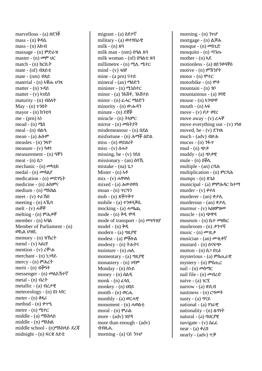marvellous - (a) ዘደንቕ mass - (n) ቅዳሴ mass - (n) እኩብ massage - (n) ምድራዝ master -  $(n)$  መም ህር match - (n) ክርቢት mate - (nf) ብጸይቲ mate - (nm) ብጻይ material - (n) ኣቑሑ ህንጻ matter - (n) ጉዳይ matter - (v) ኣገደሰ maturity - (n) ብስለት May - (n) ጉንበት mayor - (n) ከንቲባ me - (prn) ኣነ mead - (n) ሜስ meal - (n) ብልዒ mean - (a) ሕሱም measles - (n) ንፍዮ measure - (v) ዓቀነ measurement - (n) ዓቐን meat - (n) ስጋ mechanic - (n) መካኒክ medal - (n) መዳልያ medication - (n) መድሃኒት medicine - (n) ሕክምና medium - (n) ማእከል meet - (v) ተራኸበ meeting - (n) ኣኼባ melt - (v) ሓቐቐ melting - (n) ምሕቃቐ member - (n) ኣባል Member of Parliament - (n) ወኪል ህዝቢ memory - (n) ዝኽረት mend - (v) ኣዐረየ mention - (v) ረቝሐ merchant - (n) ነጋዳይ mercy - (n) ምሕረት merit - (n) ብቕዓት messenger - (n) መልእኽተኛ metal - (n) ብረት metallic - (a) ብረታዊ meteorology - (n) ስነ ኣየር meter - (n) ቆጻሪ method - (n) ቀጥዒ metre - (n) ሜተር middle - (a) ማእከላይ middle - (n) ማእከል middle school - (n)ማእከላይ ደረጃ midnight - (n) ፍርቂ ለይቲ

migrant - (a) ስደተኛ military - (a) ወተሃበራዊ milk - (n) ጸባ milk man - (nm) በዓል ጸባ milk woman - (nf) በዓልቲ ጸባ millimetre - (n) ሚሊ ሜተር mind - (v) ጓሰየ mine - (a prn) ናተይ mineral - (an) ማዕድን minister - (n) ሚኒስተር minor - (a) ንእሽቶ, ንእሽተይ minor - (n) ፈሓር ማዕድን minority - (n) ውሑዳን minute - (n) ደቒቕ miracle - (n) ትኣምር mirror - (n) መስትያት misdemeanour - (n) በደል misfortune -  $(n)$  ሕማ $\overline{P}$  ዕድል miss - (n) ወይዘሪት miss - (v) ሰሓተ missing, be  $-(v)$   $\partial g \Delta$ missionary - (an) ሰባኺ mistake - (na) ጌጋ Mister - (n) ኣቶ mix - (v) ሓዋወሰ mixed - (a) ሕውስዋስ moan - (n) ጥርዓን mob - (n) ጽቕጥቅጥ mobile - (a) ተንቀሳቓሲ mocking - (a) ሓጫጪ mode - (n) ቅዲ ሞዳ mode of transport - (n) መጓዓዝያ model -  $(n)$   $\phi$   $\theta$ modern - (a) ግዚያዊ modest - (a) ምቕሉል modesty - (n) ትሕትና moisture - (n) ጠሊ momentary - (a) ግዚያዊ monastery - (n) ገዳም Monday - (n) ሰኑይ money - (n) ሰልዲ monk - (n) ፈላሲ monkey - (n) ህበይ month - (n) ወርሒ monthly - (a) ወርሓዊ monument - (n) ሓወልቲ moral - (n) ሞራል more - (adv) ዝያዳ more than enough - (adv) ብብዚሒ morning - (a) ናይ ንጉሆ

morning - (n)  $2r \theta$ mortgage - (n) ልቓሕ mosque - (n) መስጊድ mosquito - (n) ጣንጡ mother - (n) ኣደ motionless - (a) ዘይንቀሳቐስ motive - (n) ምኽንያት motor - (n) ሞተር motorbike - (n) ሞቶ mountain -  $(n)$   $n \in \mathbb{R}$ mountainous - (a) ጎባዊ mouse - (n) ኣንጭዋ mouth - (n) ኣፍ move - (v) ቦታ ቀየረ move away - (v) ረሓቐ move everything out - (v) ገዓዘ moved, be - (v) ደንገጸ much - (adv) ብዙሕ mucus - (n) ንፋጥ mud - (n) ጭቃ muddy - (a) ጭቃዊ mule - (n) በቕሊ multiple - (an) ርባሕ multiplication - (n) ምርባሕ mumps - (n) ጽጌዕ municipal - (a) ምምሕዳር ከተማ murder - (v) ቀተለ murderer - (an) ቀታሊ murderous - (an) ቀታሊ murmur - (v) ኣዕዘምዘመ muscle - (n) ጭዋዳ museum - (n) ቤተ መዘከር mushroom - (n) ቃንጥሻ music - (n) ሙዚቃ musician - (an) ሙዚቀኛ mustard - (n) ሰናፍጭ mutton - (n) ስጋ በጊዕ mysterious - (a) ምስጢራዊ mystery - (n) ምስጢር nail - (n) መስማር nail file - (n) መብረድ naive - (a) ገርሂ narrow - (a) ጽቢብ nastiness - (n) ርግመት nasty - (a) ግናይ national - (a) ሃገራዊ nationality - (n) ዜግነት natural - (a) ባህርያዊ navigate - (v) ሰፈፈ near - (a) ቀረበ nearly - (adv) ጥቓ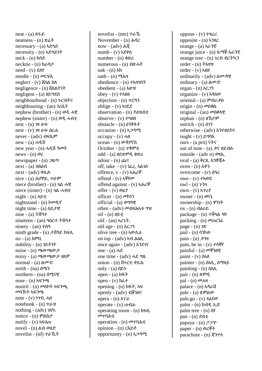neat - (a) ጽሩይ neatness - (n) ጽሬት necessary - (a) ኣድላይ necessity - (n) ኣድላይነት neck - (n) ክሳድ necktie - (n) ክራባታ need - (v) ደለየ needle - (n) መርፍእ neglect - (v) ሸለል በለ negligence - (n) ሸለልትነት negligent - (a) ዘይግደስ neighbourhood - (n) ጉርብትና neighbouring - (an) ጎረቤት nephew (brother) - (n) ወዲ ሓዊ nephew (sister) - (n) ወዲ ሓብቲ nest - (n) ገዛ ዑፍ nest - (v) ገዛ ዑፍ ሰርሐ never - (adv) ብፍጹም new - (a) ሓዲሽ new year - (n) ሓዲሽ ዓመት news  $-$  (n)  $\omega$ newspaper - (n) ጋዜጣ next - (a) ዝስዕብ next - (adv) ቀጺሉ nice - (a) ሕያዋይ, ጥዑም niece (brother) - (n) ጓል ሓዊ niece (sister) - (n) ጓል ሓብቲ night - (n) ለይቲ nightstand - (n) ኮመዲኖ night time - (a) ለይታዊ nine - (a) ትሽዓተ nineteen - (an) ዓሰርተ ትሽዓተ ninety - (an) ተስዓ ninth grade - (n) ታሽዓይ ክፍሊ no - (a) እምቢ nobility - (n) ጎይትነት noise - (n) ጫውጫውታ noisy - (a) ጫውጫውታ ዘለዎ normal - (a) ልሙድ north - (na) ሰሜን northern - (na) ሰሜናዊ nose - (n) ኣፍንጫ nostril - (n) መስኮት ኣፍንጫ, መሳኹት ኣፍንጫ note - (v) ነጥቢ ሓዘ notebook - (n) ጥራዝ nothing - (adv) ገለኳ notice - (n) ምልክታ notify - (v) ኣፍለጠ novel - (n) ልብ ወለድ novelist - (nf) ተራኺት

novelist - (nm) ተራኺ November - (n) ሕዳር now - (adv) ሕጂ numb - (v) ኣደቀሰ number - (n) ቁጽሪ numerous - (a) ብዙሓት oak - (n) ኦክ oath - (n) ማሕላ obedience - (n) ተኣዛዝነት obedient - (a) እዙዝ obey - (v) ተኣዘዘ objection - (n) ጥርዓን oblige - (v) ኣገደደ observation - (n) ትዕዝብቲ observe - (v) ተዓዘበ obstacle - (n) ዕንቅፋት occasion - (n) ኣጋጣሚ occupy - (v) ሓዘ ocean - (n) ውቅያኖስ October - (n) ጥቅምቲ odd - (a) ዘይጽምዲ ቁጽሪ odour - (n) ጨና off, take - (v) ነፈረ, ኣልገሰ offence, v - (v) ኣሕረቐ offend - (v) ኣቐየመ offend against - (v) ኣሕረቐ offer - (v) ወፈየ officer - (n) መኮነን official - (a) ወግዓዊ often - (adv) መብዛሕእቱ ግዝ oil - (n) ዘይቲ old - (an) ኣረጊት, old age -  $(n)$   $\lambda$  $\mathcal{L}$  $\mathcal{P}$ olive tree  $- (n)$   $\lambda \omega \Delta \phi$ on top - (adv) ኣብ ልዕሊ once again - (adv) እንደገና one - (a) ሓደ one time - (adv) ሓደ ግዜ onion - (n) ሽጉርቲ ቀይሕ only - (a) በይኑ open - (a) ከፋት open - (v) ከፈተ opening - (n) ክፋት, ኣፍ openly - (adv) ብቕንዕና opera - (n) ኦፐራ operate - (v) ጠብሐ operating room - (n) ክፍሊ መጥባሕቲ operation - (n) መጥባሕቲ opinion - (n) ርእይቶ opportunity - (n) ኣጋጣሚ

oppose - (v) ተጻረረ opposite - (n) ኣንጻር orange - (a) ኣራንቺ orange juice - (n) ጹማቕ አራንቺ orange tree - (n) ገረብ ብርትኳን order - (n) ትእዛዝ order - (v) ኣዘዘ ordinarily - (adv) ልሙዳዊ ordinary - (a) ልሙድ organ  $-$  (n)  $\lambda$  $C$ , $2$ <sup>3</sup> organize - (v) ኣዳለወ oriental - (a) ምብራቃስ origin - (n) መበቆል original - (an) መበቆላዊ orphan - (n) ዘኸታም ostrich -  $(n)$  ሰ $\n 2$ otherwise - (adv) እንተዘይኮነ ought - (v) ይግባእ ours - (a prn) ናትና out of tune - (a) ቃና ዘይብሉ outside - (adv n) ወጻኢ oval - (a) ቅርጺ እንቋቒሖ oven - (n) እቶን overcome - (v) ሰዓረ owe - (v) ተኣወደ owl - (n) ጉንጓ own - (v) ኣጥረየ owner - (n) ወናኒ ownership - (n) ዋንነት ox - (n) ብዕራይ package - (n) ጥቕላል ባኮ packing - (n) መጠርነፊ page - (n) ገጽ pail - (n) ሳንኮሎ pain - (n) ቃንዛ pain, be in - (v) ተሳቐየ painful -  $(a)$  መቐንዘዊ paint - (v) ሰኣለ painter - (n) ሰኣሊ, ለማጻይ painting - (n) ስእሊ pair - (n) ጽምዲ pal -  $(n)$  መሓዛ palace - (n) ኣዳራሽ pale - (a) ጽምልው pale,go -  $(v)$  ጻ $\phi$ ደ $\phi$ palm - (n) ከብዲ ኢድ palm tree - (n) ስየ pan - (n) ድስቲ papaya - (n) ፓፓዮ paper - (n) ወረቐት parachute - (n) ጃንጥላ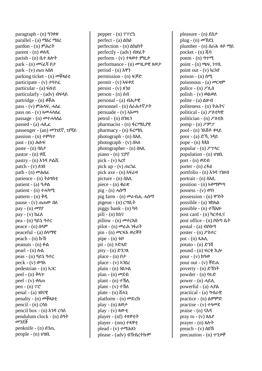paragraph - (n) ዓንቀጽ parallel - (a) ማዕረ ማዕረ pardon - (n) ምሕረት parent - (n) ወለዲ parish - (n) ቤተ ጸሎት park - (n) መናፈሻ ቦታ park -  $(v)$  ጠጠ ኣበለ parking ticket - (n) መቕጻዕቲ participate - (v) ተሳተፈ particular - (a) ፍሉይ particularly - (adv) ብፍላይ partridge - (n) ቆቕሕ pass - (v) ምሕላፍ, ሓለፈ pass on  $-(v)$  አመሓላለፈ passage - (n) መተሓላለፊ passed - (a) ሓሊፈ passenger - (an) መንገደኛ, ገያሻይ passion - (n) ተምሳጥ past - (n) ሕሉፍ paste - (n) ባስታ pastor -  $(n) \notin \mathbb{Z}$ pastry - (n) እንዳ ዶልሺ patch  $- (v)$  ለ $\eta$ path - (n) መሕለፊ patience - (n) ትዕግስቲ patient - (a) ዓቃል patient - (n) ተሓካሚ pattern - (n) ቅዲ pause -  $(v)$  ጠጠው በለ pay -  $(n)$  መሃያ pay - (v) ከፈለ pea - (n) ዓይኒ ዓተር peace - (n) ሰላም peaceful - (a) ሰላማዊ peach - (n) ኩኽ peanuts -  $(n)$   $\not\leq \alpha$ pearl - (n) ሉል peas - (n) ዓይኒ ዓተር peck - (v) ወግአ pedestrian - (n) ኣጋር peel - (n) ቅላጥ peel - (v) ቀለጠ pen  $-$  (n)  $T\mathcal{C}$ penal - (a) ገበናዊ penalty -  $(n)$  መችጻዕቲ pencil - (n) ርሳስ pencil box - (n) እንዳ ርሳስ pendulum clock - (n) ሰዓት መንደቕ penknife - (n) ሰንጢ people - (n) ህዝቢ

pepper - (n) ፐፐሮኒ perfect - (a) ልክዕ perfection - (n) ልክዕነት perfectly - (adv) ብጽፈት perform - (v) ተጻወተ ምዚቃ performance - (n) ሙዚቃዊ ጸወታ period - (n) እዋን permission - (n) ፍቓድ permit - (v) ኣፍቀደ persist -  $(v)$   $8$ *70* person - (n) ሰብ personal - (a) ብሕታዊ personnel - (n) ሰራሕተኛታት persuade -  $(v)$  ኢ $\delta\sigma$ ን petrol - (n) በንዚን pharmacist - (n) ፋርማሲያዊ pharmacy - (n) ፋርማሲ photograph - (n) ስእሊ photograph - (v) ሰኣለ photographer - (n) ሰኣሊ piano - (n) ፒያኖ pick - (v) ኣረየ pick up - (v) ጠርነፈ pick axe - (n) ኣፍራዛ picture - (n) ስእሊ piece - (n) ቁራጽ pig - (n) ሓሰማ pig farm - (n) መራብሒ ሓሰማ pigeon - (n)  $C<sup>9</sup> \mathcal{U} \dot{\mathcal{T}}$ piggy bank - (n) ካሳ pill - (n) ከኒና pillow - (n) መተርኣስ pilot - (n) መራሕ ነፋሪት pin - (n) መርፍእ ወረቐት pipe - (n) ቱቦ pit - (n) ጉድጓድ pity - (n) ድንጋጸ place - (n) ቦታ place -  $(v)$   $\lambda$ ?  $\lambda$ plain - (n) ጎልጉል plan - (n) መደብ plant - (n) ተኽሊ plant -  $(v)$  ተኸለ plate - (n) ሸሓኒ platform - (n) መድረክ play - (n) ጸወታ play - (v) ጻውቲ player - (nf) ተጻዋቲት player - (nm) ተጻዋቲ plead - (v) ተማሕጸነ please - (adv) ብኽብረትኩም

pleasure - (n) ደስታ plug - (n) መኽደኒ plumber - (n) ሰራሕ ቱቦ ማይ pocket - (n) ጁባ poem - (n) ግጥሚ point - (n) ጫፍ, ነጥቢ point out - (v) ኣርኣየ poison - (n) ስሚ poisonous - (a) መርዛም police - (n) ፖሊስ polish - (v) ወልወለ polite - (a) ልዙብ politeness - (n) ትሕትና political - (a) ፖለቲካዊ politician - (n) ፖለቲክ pomp - (n) ፖምፓ pool - (n) ንእሽቶ ቀላይ poor - (a) ድኻ, ነዳይ pope - (n) ጳጳስ popular - (n) ፖፕላር population - (n) ህዝቢ port - (n) ወደብ porter - (n) ረፋዕ portfolio - (n) እንዳ ገንዘብ portrait - (n) ስእሊ position - (n) ኣቀማምጣ possess - (v) ወነነ possession - (n) ዋንነት possible - (a) ዝከኣል possible - (n) ተኽእሎ post card - (n) ካርቶሊና post office - (n) ቦስጣ ቤት postal - (a) ብቦስጣ poster - (n) ፖስተር pot - (n) ጻሕሊ potato - (n) ድንሽ pound - (n) ፍርቂ ኪሎ pour - (v) ከዓወ pour out - (v) ቐድሐ poverty - (n) ድኽነት powder - (n) ባሩድ power - (n) ሓይሊ powerful - (a) ሓያል practical - (a) ግብራዊ practice - (n) ልምምድ practise -  $(v) \t + \Delta \omega \rho$ praise - (n) ናእዳ pray to - (v) ጸሌየ prayer - (n) ጸሉት preach - (v) ሰበኸ precaution - (n) ጥንቃቐ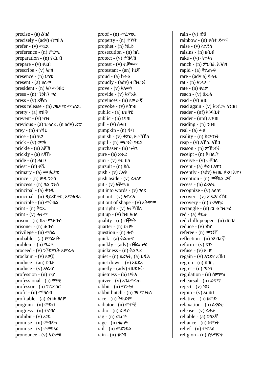precise - (a) ልክዕ precisely - (adv) ብግቡእ prefer -  $(v)$  መረጸ preference - (n) ምርጫ preparation - (n) ቅርርብ prepare - (v) ቀረበ prescribe - (v) ኣዘዘ presence - (n) ህላዌ present - (a) ህሉው president - (n) ኣ $\theta$  መንበር press - (n) ማዕከን ወረ press -  $(v)$  ጸ $\overline{\phi}$ ጠ press release - (n) ጋዜጣዊ መግለጺ pretty - (a) ጽቡቕ prevent - (v) ዓገተ previous - (a) ዝሓለፈ, (n adv) ድሮ prey - (n) ተሃዳኒ price - (n) ዋጋ prick - (v) ወግአ prickle - (n) እሾኽ prickly - (a) ኣሻኹ pride - (n) ሓበን priest - (n) ቀሺ primary - (a) መባእታዊ prince - (n) ወዲ ንጉስ princess - (n) ጓል ንጉስ principal - (a) ቀንዲ principal - (n) ዳይረክቶር, አማሓዳሪ principle -  $(n)$   $\omega$   $\rightarrow$   $h \wedge$ print - (n) ቅርጺ print -  $(v)$   $\phi$ <sup>+ $\sigma$  $\sigma$ </sup> prison - (n) ቤተ ማሕቡስ prisoner - (n) ሕቡስ privilege -  $(n)$   $\omega$   $\theta$ probable - (a) ምናልባት problem - (n) ግድል proceed - (v) ንቕድሚት ኣምረሐ proclaim - (v) ኣወጀ produce - (an) ርባሕ produce - (v) ኣፍረየ profession - (n) ሞያ professional - (a) ሞያዊ professor - (n) ፕሮፈሰር profit - (n) መኽሰብ profitable - (a) ረብሓ ዘለዎ program - (n) መደብ progress - (n) ምዕባለ prohibit - (v) ኣገደ promise - (n) መብጽዓ promise -  $(v)$   $\tau \sigma$  080 pronounce - (v) ኣድመጸ

proof - (n) መረ*ጋገ*ጺ property - (n) ዋንነት prophet - (n) ነቢይ prosecution - (n) ክሲ protect  $-(v)$   $+\pi\Lambda\hbar$ protest - (v) ተቓወመ protestant - (an) ከኒሻ proud - (a) ኩሩዕ proudly - (adv) ብኹርዓት prove -  $(v)$  ኢ $\lambda_0$ provide - (v) ኣምጸአ provinces - (n) ኣውራጃ provoke - (v) ኣስዓበ public - (a) ህዝባዊ public - (n) ህዝቢ pull - (v) ሰሓበ pumpkin - (n) ዱባ punish - (v) ቀጽዐ, ኣተኻኸለ pupil - (n) መርዓት ዓይኒ purchaser - (n) ዓዳጊ pure - (a) ጽሩይ purr - (v) ሩር በለ pursuit - (n) ክሲ push - (v) ደፍአ push aside - (v) ፈላለየ put -  $(v)$  አቐመጠ put into words - (v) ገለጸ put out - (v) ኣጥፈአ put out of shape - (v) ኣትሞመ put right - (v) ኣተኻኸለ put up - (v) ክብ ኣበለ quality - (n) ብቕዓት quarter - (n) ርብዒ question  $- (n)$   $\partial \mathbf{r}$ quick - (a) ቅልጡፍ quickly - (adv) ብቑልጡፍ quickness - (n) ቅልጣፈ quiet - (n) ህድኣት, (a) ህዱእ quiet down - (v) ኣህደአ quietly - (adv) ብህድኣት quietness - (a) ህዱእ quiver  $-(v)$   $\lambda$ ? $\lambda$  $\tau$  $\lambda$  $\theta$ rabbit - (n) ማንቲለ rabbit hutch - (n) ገዛ ማንቲለ race - (n) ቅድድም radiator - (n) መሞቒ radio - (n) ራዲዮ rag - (n) ጨርቂ rage - (n) ቁጠዓ rail - (n) መደንደል rain - (n) ዝናብ

rain - (v) ዘነበ rainbow - (n) ቀስተ ደመና raise - (v) ኣልዓለ raisins - (n) ዘቢብ rake - (v) ሓግሓገ ranch - (n) ምርባሕ እንስሳ rapid - (a) ቅልጡፍ rare - (adv a) ሳሓቲ rat - (n) ኣንጭዋ rate - (n) ቀረጽ reach - (v) በጽሐ read - (v) ነበበ read again - (v) እንደገና ኣንበበ reader - (nf) ኣንባቢት reader - (nm) ኣንባቢ reading - (n) ንባብ real  $-$  (a)  $\mathcal{A} \mathcal{A}$ reality - (n) ክውንነት reap - (v) እኽሊ ኣኸበ reason - (n) ምኽንያት receipt - (n) ቅብሊት receive - (v) ተቐበለ recent - (a) ቀረባ እዋን recently - (adv) ኣብዚ ቀረባ እዋን reception - (n) መቐበል ጋሻ recess - (n) ዕረፍቲ recognize - (v) ኣለለየ recover - (v) እንደና ረኸበ recovery - (n) ምሕዋይ rectangle - (n) ርቡዕ ኩርናዕ red - (a) ቀይሕ red chilli pepper - (n) በርበረ reduce  $-(v)$  ነከየ referee - (n) መንጎኛ reflection - (n) ነጸብራቕ reform  $- (v)$   $87<sup>1</sup>$ refuse - (v) ኣብየ regain - (v) እንደና ረኸበ region - (n) ከባቢ regret - (n) ጣዕሳ regulation - (n) ስምምዕ rehearsal - (n) ድግማ reject - (v) ነጸገ rejoin - (v) ኣርከበ relative - (n) ዘመድ relaxation - (n) ዕረፍቲ release - (v) ፈተሐ reliable - (a) ርግጸኛ reliance - (n) እምነት relief - (n) ምፍጓስ religion - (n) ሃይማኖት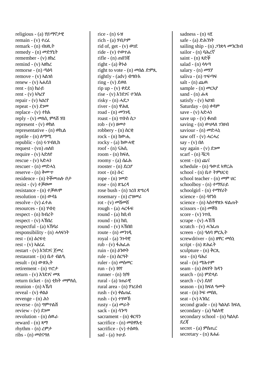religious - (a) ሃይማኖታዊ remain  $-(v)$   $\tau \zeta \zeta$ remark - (n) ብህሊት remedy - (n) መድሃኒት remember - (v) ዘከረ remind  $- (v)$   $\lambda$ *Hh<sub>Z</sub>* remorse - (n) ጣዕሳ remove - (v) ኣልገሰ renew - (v) ኣሐደሰ rent - (n) ክራይ rent - (v) ኣካረየ repair - (v) ኣዐረየ repeat -  $(v)$  ደ $10$ replace - (v) ተክአ reply - (v) መለሰ, ምላሽ ሃበ represent - (v) ወከለ representative - (n) ወኪል reptile - (n) ለማሚ republic - (n) ሩፑብሊክ request - (vn) ጠለበ require - (v) ኣድለየ rescue - (v) ኣድሓነ rescuer - (n) መድሓኒ reserve - (n) ቅሙጥ residence - (n) ትቕመጠሉ ቦታ resist -  $(v)$  +  $\frac{1}{2}$   $\omega$   $\sigma$ resistance - (n) ተቓዉሞ resolution - (n) ውሳኔ resolve - (v) ፈተሐ resources - (n) ሃብቲ respect - (n) ክብረት respect - (v) ኣኸበረ respectful - (a) ኣኽባሪ responsibility - (n) ሓላፍነት rest - (n) ዕረፍቲ rest - (v) ኣዕረፈ restart - (v) እንደገና ጀመረ restaurant - (n) ቤተ ብልዒ result - (n) ውጽኢት retirement - (n) ጥሮታ return - (v) እንደገና መጸ return ticket - (n) ቲከት መምለሲ reunion - (n) ኣኼባ reveal - (v) ቀልዕ revenge - (n) ሕነ reverse - (n) ግምጥልሽ review -  $(v)$  ደ $v$ revolution - (n) ሰዉራ reward - (n) ጻማ rhythm - (n) ረምታ ribs - (n) መሰናግለ

rice - (n) ሩዝ rich - (a) ሃብታም rid of, get -  $(v)$  ወገደ ride - (v) ተወጥሐ rifle - (n) ጠበንጃ right - (a) ቅኑዕ right to vote - (n) መሰል ድምጺ rightly - (adv) ብግቡእ ring - (v) ደወለ rip up  $- (v) \phi \& Q$ rise - (v) እንደገና ተንሰአ risky - (n) ሓደጋ river - (n) ዋሕዚ road - (n) መንገዲ roast - (n) ጥቡስ ስጋ rob - (v) ዘመተ robbery - (n) ስርቂ rock - (n) ከውሒ rocky - (a) ከውሓዊ roof - (n) ናሕሲ room - (n) ክፍሊ roomy - (a) ሰፊሕ rooster - (n) ደርሆ root - (n) ሱር rope - (n) ገመድ rose - (n) ጽጌረዳ rose bush - (n) ገረበ ጽግረዳ rosemary - (n) ሮዝመሪ rot - (v) መሽመሸ rough - (a) ሓርፋፍ round - (a) ከቢብ round - (n) ክቢ round - (v) ኣኽበበ route -  $(n)$  መንገዲ royal - (a) ንጉሳዊ rub - (v) ፋሕፈሐ ruin - (n) ዕንወት rule - (n) ስርዓት ruler - (n) መስመር run - (v) ጎየየ runner - (n) ጎያዩ rural - (a) ገጠራዊ rural area - (n) ሃገረሰብ rush - (v) ቀልጠፈ rush - (v) ተሃወኸ rusty - (a) መራት sack - (n) ሳንጣ sacrament - (n) ቁርባን sacrifice - (n) መስዋእቲ sacrifice - (v) ተሰወአ sad - (a)  $r \nu \beta$ 

sadness -  $(n)$  3<sup>2</sup> safe - (a) ድሕንነት sailing ship - (n) ጋንጽላ መንርከብ sailor - (n) ባሕረኛ saint -  $(n)$  ጻድ $\overline{\Phi}$ salad - (n) ሳላጣ salary -  $(n)$  መሃያ saliva - (n) ጥፍጣፍ salt  $-$  (n) ጨዉ sample -  $(n)$  መርኣያ sand  $- (n)$   $d<sub>1</sub>$ . satisfy -  $(v)$  ኣ0 $\n 20$ Saturday - (n) ቀዳም save  $- (v)$  ኢድሓነ save up - (v) ቆጠበ saving - (n) ውህላለ ገንዘብ saviour - (n) መድሓኒ saw off - (v) ሓርሓረ say - (v) በለ say again - (v) ደገመ scarf - (n) ሻርባ scent - (n) ጨና schedule - (n) ዓውደ ኣዋርሕ school - (n) ቤተ ትምህርቲ school teacher -  $(n)$  መም ህር schoolboy - (n) ተማሃራይ schoolgirl - (n) ተማሃሪት science - (n) ሳየንስ science - (n) ኣስተዋጽኦ ፍልጠት scissors - (n)  $\omega \vec{\phi}$ ስ score - (v) ነጥቢ  $scrape - (v)$  ሓ ћ ћ scratch -  $(v)$  ሓ $\n *h*$  $\n *h*$  $\n *h*$ screen - (n) ዓለባ ምርኢት screwdriver - (n) ዘዋር መስኒ script - (n) ጽሕፈት sculpture - (n) ቅርጺ sea - (n) ባሕሪ seal - (n) ማሕተም seam - (n) ስፍየት ክዳን search - (n) ምድላይ search - (v) ደለየ season - (n) ክፍለ ዓመት seat -  $(n)$  ኮፍ መበሊ seat -  $(v)$  ላ $30\angle$ second grade - (n) ካልኣይ ክፍሊ secondary - (a) ካልኣዊ secondary school - (n) ካልኣይ ደረጃ secret - (a) ምስጢር secretary - (n) ጸሐፊ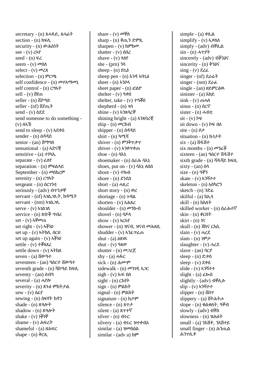secretary - (n) ጸሓፋይ, ጸሓፊት section - (n) ክፍሊ security - (n) ውሕስነት see - (v) ረኣየ seed - (n) ፍረ seem -  $(v)$  መሰለ select -  $(v)$  መረጸ selection - (n) ምርጫ self confidence - (n) መተኣማመኒ self control - (n) ርግኣት sell -  $(v)$  ሸየጠ seller - (n) ሸያጣይ seller - (nf) ሸያጢት send - (v) ስደደ send someone to do something - (v) ለኣኸ send to sleep - (v) ኣደቀሰ sender - (n) ሰዳዳይ senior - (an) ሽማግለ sensational - (a) ኣድናቒ sensitive - (a) ተነካኢ separate - (v) ፈለየ separation - (n) ምፍልላይ September - (n) መስከረም serenity - (n) ርግኣት sergeant - (n) ሰርገንቲ seriously - (adv) ብጥንቃቐ servant - (nf) ኣገልጋሊት, ከዳሚት servant - (nm) ኣገልጋሊ serve  $- (v)$   $\lambda$  $\lambda$  $\lambda$ service - (n) ጽቡቕ ግብሪ set -  $(v)$  አቐመጠ set right -  $(v)$   $\delta \vec{\phi}$ lo set up  $- (v) \lambda \tau h \Lambda$ , ሰ $\Omega$ set up again -  $(v)$   $\lambda \overline{\phi}$ *i* $\theta$ settle -  $(v)$   $\tau$  $\delta$ *<sub>884</sub>* settle down - (v) ኣትከለ seven - (a) ሸውዓተ seventeen - (an) ዓሰርተ ሸውዓተ seventh grade - (n) ሻቡዓይ ክፍሊ seventy - (an) ሰብዓ several - (a) ሓያሎ severity - (n) ጽኑዕ ምክትታል sew - (v) ሰፈየ sewing - (n) ስፍየት ክዳን shade - (n) ጽላሎት shadow - (n) ጽላሎት shake - (v) ነቕነቐ shame - (v) ሕፍረት shameful - (a) ዘሕፍር shape  $-$  (n)  $\partial^2 C \mathcal{R}$ 

share - (v)  $\omega \vec{\phi} \wedge$ sharp - (n) ቅጢን ድምጺ sharpen - (v) ከምከመ shatter - (v) ሰበረ shave - (v) ላጸየ she - (prn) ንሳ sheep  $-$  (n)  $\theta$ sheep pen - (n) እንዳ ኣባጊዕ sheet - (n) ኣንሶላ sheet paper - (n) ፎልዮ shelter - (v) ዓቀበ shelter, take -  $(v)$  ተዓቆሽ shepherd - (n) ጓሳ shine - (v) ኣንጸባረቐ shining bright - (a) ኣንጸባረቒ ship -  $(n)$  መርከብ shipper - (n) ሰዳዳይ shirt - (n) ካሚሻ shiver - (n) ምንቅጥቃጥ shiver -  $(v)$   $\lambda$  $\lambda$  $\phi$  $\phi$  $\phi$ shoe - (n) ሳእኒ shoemaker - (n) ሰራሕ ሳእኒ shoes, put on - (v) ሳእኒ ለበሰ shoot - (v) ተኰሰ shore - (n) ደንደስ short  $-$  (a)  $A$ & $C$ short story - (n) ወረ shortage -  $(n)$   $\nu$ -A $\Delta$ shorten - (v) ኣሕጸረ shoulder -  $(n)$  መንኩብ shovel - (n) ባዶላ show - (v) ኣርኣየ shower - (n) ዝናብ, ዝናብ መሕጸቢ shudder - (v) ኣንፈጥፈጠ shut -  $(a)$   $\partial x \mathcal{L}$ shut - (v) ዓጸወ shutter -  $(n)$  መጋረጀ shy - (a) ሓፋር sick -  $(n)$  ሕሙም sidewalk - (n) መንገዲ ኣጋር sigh - (v) ኡፍ በለ sight - (n) ርእየት sign - (n) ምልክት signal - (n) ምልክት signature - (n) ክታም silence - (n) ጸጥታ silent - (a) ጸጥተኛ silver - (n) ብሩር silvery - (a) ብሩር ዝተቀብአ similar - (a) ዝመስሰል similar - (adv a) ከም

simple  $-$  (a)  $\phi$ ሊል simplify - (v) ኣቃለለ simply - (adv) ብቐሊል sin - (n) ሓጥያት sincerely -  $($ adv $)$  ብ $\overline{4}$ *d* $\overline{6}$ sincerity - (n) ቅንዕና  $sing - (v)$  ደረፈ singer - (nf) ደራፊት singer - (nm) ደራፊ single - (an) ዘይምርዕዉ sinister - (a) እከይ sink -  $(v)$  ጠሓለ sinus  $-$  (n)  $\hat{\theta}$  $C_1^{\alpha}$ sister  $-$  (n)  $\pi$ sit - (v) ኮፍ sit down  $- (v)$  ኮፍ በለ site - (n) ቦታ situation - (n) ኩነታት six - (a) ሽዱሽተ six months - (n)  $\omega_3$ { $\phi$ } sixteen - (an) ዓሰርተ ሽዱሽተ sixth grade - (n) ሻዱሻይ ክፍሊ sixty - (an) ስሳ size - (n) ዓቐን skate - (v) ኣንሻተተ skeleton - (n) ኣስካሮን sketch - (n) ንድፊ skilful - (a) ክኢላ skill - (n) ክእለት skilled worker - (n) ሰራሕተኛ skin - (n) ቆርበት skirt -  $(n)$   $\gamma$ skull - (n) ሽክና ርእሲ slain  $-(v)$   $\partial \mathcal{L}$ slam - (n) ገምታ slaughter - (v) ሓረደ slave - (an) ባርያ sleep - (n) ድቃስ sleep - (v) ደቀሰ slide - (v) ኣንሻተተ slight - (a) ፈኲስ slightly - (adv) ብቐሊሉ slip - (v) ኣንሻተተ slipper - (n) ሸበጥ slippery - (a) ሸትሕትሖ slope - (n) ቁልቁለት, ዓቐብ slowly - (adv) ብቐስ slowness - (n) ዝሕለት small - (a) ንእሽቶ, ንእሽተይ small finger - (n) ሕንጢል ሕንጥሊቶ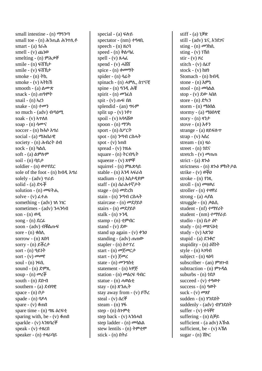small intestine - (n) ማዓንጣ small toe - (n) ሕንጢል ሕንጥሊቶ smart - (a)  $\partial^2 \vec{b}$ smell - (v) ጨነወ smelting - (n) ምሕቃቐ smile - (n) ፍሽኽታ smile - (v) ፍሽኸታ smoke - (n) ትኪ smoke - (v) ኣትከኸ smooth - (a) ልሙጽ snack - (n) ጠዓሞት snail -  $(n)$  ላረነ snake -  $(n)$  ተመን so much - (adv) ብጣዕሚ soak -  $(v)$  ኣጥለለ soap -  $(n)$  ሳሙና soccer - (n) ኩእሶ እግሪ social - (a) ማሕበራዊ society - (n) ሕብረት ሰብ sock - (n) ካልሲ soft - (a) ልምሉም soil - (n) ባይታ soldier - (n) ወተሃደር sole of the foot - (n) ከብዲ እግሪ solely - (adv) ጥራይ solid - (a) ድሩቕ solution - (n) መፍትሒ solve  $-(v)$   $\angle$   $\Delta$   $\tau$  $\Delta$ something - (adv) ገለ ነገር sometimes - (adv) ንሓንሳብ son - (n)  $\omega_{\mathcal{L}}^{\rho}$ song - (n) ደርፊ soon - (adv) ብቑልጡፍ sore - (n) ቁስሊ sorrow - (n) ጸበባ sorry - (n) ይቕረታ sort - (n) ዓይነት sort -  $(v)$   $\sigma$ <sup> $\sigma$  $\sigma$  $\sigma$  $\gamma$ </sup> soul - (n) ነፍሲ sound - (n) ድምጺ soup - (n)  $\omega \mathcal{L}^{\mathcal{F}}$ south  $-$  (n) ደቡብ southern - (a) ደብባዊ space -  $(n)$  ቦታ spade - (n) ባዶላ spare - (v) ቆጠበ spare time - (n) ግዜ ዕረፍቲ sparing with, be - (v) ቆጠበ sparkle - (v) ኣንጸባረቐ speak  $- (v) \nightharpoonup H \nightharpoonup \mathcal{U}$ speaker - (n) ተዛራባይ

special - (a) ፍሉይ spectator - (nm) ተዓዛቢ speech - (n) ዘረባ speed - (n) ቅልጣፈ spell - (v) ጸሓፈ spend - (v) ሓሸሸ spice -  $(n)$  ቀመማት spider - (n) ሳሬት spinach - (n) ሓምሊ, ስፐናቺ spine - (n) ዓንዲ ሕቔ spirit -  $(n)$  መንፈስ spit - (v) ጡፍ በለ splendid - (an) ግሩም split up - (v) ነቶገ spoil -  $(v)$  ኣባላሸወ spoon - (n) ማንካ sport - (n) ስፖርት spot - (n) ንጣብ ርስሓት spot -  $(v)$  ነጠበ spread  $- (v)$  ነዝሐ square - (n) ትርብዒት squeeze - (v) ጸሞቐ squirrel - (n) ምጹጽላይ stable - (n) እንዳ ኣፍራስ stadium - (n) እስታዲዩም staff - (n) ሰራሕተኛታት stage - (n) መድረክ stain - (n) ንጣብ ርስሓት staircase - (n) መደያይቦ stairs -  $(n)$  መደያይ $n$ stalk - (n) ጉንዲ stamp - (n) ቲምብር stand - (v) ደው stand up again -  $(v) \phi$ ?0 standing - (adv) ጠጠው stapler - (n) ስተፕረ start -  $(n)$  መጀመርታ start - (v) ጀመረ state - (n) መንግስቲ statement - (n) ኣዋጅ station - (n) መዕረፍ ባብር statue - (n) ሓወልቲ stay - (n) ጽንሒት stay away from - (v) ቦኾረ steal - (v) ሰረቐ steam - (n) ሃፋ step - (n) ስጉምቲ step back - (v) ኣንሰሓበ step ladder - (n) መሳልል stew lentils - (n) ትምቲሞ stick - (n) በትሪ

stiff -  $(a)$  ነቓጽ still - (adv) ጌና, እንደገና sting  $-$  (n)  $\sigma$ <sup>p</sup> $\gamma$ hሲ sting  $- (v)$  ነኸሰ stir -  $(v)$   $HZ$ stitch - (v) ሰፈየ stock - (v) ከዘነ Stomach - (n) ከብዲ stone - (n) እምኒ stool -  $(n)$  መሳልል stop - (v) ደው ኣበለ store - (n) ድኳን storm - (n) ማዕበል stormy - (a) ማዕበላዊ story - (n) ዛንታ stove -  $(n)$   $\lambda$  $\beta$ ? strange - (a) ዘይፍሉጥ strap - (v) ኣሰረ stream - (n) ዛራ street -  $(n)$   $\partial g$ stretch -  $(v)$   $\omega_{\text{max}}$ strict - (a) ጽኑዕ strictness - (n) ጽኑዕ ምክትታል strike -  $(v)$   $\Phi\Phi$ 0 stroke  $-$  (n)  $\gamma$ <sub>2</sub> $\chi$ stroll -  $(n)$  መዛወሪ stroller - (n) ተዛዋሪ strong - (a) ሓያል struggle - (n) ቃልሲ student - (nf) ተማሃሪት student - (nm) ተማሃራይ studio - (n) ቤተ ዕዮ study - (n) መጽናዕቲ study - (v) ኣጽንዐ stupid - (a) ደንቆሮ stupidity - (n) ዕሽነት style - (n) ኣገባብ subject - (n) ዛዕባ subscriber - (an) ምዝጉብ subtraction - (n) ምጉዳል suburbs - (n) ጎደቦ succeed -  $(v)$  ተዓወተ success - (n) ዓወት suck -  $(v)$  መጸየ sudden - (n) ሃንደበት suddenly - (adv) ብሃንደበት suffer - (v) ተሳቐየ suffering - (n) ስቓይ sufficient - (a adv) እኹል sufficient, be - (v) ኣኸለ sugar - (n) ሽኮር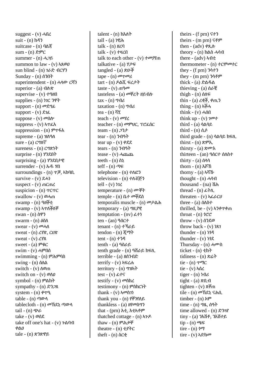suggest  $- (v)$   $\n *A*$  $\n *A*$ suit  $-$  (n)  $h9$ suitcase - (n) ባልጃ sum - (n) ድምር summer -  $(n)$   $A$  $2B$ summon to law -  $(v)$   $\lambda \lambda \omega$ sun blind - (n)  $\nu \&$  ብርሃን Sunday - (n) ሰንበት superintendent - (n) ሓላው ርሻን superior - (a) ብሉጽ supervise -  $(v)$   $t^2$ *H* $\theta$ supplies - (n) ነገር ንዋት support -  $(n)$  መደግፊ support - (v) ደገፈ suppose -  $(v)$  መሰሎ suppress - (v) ኣጥፈአ suppression - (n) ምጥፋእ supreme - (a) ዝለዓለ sure - (a) ርግጸኛ sureness - (n) ርግጽነት surprise - (n) ሃንደበት surprising - (a) ሃንደበታዊ surrender - (v) ኡዱ ሃበ surroundings - (n) ጥቓ, ኣከባቢ survive - (v) ደሓነ suspect - (v) ጠርጠረ suspicion - (n) ጥርጥር swallow -  $(v)$   $\omega_{n}$ swamp - (n) ዓዘቕቲ swamp - (v) ኣጥለቕለቐ swan - (n) ስዋን swarm - (n) ዕስለ swear -  $(v)$  መሓሰ sweat - (n) ረሃጽ, ርሀጽ sweat -  $(v)$   $\angle$ *ll*<sup>8</sup> sweet - (a) ምቁር swim - (v) ሓምበሰ swimming - (n) ምሕምባስ swing - (n) ሰለል switch -  $(v)$   $\Delta \omega_{\text{m}}$ switch on  $- (v)$   $\omega_{\Lambda} \rho$ symbol - (n) ምልክት sympathy -  $(n)$  ድንጋጻ system - (n) ቀጥዒ table - (n) ጣውላ tablecloth - (n) መኽደኒ ጣውላ tail  $-$  (n) ጭራ take - (v) ወሰደ take off one's hat - (v) ጉልባብ ቀልዐ tale - (n) ጽንጽዋይ

talent - (n) ክእለት tall - (a) ነዊሕ talk  $-$  (n)  $HZQ$ talk - (v) ተዛረበ talk to each other -  $(v)$   $\tau^{\alpha}$ *e* $\gamma$  $\alpha$ talkative - (a) ሃታፍ tangled  $-$  (a)  $r\delta\phi$ tape -  $(n)$  መጥመሪ tart - (n) ዶልሺ ፍረታት taste -  $(v)$  ጠ $9$ ሙ tasteless - (a) መቐረት ዘይብሉ tax  $- (n)$  ግብሪ taxation - (n) ግብሪ tea - (n) ሻሂ teach -  $(v)$  መሃረ teacher - (n) መምህር, ፕሮፈሰር team - (n) ጋንታ tear - (n) ንብዓት tear up  $- (v)$  ቀደደ tears - (n) ንብዓት tease - (v) ሓጨጨ teeth - (n) ስኒ teff - (n) ጣፍ telephone - (n) ተለፎን television - (n) ተለቭጅን tell -  $(v)$  ነገረ temperature - (n) ሙቐት temple - (n) ቤተ መቕደስ temporalis muscle - (n) መታልሕ temporary - (a) ግዚያዊ temptation - (nv) ፈተነ ten - (an) ዓሰርተ tenant - (n) ተኻራይ tendon - (n) ጂማት tent - (n) ተንዳ tenth - (a) ዓስራይ tenth grade - (n) ዓሽራይ ክፍሊ terrible - (a) ዘሰንብድ terrify - (v) ኣፍረሐ territory - (n) ግዝኣት test - (v) ፈተና testify - (v) መስከረ testimony - (n) ምስክርነት thank -  $(v)$  አመስገነ thank you - (n) የቐንየለይ thankless - (a) ዘየመስግን that - (prn) እቲ, እቲኣቶም thatched cottage - (n) ኣጉዶ thaw - (n) ምሕቃቐ theatre - (n) ቲያትር theft - (n) ስርቂ

theirs -  $(f \text{ prn})$  ናተን theirs - (m prn) ናቶም then - (adv) ቀጺሉ theory - (n) ክልስ ሓሳብ there - (adv) ኣብቲ thermometer - (n) ተርሞመተር they - (f prn) ንሳተን they - (m prn) ንሳቶም thick - (a) ድልዱል thieving - (a) ሰራቒ thigh - (n) ሰለፍ thin  $-(a)$  ረቂች, ቀ $\Pi$ ? thing  $-$  (n) ኣኞሓ think - (v) ሓሰበ think up - (v)  $10^{\circ}$ third - (a) ሳልሳይ third - (n) ሲሶ third grade - (n) ሳልሳይ ክፍሊ thirst - (n) ጽምኢ thirsty - (a) ጽሙእ thirteen - (an) ዓሰርተ ሰለስተ thirty - (a) ሰላሳ thorn - (n) እሾኽ thorny - (a) ኣሻኹ thought - (n) ሓሳብ thousand - (na) ሽሕ thread - (n) ፈትሊ threaten - (v) ኣፈራርሀ three - (a) ሰለስተ thrilled, be - (v) ኣንቀጥቀጠ throat  $-$  (n)  $\partial^2 \mathcal{C}$ throw - (v) ሰንደወ throw back -  $(v)$   $187$ thunder - (n) ነጎዳ thunder - (v) ነጎደ Thursday - (n) ሓሙስ ticket - (n) ቲከት tidiness - (n) ጽሬት tie - (n) ጥማር tie - (v) ኣሰረ tiger -  $(n)$  ነብሪ tight - (a) ጽቢብ tighten -  $(v)$   $\frac{R\pi}{n}$ tile - (n) መኽደኒ ናሕሲ timber - (n) ኦም time - (n) ግዜ, ሰዓት time allowed - (n) ድንጓየ tiny - (a) ንእሽቶ, ንእሽተይ tip - (n) ጫፍ tire -  $(n)$   $\gamma$ ማ tire - (v) ኣድከመ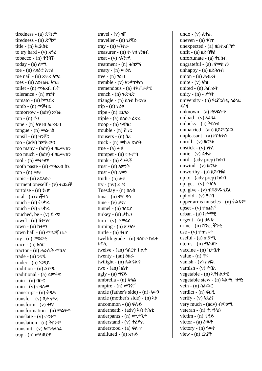tiredness - (a) ድኹም tiredness - (n) ድኻም title - (n) ኣርእስቲ to try hard - (v) ጸዓረ tobacco - (n) ትንባኾ today - (a) ሎሚ toe - (n) ኣጻዕቲ እግሪ toe nail - (n) ጽፍሪ እግሪ toes - (n) አጻብዕቲ እግሪ toilet -  $(n)$  መሕጸቢ ቤት tolerance - (n) ጽሮት tomato - (n) ኮሚደረ tomb - (n) መቓብር tomorrow - (adv) ጽባሕ ton  $-$  (n)  $\mathcal{P}$ ? tone - (n) ኣገባብ ኣዘራርባ tongue -  $(n)$  መልሓስ tonsil - (n) ዓንቐር too - (adv) ከምኡውን too many - (adv) ብዘይመጠን too much - (adv) ብዘይመጠን tool - (n) መተዓየዩ tooth paste - (n) መሕጸብ ስኒ top - (n) ጫፍ topic - (n) ኣርእስቲ torment oneself - (v) ተጨነቐ tortoise - (n) ጎብየ total -  $(n)$  ጠቅላላ touch - (n) ትንካፈ touch  $-(v)$  ተንከፈ touched, be - (v) ደንገጸ towel - (n) ሽጎማኖ town - (n) ከተማ town hall - (n) መዘጋጃ ቤተ toy - (n) መጻወቲ trace - (n) ኣሰር tractor - (n) ሓራሲት መኪና trade - (n) ንግዲ trader - (n) ነጋዳይ tradition - (n) ልምዲ traditional - (a) ልምዳዊ train - (n) ባቡር train - (v) ተዓለመ transcript - (n) ቅዳሕ transfer - (v) ቦታ ቀየረ transform - (v) ቀየረ transformation - (n) ምልዋጥ translate - (v) ተርጎመ translation - (n) ትርጉም transmit - (v) ኣመሓላለፈ trap - (n) መጻወድያ

travel -  $(v)$   $\eta$ traveller - (n) ገያሻይ tray - (n) ጓንተራ treasurer - (n) ተሓዝ ገንዘብ treat - (v) ኣኣንገደ treatment - (n) ሕክምና treaty - (n) ውዕል tree - (n) ገረብ tremble - (v) ኣንቀጥቀጠ tremendous - (a) ተኣምራታዊ trench - (n) ጉድጓድ triangle - (n) ስሉስ ኩርናዕ trip  $- (n)$  ጉዕዞ tripe - (n) ጨጎራ triple - (a) ሰለስተ ዕጽፊ troop - (n) ዓሳክር trouble - (n) ሽግር trousers - (n) ስረ truck - (n) መኪና ጽዕነት true  $-$  (a)  $\mathcal{H}$ trumpet - (n) ጥሩምባ trunk - (n) ሳንዱቕ trust - (n) እምነት trust -  $(v)$  አመነ truth - (n) ሓቂ try - (nv) ፈተነ Tuesday - (n) ሰሉስ tuna - (n) ቶኖ ዓሳ tune - (v) ቃነየ tunnel  $-$  (n)  $\eta$   $\alpha$  $\beta$ turkey - (n) ታኪን turn - (v) ተመልሰ turning - (n) ኣንጎሎ turtle  $-$  (n)  $\dot{\gamma}$ twelfth grade - (n) ዓሰርተ ክልተ ክፍሊ twelve - (an) ዓሰርተ ክልተ twenty - (an) ዕስራ twilight - (n) ጽልግልግ two - (an) ክልተ ugly - (a) ግናይ umbrella - (n) ጽላል umpire -  $(n)$  መንጎኛ uncle (father's side) - (n) ሓወቦ uncle (mother's side) - (n) ኣኮ uncommon - (a) ፍሉይ underneath - (adv) ኣብ ትሕቲ underpants -  $(n)$  ሙታንታ understand - (v) ተረድአ understood - (a) ፍሉጥ undiluted - (a) ጽሩይ

undo  $-(v)$   $\&$   $\star$   $\star$   $\star$ uneven - (a) ጎባጥ unexpected - (a) ዘይተጸበኻዮ unfit - (a) ዘይብቑዕ unfortunate - (a) ቅርሱስ ungrateful - (a) ዘየመስግን unhappy - (a) ዘይሕጉስ union - (n) ሕብረት unite  $-(v)$   $\hbar \Omega$ united - (n) ሕቡራት unity - (n) ሓድነት university - (n) ዩኒቨርስቲ, ላዕላይ ደረጃ unknown - (a) ዘይፍሉጥ unload  $-(v)$  ኣራገፌ unlucky - (a) ቅርሱስ unmarried - (an) ዘይምርዕዉ unpleasant - (a) ዘየሐጉስ unroll - (v) ዘርገሐ unstick - (v) ነቐለ untie - (v) ፈተሐ until - (adv prep) ክሳብ unwind - (v) ዘርገሐ unworthy - (a) ዘይብቑዕ up to - (adv prep) ክሳብ up, get  $-(v)$   $+$  $\frac{1}{2}$  $\hbar$ up, give - (v) ብፍቓዱ ገደፈ uphold - (v) ዓቀበ upper arms muscles - (n) ቅልጽም upset - (v) ተጨነቐ urban - (a) ከተማዊ urgent - (a) ህጹጽ urine - (n) ሽንቲ, ችንቲ use - (v) ተጠቐመ useful - (a)  $\theta$ ቓሚ uterus -  $(n)$  ማሕጸን vaccine - (n) ክታቤት value - (n) ዋጋ vanish - (v) ጠፍአ varnish - (v) ቀብአ vegetable - (n) ኣትክልታዊ vegetable stew - (n) ኣልጫ, ዝግኒ vein - (n) ሰራዉር verdict - (n) ፍርዲ verify - (v) ኣጸረየ very much - (adv) ብጣዕሚ veteran - (n) ተጋዳላይ victim - (n) ግዳይ victor - (a) ዕዉት victory - (n) ዓወት view - (n) ርእየት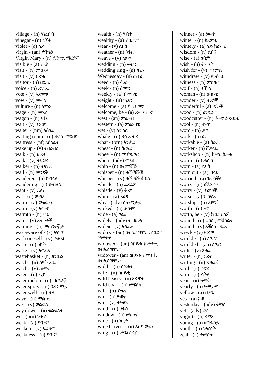village - (n) ሃገረሰብ vinegar - (n) ኣቸቶ violet - (a) ሊላ virgin - (an) ድንግል Virgin Mary - (n) ድንግል ማርያም visible - (a) ዝረአ visit -  $(n)$  ምብጻኞ visit - (v) በጽሐ visitor - (n) በጻሒ voice - (n) ድምጺ vote - (v) ኣድመጸ vow -  $(v)$  መሓለ vulture - (n) ኣሞራ wage -  $(n)$  መሃያ wagon - (n) ባጎኒ wait - (v) ተጸበየ waiter - (nm) ኣሰላፊ waiting room - (n) ክፍሊ መጸበዩ waitress - (nf) ኣሰላፊት wake up - (v) ተበራበረ walk - (n) ዙረት walk - (v) ተዛወረ walker - (n) ተዛዋሪ wall - (n)  $\omega$ ?<br> $\mathcal{R}$  $\Phi$ wanderer - (n) ኮብላሊ wandering - (n) ኩብለላ want - (v) ደለየ war - (n) ውግእ warm  $-$  (a)  $\omega_b \omega_b$ warm - (v) አው*ዓ*የ warmth - (n) ዋዒ warn - (v) ኣጠንቀቐ warning - (n)  $\omega$   $\eta$ ? $\phi$  $\phi$ ታ was aware of - (a) ፍሉጥ wash oneself - (v) ተሓጸበ wasp - (n) ዕኮት waste - (v) ኣጥፈአ wastebasket - (n) ዘንቢል watch - (n) ሰዓት ኢድ watch - (v) ጠመተ water - (n) ማይ water melon - (n) ብርጭቕ water spray - (n) ንጽጎ ማይ water well - (n) ዒላ wave - (n) ማዕበል wax - (v) ወልወለ way down - (n) ቁልቁለት we - (prn) ንሕና weak - (a) ድኹም weaken - (v) ኢድከመ weakness - (n) ድኻም

wealth - (n) ሃብቲ wealthy - (a) ሃብታም wear - (v) ለበሰ weather - (n) ንፋስ weave - (v) ኣለመ wedding  $-$  (n)  $\omega_0$ wedding ring - (n) ካቲም Wednesday - (n) ሮቡዕ weed - (n) ሳዕሪ week -  $(n)$  ሰሙን weekly - (a) ሰሙናዊ weight  $-$  (n)  $\frac{m}{l}$ welcome - (a) ደሓን መጸ welcome, be - (n) ደሓን ምጽ west - (an) ምዕራብ western - (a) ምዕራባዊ wet - (v) ኣጥለለ whale - (n) ዓሳ ኣንበሪ what - (prn) እንታይ wheat - (n) ስርናይ wheel  $-$  (n)  $\omega$ ? ኮርኮር when  $-$  (adv)  $\omega h$ whip - (n) ኩርማጅጅ whisper - (n) ሕሹኽሹኽ whisper - (v) ሕሹኽሹኽ በለ whistle - (n) ፊጽፊጽ whistle - (v) ፋጸየ white  $-(a)$   $8b<sup>2</sup>$ why - (adv) ስለምንታይ wicked - (a) ሕሱም wide - (a) ገፊሕ widely - (adv) ብብዚሒ widen - (v) አ*ግ*ፌሐ widow - (an) ሰብኣያ ዝሞታ, ሰበይቱ ዝመተቶ widowed - (an) ሰበይቱ ዝመተቶ, ሰብኣያ ዝሞታ widower - (an) ሰበይቱ ዝመተቶ, ሰብኣያ ዝሞታ width - (n) ስፍሓት wife - (n) ሰበይቲ wild beasts - (n) ኣራዊት wild boar - (n) መፍለስ will - (n) ድሌት win - (n) ዓወት win - (v) ተዓወተ wind - (n) ንፋስ window - (n) መስኮት wine - (n) ነቢት wine harvest - (n) እርያ ወይኒ wing  $-$  (n) መንፈርፈር

winner -  $(a)$  ዕዉት winter - (n) ክረምቲ wintery - (a) ናይ ክረምቲ wisdom - (n) ልቦና wise - (a) ለባም wish - (n) ትምኒት wish for - (v) ተተምነየ withdraw - (v) ኣንሰሓበ witness - (n) ምስክር wolf - (n) ተኹላ woman - (n) ሰበይቲ wonder - (v) ተደነቐ wonderful - (a) ዘደንቕ wood - (n) ዕንጸይቲ woodcutter - (n) ቆራጽ ዕንጸይቲ wool - (n) ጡጥ word - (n) ቃል work - (n) ዕዮ workable - (a) ስራሕ worker - (n) ሸቃላይ workshop - (n) ክፍሊ ስራሕ worm - (n) ሓሰኻ worn - (a) ልባስ worn out - (a) ብላይ worried - (a) ዝተሻቐለ worry - (n) ሸቐልቀል worry - (v) ተጨነቐ worse - (a) ዝኸፍአ worship - (n) እምነት worth - (n) ዋጋ worth, be - (v) ክብሪ ዘለዎ wound - (n) ቁስሊ, መቑሰልቲ wound - (v) ኣቑሰለ, ጎድአ wreck - (v) ኣዕነወ wrinkle -  $(n)$   $\phi \eta \mathcal{C}$ wrinkled - (an) ዕጣር write - (v) ጸሓፈ writer - (n) ደራሲ writing - (n) ጽሕፈት yard - (n) ቀጽሪ yarn - (n) ፈትሊ year - (n) ዓመት yearly - (a) ዓመታዊ yellow - (a) ቢጫ yes - (a) እወ yesterday - (adv) ትማሊ yet - (adv) ጌና yogurt - (n) ሩግኦ young - (a)  $\omega$ ንእሰይ youth - (n) ንእስነት zeal - (n) ተመስጦ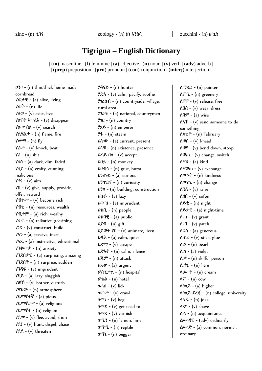## **Tigrigna – English Dictionary**

| (**m**) masculine | (**f**) feminine | (**a**) adjective | (**n**) noun | (**v**) verb | (**adv**) adverb | | (**prep**) preposition | (**prn**) pronoun | (**con**) conjunction | (**interj**) interjection |

ሀንዛ - (n) thin/thick home made cornbread ሂወታዊ - (a) alive, living ሂወት - (n) life ሃለወ - (v) exist, live ሃለዋት ኣጥፈአ - (v) disappear ሃለው በለ - (v) search ሃልሃልታ - (n) flame, fire  $\mathcal{Y}$ <sub>*σ*<sup> $\sigma$ </sup>*γ* - (n) fly</sub>  $\mathcal{V} \mathcal{L}^{op}$  - (v) knock, beat  $\gamma$ <sub>2</sub> - (n) shit ሃሳስ - (a) dark, dim, faded ሃሳይ - (a) crafty, cunning, malicious ሃቀነ - (v) aim ሃበ - (v) give, supply, provide, offer, reward ሃብተመ - (v) become rich ሃብቲ - (n) resources, wealth ሃብታም - (a) rich, wealhy ሃታፍ - (a) talkative, gossiping ሃነጸ - (v) construct, build ሃናን - (a) passive, inert ሃናጺ - (a) instructive, educational ሃንቀውታ - (n) anxiety ሃንደበታዊ - (a) surprising, amazing ሃንደበት - (n) surprise, sudden ሃንዳፍ - (a) imprudent ሃካይ - (a) lazy, sluggish ሃወኸ - (v) bother, disturb ሃዋህው - (n) atmosphere ሃይማኖተኛ - (a) pious ሃይማኖታዊ - (a) religious ሃይማኖት - (n) religion  $\gamma g \varpi$  - (v) flee, avoid, shun ሃደነ - (v) hunt, dispel, chase ሃደደ - (v) threaten

ሃዳናይ - (n) hunter ሃድአ - (v) calm, pacify, soothe ሃገረሰብ - (n) countryside, village, rural area ሃገራዊ - (a) national, countrymen  $\sqrt{7}$  - (n) country ሃጸይ - (n) emperor ሃፋ - (n) steam ህሉው - (a) current, present ህላዌ - (n) existence, presence ህራይ በላ - (v) accept ህበይ - (n) monkey ህቦብላ - (n) gust, burst ህንጡይ - (a) curious ህንጥይና - (n) curiosity ህንጻ - (n) building, construction ህኩይ - (a) lazy ህዉኽ - (a) imprudent ህዝቢ - (n) people ህዝባዊ - (a) public  $\mathcal{V}$ ያብ - (n) gift ህይወት ሃበ - (v) animate, liven ህዱእ - (a) calm, quiet ህድማ - (v) escape ህድኣት - (n) calm, silence ህጁም - (n) attack ህጹጽ - (a) urgent ሆስፒታል - (n) hospital ሆቴል - (n) hotel ለሓሰ - (v) lick  $\Lambda^{\text{op}}$  - (v) crawl ለመነ - (v) beg ለመደ - (v) get used to ለመጸ - (v) varnish ለሚን - (n) lemon, lime ለማሚ - (n) reptile ለማኒ - (n) beggar

ለማጻይ - (n) painter ለምዒ - (n) greenery ለቐቐ - (v) release, free ለበሰ - (v) wear, dress ለባም - (a) wise ለኣኸ - (v) send someone to do something ለካቲት - (n) February ለወሰ - (v) knead ለወየ - (v) bend down, stoop  $\Lambda \omega_{\Omega}$  - (v) change, switch ለዋህ - (a) kind ለዋወጠ - (v) exchange ለውሃት - (n) kindness ለውጢ - (n) change ለዓለ - (v) raise ለዘበ - (v) soften ለይቲ - (n) night ለይታዊ - (a) night-time ለገሰ - (v) grant ለገበ - (v) patch ለጋስ - (a) generous ለጠፈ - (v) stick, glue ሉል - (n) pearl ሊላ - (a) violet ሊቕ - (n) skilful person ሊተር - (n) litre ላህመት - (n) cream ላም - (n) cow ላዕላይ - (a) higher ላዕላይ-ደረጃ - (n) college, university ላግጺ - (n) joke ላጸየ - (v) shave ሌላ - (n) acquaintance ልሙዳዊ - (adv) ordinarily ልሙድ - (a) common, normal, ordinary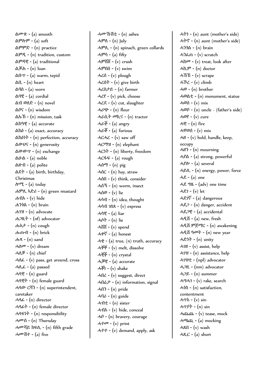ልሙጽ - (a) smooth ልምሉም - (a) soft ልምምድ - (n) practice ልምዲ - (n) tradition, custom ልምዳዊ - (a) traditional ልቓሕ - (n) loan ልቡጥ - (a) warm, tepid ልቢ - (n) heart ልባስ - (a) worn ልባዊ - (a) cordial ልብ ወለድ - (n) novel ልቦና - (n) wisdom ልኡኽ - (n) mission, task ልክዓዊ - (a) accurate ልክዕ - (a) exact, accuracy ልክዕነት - (n) perfection, accuracy ልውህና -  $(n)$  generosity ልውው $\tau$  - (n) exchange ልዑል - (a) noble ልዙብ - (a) polite ልደት - (a) birth, birthday, Christmas ሎሚ - (a) today ሐምሊ ኣድሪ - (n) green mustard ሐብአ - (v) hide ሐንጎል - (n) brain ሐገዝ - (n) advocate ሐጋዚት - (nf) advocator ሑአታ - (n) cough ሑጡብ - (n) brick  $d<sub>1</sub>$  -  $(n)$  sand ሓለመ - (v) dream ሓለቓ - (n) chief ሓለፈ - (v) pass, get around, cross ሓሊፈ - (a) passed ሓላዊ - (n) guard ሓላዊት - (n) female guard ሓላው ርሻን - (n) superintendent, caretaker ሓላፊ - (n) director ሓላፊት - (n) female director ሓላፍነት - (n) responsibility ሓሙስ - (n) Thursday ሓሙሻይ ክፍሊ - (n) fifth grade ሓሙሽተ - (a) five

ሓሙኹሽቲ - (n) ashes ሓምለ - (n) July ሓምሊ - (n) spinach, green collards ሓምሳ - (a) fifty ሓምሸሸ - (v) crush ሓምበሰ - (v) swim ሓረሰ - (v) plough ሓረሰት - (v) give birth ሓረስታይ - (n) farmer ሓረየ - (v) pick, choose ሓረደ - (v) cut, slaughter ሓሪጭ - (n) flour ሓራሲት መኪና - (n) tractor ሓራቕ - (a) angry ሓራቖ - (a) furious ሓርሓረ - (v) saw off ሓርማዝ - (n) elephant ሓርነት - (n) liberty, freedom ሓርፋፍ - (a) rough ሓሰማ - (n) pig ሓሰር - (n) hay, straw ሓሰበ - (v) think, consider ሓሰኻ - (n) worm, insect ሓሰወ - (v) lie ሓሳብ - (n) idea, thought ሓሳብ ገለጸ - (v) express ሓሳዊ - (a) liar ሓሶት - (n) lie ሓሸሸ - (v) spend ሓቀኛ - (a) honest  $A\Phi$  - (a) true, (n) truth, accuracy ሓቐቐ - (v) melt, dissolve ሓቒቐ -  $(n)$  crystal ሓቓዊ - (a) accurate ሓቖነ - (v) shake ሓበረ - (v) suggest, direct ሓበሬታ - (n) information, signal ሓበን - (n) pride ሓባሪ - (n) guide ሓብቲ - (n) sister ሓብአ - (v) hide, conceal ሓቦ - (n) bravery, courage ሓተመ - (v) print ሓተተ - (v) demand, apply, ask

ሓትነ - (n) aunt (mother's side) ሓትኖ - (n) aunt (mother's side) ሓንጎል - (n) brain ሓንፈጠ - (v) scratch ሓከመ - (v) treat, look after ሓኪም - (n) doctor ሓኸኸ - (v) scrape ሓኾረ - (v) climb ሓወ - (n) brother ሓወልቲ - (n) monument, statue ሓወሰ - (v) mix ሓወቦ - (n) uncle - (father's side) ሓወየ - (v) cure ሓዊ - (n) fire ሓዋወሰ - (v) mix ሓዘ - (v) hold, handle, keep, occupy ሓዘን - (n) mourning ሓያል - (a) strong, powerful ሓያሎ - (a) several ሓይሊ - (n) energy, power, force ሓደ - (a) one ሓደ ግዜ - (adv) one time ሓደገ - (v) let ሓደገኛ - (a) dangerous ሓደጋ - (n) danger, accident ሓደጋዊ - (a) accidental ሓዲሽ - (a) new, fresh ሓዲሽ ምጅማር - (n) awakening ሓዲሽ ዓመት - (n) new year ሓድነት - (n) unity  $\text{A2H} - (\text{v})$  assist, help ሓገዝ - (n) assistance, help ሓገዝቲ - (npl) advocator ሓጋዚ - (nm) advocator ሓጋይ - (n) summer ሓግሓገ - (v) rake, search ሓጎስ - (n) satisfaction, contentment ሓጥአ - (v) sin ሓጥያት - (n) sin ሓጨጨ - (v) tease, mock ሓጫጪ - (a) mocking ሓጸበ - (v) wash ሓጺር - (a) short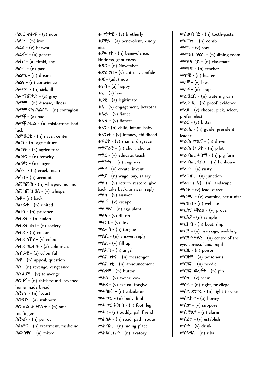ሓጺር ጽሑፍ - (v) note ሓጺን - (n) iron ሓፈሰ - (v) harvest ሓፈሻዊ - (a) general ሓፋር - (a) timid, shy ሕሉፍ - (n) past ሕልሚ - (n) dream ሕልና - (n) conscience ሕሙም -  $(n)$  sick, ill ሕሙኽሽታይ - (a) grey ሕማም - (n) disease, illness ሕማም ምትሕልላፍ - (n) contagion ሕማ $\widetilde{\Phi}$  - (a) bad ሕማቕ ዕድል - (n) misfortune, bad luck ሕምብርቲ - (n) navel, center ሕርሻ - (n) agriculture ሕርሻዊ - (a) agricultural ሕርቃን - (n) ferocity ሕርቓን - (n) anger ሕሱም - (a) cruel, mean ሕሳብ - (n) account ሕሹኽሹኽ - (n) whisper, murmur ሕሹኽሹኽ በለ - (v) whisper ሕቆ - (n) back ሕቡራት - (n) united ሕቡስ - (n) prisoner ሕብረት - (n) union ሕብረት ሰብ - (n) society ሕብሪ - (n) colour ሕብሪ ለኸየ - (v) colour ሕብሪ ዘይብሉ - (a) colourless ሕብራዊ - (a) colourful  $\hbar \hat{\mathcal{F}}$  - (n) appeal, question  $\hbar$  - (n) revenge, vengeance ሕነ ፈደየ - (v) to avenge ሕንባሻ - (n) thick round leavened home made bread ሕንጉጉ - (n) locust ሕንግድ - (a) stubborn ሕንጢል ሕንጥሊቶ - (n) small toe/finger ሕንጻይ - (n) parrot ሕክምና - (n) treatment, medicine ሕውስዋስ - (a) mixed

ሕውነታዊ - (a) brotherly ሕያዋይ - (a) benevolent, kindly, nice ሕያውነት - (n) benevolence, kindness, gentleness ሕዳር - (n) November ሕድሪ ሃበ - (v) entrust, confide ሕጂ - (adv) now ሕጉስ - (a) happy ሕጊ - (v) law ሕጋዊ - (a) legitimate ሕጸ - (v) engagement, betrothal ሕጹይ - (v) fiancé ሕጺቲ - (v) fiancée ሕጻን - (n) child, infant, baby ሕጻንነት - (v) infancy, childhood ሕፍረት - (v) shame, disgrace  $\omega$ *συγγυ* $\langle$  $\cdot$ <sup>2</sup> - (n) choir, chorus  $\sigma P$ <sup> $\sigma$ </sup> $\sim$  (v) educate, teach መሃንድስ - (n) engineer  $\omega$ <sup>*my* $H - (v)$ </sup> create, invent  $\sigma P$ ',  $\rho$  - (n) wage, pay, salary መለሰ - (v) return, restore, give back, take back, answer, reply መለሸ - (v) answer መለቐ - (v) escape መለንዛና - (n) egg-plant መለአ - (v) fill up መላገቢ - (v) link መልሓስ - (n) tongue መልሲ - (n) answer, reply መልአ - (v) fill up መልኣኽ - (n) angel መልእኽተኛ - (n) messenger መልእኽቲ - (n) announcement መልጎም - (n) button መሓለ - (v) swear, vow  $\omega$ <sub>d</sub> $\omega$  - (v) excuse, forgive መሓሰበት - (n) calculator  $\omega_{\text{th}} \omega_{\text{th}} - (n)$  body, limb መሓውር እንስሳ - (n) foot, leg  $\omega_{\text{d}}$  - (n) buddy, pal, friend መሕለፊ - (n) road, path, route መሕብኢ - (n) hiding place መሕጸቢ ቤት - (n) lavatory

መሕጸብ ስኒ - (n) tooth-paste መመሸጥ - (n) comb  $\sigma$ <sup>D</sup> $\sigma$ <sup>p</sup> - (v) sort መመገቢ ክፍሊ - (n) dining room መማህርተይ - (n) classmate መምህር - (n) teacher መሞቒ - (n) heater መረቐ - (v) bless መረቕ - (n) soup መረብረቢ - (n) watering can  $\omega$ 278 - (n) proof, evidence  $\omega$ *d*<sup>2</sup> $\theta$  - (v) choose, pick, select, prefer, elect  $\omega$ *GC* - (a) bitter  $\omega_{\text{C}}$  - (n) guide, president, leader መራሕ መኪና - (n) driver መራሕ ነፋሪት - (n) pilot መራብሒ ሓሰማ - (n) pig farm መራብሒ ደርሁ - (n) henhouse መራት - (a) rusty መራኸቢ - (n) junction መሬት, (ገጽ) - (n) landscape  $\omega$ C<sub>ch</sub> - (v) lead, direct  $\omega$ *C* $\omega$ <sub>2</sub> - (v) examine, scrutinize  $\omega$ C(l·fl - (n) website መርትያ ኣቕረበ - (v) prove መርኣያ - (n) sample  $\omega$ Ch $\Omega$  - (n) boat, ship  $\omega_0$  - (n) marriage, wedding መርዓት ዓይኒ - (n) centre of the eye, cornea, lens, pupil  $\omega$ CH<sub>c</sub> - (n) poison  $\omega$ <sub>C</sub>H<sub></sub><sup>p</sup> - (a) poisonous መርፍእ - (n) needle መርፍእ ወረቐት - (n) pin መሰለ - (v) seem መሰል - (n) right, privilege መሰል ድምጺ - (n) right to vote መሰልከዊ - (a) boring መሰሎ - (v) suppose መሰማዕታ - (n) alarm መሰረተ - (v) establish መሰተ - (v) drink መሰናግለ - (n) ribs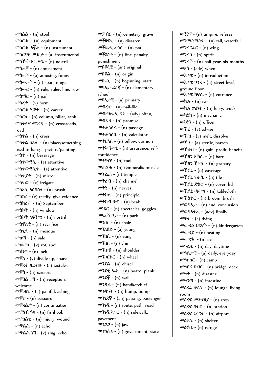መሳልል - (n) stool መሳርሒ - (n) equipment መሳርሒ ኣቕሓ - (n) instrument መሳርያዊ ሙዚቃ - (a) instrumental መሳኹት ኣፍንጫ - (n) nostril መስሓቒ - (n) amusement መስሓቕ - (a) amusing, funny መስመራት - (n) span, range  $\omega$ <sup>o</sup>n<sup>o</sup> $\omega$ <sup>-</sup> (n) rule, ruler, line, row መስማር - (n) nail መስረተ - (v) form መስርሕ ሂወት - (n) career መስርዕ - (n) column, pillar, rank መስቀላዊ መንገዲ - (n) crossroads, road መስቀል - (n) cross መስቀል ስእሊ - (n) place/something used to hang a picture/painting መስተ - (n) beverage መስተውዓሊ - (a) attentive መስተውዓሊት - (a) attentive መስትያት - (n) mirror መስኖወ - (v) irrigate መስኣሊ ኣስባስላ - (n) brush  $\omega$  m  $\Delta$  - (v) testify, give evidence መስከረም - (n) September መስኮት - (n) window መስኮት ኣፍንጫ - (n) nostril መስዋእቲ - (n) sacrifice መስጊድ - (n) mosque መሸጣ - (n) sale መሽመሸ - (v) rot, spoil መሽገጥ - (n) lock መቐለ - (v) divide up, share መቐረት ዘይብሉ - (a) tasteless መቐስ - (n) scissors መቐበል ጋሻ - (n) reception, welcome መቐንዘዊ - (a) painful, aching መቐዝ - (n) scissors መቐጸልታ - (n) continuation መቑለብ ዓሳ - (n) fishhook መቑሰልቲ - (n) injury, wound መቓልሕ - (n) echo መቓልሕ ሃበ - (v) ring, echo

መቓብር - (n) cemetery, grave መቕዘፍቲ - (n) disaster መቕድሒ ፈሳሲ - (n) pot መቕጻዕቲ - (n) fine, penalty, punishment መበቆላዊ - (an) original መበቆል - (n) origin  $\omega$   $\eta$   $\eta$   $\eta$  -  $(n)$  beginning, start መባእታ ደረጃ - (n) elementary school መባእታዊ - (a) primary መብረድ - (n) nail-file መብዛሕቱኢ ግዝ - (adv) often, መብጽዓ - (n) promise መተሓላለፊ - (n) passage መተሓሳሰቢ - (n) calculator መተርኣስ - (n) pillow, cushion መተኣማመኒ - (n) assurance, selfconfidence መተዓየዩ - (n) tool መታልሕ - (n) temporalis muscle መትልሕ - (n) temple መትረብ - (n) channel መትኒ - (n) nerves መትከል - (n) principle መትኮብ ዑፍ - (n) beak መነጸር - (n) spectacles, goggles መናፈሻ ቦታ - (n) park  $\sigma$ <sup>2</sup> $\eta$ (C - (n) chair መንእሰይ - (a) young መንከሲ - (n) sting መንከስ - (n) chin መንኩብ - (n) shoulder መንኮርኮር - (n) wheel መንደል - (n) chisel መንደቒ ኡሕ - (n) board, plank መንደቕ - (n) wall መንዲል - (n) handkerchief መንዳዓት - (n) hump, bump መንገደኛ - (an) passing, passenger መንገዲ - (n) route, path, road መንገዲ ኣጋር - (n) sidewalk, pavement  $\sigma$ ? $\mathcal{P}$ 27 - (n) jaw መንግስቲ - (n) government, state

መንጎኛ - (n) umpire, referee መንጫዕጫዕታ - (n) fall, waterfall መንፈርፈር - (n) wing መንፈስ - (n) spirit መንፈቕ - (n) half-year, six months መኣስ - (adv) when መእተዊ - (n) introduction መእተዊ ህንጻ - (n) street level, ground floor መእተዊ ክፍሊ - (n) entrance መኪና - (n) car መኪና ጽዕነት - (n) lorry, truck መካኒክ - (n) mechanic መኮነን - (n) officer መኸረ - (v) advise መኸኸ - (v) melt, dissolve መኻን - (a) sterile, barren መኽሰብ - (n) gain, profit, benefit መኽዘን አኽሊ - (n) barn መኽዘን ኽፍሊ - (n) granary መኽደኒ - (n) coverage መኽደኒ ናሕሲ - (n) tile መኽደኒ ድስቲ - (n) cover, lid መኽደኒ ጣውላ - (n) tablecloth መኾስተር - (n) broom, brush መወዳእታ - (n) end, conclusion መወዳእትኢ - (adv) finally  $\sigma$ <sup> $\sigma$ </sup> $\sigma$ <sup>+</sup> $\sigma$ <sup>+</sup>  $\sigma$ <sup>+</sup> $\sigma$ <sup>+</sup> $\sigma$ <sup>+</sup> $\sigma$ <sup>+</sup> $\sigma$ <sup>+</sup> $\sigma$ <sup>+</sup> $\sigma$ <sup>+</sup> $\sigma$ <sup>+</sup> $\sigma$ <sup>+</sup> $\sigma$ <sup>+</sup> $\sigma$ <sup>+</sup> $\sigma$ <sup>+</sup> $\sigma$ <sup>+</sup> $\sigma$ <sup>+</sup> $\sigma$ <sup>+</sup> $\sigma$ <sup>+</sup> $\sigma$ <sup>+</sup> $\sigma$ <sup>+</sup> $\sigma$ <sup>+</sup> $\sigma$ <sup>+</sup> መውዓል ህጻናት - (n) kindergarten  $\sigma \omega$ ው $\theta$ ይ - (n) heating መውጽኢ - (n) exit መዓልቲ - (n) day, daytime መዓልታዊ - (a) daily, everyday መዓስከር - (n) camp መዓሸግ ባብር - (n) bridge, deck መዓት - (n) disaster  $\sigma$ <sup>0</sup> $\sigma$ <sup>2</sup> $\eta$  - (n) intestine መዕረፊ ክፍሊ - (n) lounge, living room መዕረፍ መጓዓዝያ - (n) stop መዕረፍ ባብር - (n) station መዕረፍ ነፈርቲ - (n) airport መዕቀሊ - (n) shelter መዕቆቢ - (n) refuge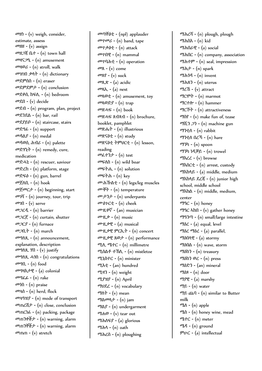$\omega$ <sub>H</sub><sup>1</sup> - (v) weigh, consider, estimate, assess  $\omega$ <sub>HH</sub> - (v) assign መዘጋጃ ቤተ - (n) town hall  $\sigma$ <sup>DH</sup> $G$ <sup>2</sup> $Q$ <sub>1</sub> - (n) amusement  $\omega$ <sub>d</sub> = (n) stroll, walk መዝገበ ቃላት - (n) dictionary መደምሰስ - (n) eraser መደምደምታ - (n) conclusion መደቀሲ ከፍሊ - (n) bedroom መደበ - (v) decide  $\omega$ ደብ - (n) program, plan, project መደንደል - (n) bar, rail  $\sigma$ ደይ $\rho$  - (n) staircase, stairs መደግፊ - (n) support መዳልያ - (n) medal መዳወሲ ሕብሪ - (n) palette መድሃኒት - (n) remedy, cure, medication መድሓኒ - (n) rescuer, saviour መድረክ - (n) platform, stage መድፍዕ - (n) gun, barrel መጀለቢ - (n) hook  $\omega$ ጀመርታ - (n) beginning, start መገሻ - (n) journey, tour, trip  $\sigma$ <sup>D</sup> $\eta$  $\theta$  - (v) serve መጋረዲ - (n) barrier መጋረጀ - (n) curtain, shutter መጋርያ - (n) furnace መጋቢት - (n) march መግለጺ - (n) announcement, explanation, description መግለጺ ሃበ - (v) justify መግለጺ ሓጎስ - (n) congratulations መግቢ - (n) food መግዛእታዊ - (a) colonial መግፈፊ - (n) rake መጎስ - (n) praise  $\sigma$ <sub>20</sub> - (n) herd, flock መጓዓዝያ - (n) mode of transport መጠረሽታ - (n) close, conclusion መጠርነፊ - (n) packing, package መጠንቀቕታ - (n) warning, alarm መጠንቐቕታ - (n) warning, alarm  $\omega$ <sub>M</sub>m - (v) stretch

መጣቐዕቲ - (npl) applauder መጥመሪ - (n) band, tape መጥቃዕቲ - (n) attack መጥበዊ - (n) mammal መጥባሕቲ - (n) operation  $\sigma P$ <sub>2</sub> - (v) come  $\sigma$ ሚየ - (v) suck መጺጽ - (a) acidic መጻኢ - (a) next መጻወቲ - (n) amusement, toy መጻወድያ - (n) trap መጽሓፍ - (n) book መጽሓፍ ጸብጻብ - (n) brochure, booklet, pamphlet መጽሔት - (n) illustrious መጽናዕቲ - (n) study መጽናዕቲ ትምህርቲ - (n) lesson, reading መፈተንታ - (n) test መፍለስ - (n) wild boar መፍትሒ - (n) solution መፍትሕ - (n) key ሙሕኹልቲ - (n) legs/leg muscles ሙቐት - (n) temperature ሙታንታ - (n) underpants ሙዕጉርቲ - (n) cheek ሙዚቀኛ - (an) musician ሙዚቃ - (n) music ሙዚቃዊ - (a) musical ሙዚቃዊ ምርኢት - (n) concert ሙዚቃዊ ጸወታ - (n) performance ሚሊ ሜተር - (n) millimetre ሚሰልቶ ተኽሊ - (n) mistletoe ሚኒስተር - (n) minister ሚእቲ - (an) hundred ሚዛን - (n) weight ሚያዝያ - (n) April ማህደረ - (n) vocabulary ማለት - (v) mean ማልመላታ - (n) jam ማልያ - (n) undergarment ማሐወ - (v) tear out ማሕለፍያ - (a) glorious ማሕላ - (n) oath ማሕረስ - (n) ploughing

ማሕረሻ - (n) plough, plough ማሕስእ - (n) kid ማሕበራዊ - (a) social ማሕበር - (n) company, association ማሕተም - (n) seal, impression ማሕታ - (n) spark ማሕጎዳ - (n) invent ማሕጸን - (n) uterus ማረኸ - (v) attract ማርሞት - (n) marmot ማርተሎ - (n) hammer ማርኾት - (n) attractiveness ማስየ - (v) make fun of, tease ማሺን ጋን - (n) machine gun ማንቲለ - (n) rabbit ማንቲለ በረኻ - (n) hare ማንካ - (n) spoon ማንካ ነዳቓይ - (n) trowel ማእረረ - (v) browse ማእሰርቲ - (n) arrest, custody ማእከላይ - (a) middle, medium ማእከላይ ደረጃ - (n) junior high school, middle school ማእከል - (n) middle, medium, center ማዓር - (n) honey ማዓር ኣከበ - (v) gather honey ማዓንጣ - (n) small/large intestine ማዕረ - (a) equal, level ማዕረ ማዕረ - (a) parallel, ማዕበላዊ - (a) stormy ማዕበል - (n) wave, storm ማዕከን - (n) treasury ማዕከን ወረ - (n) press ማዕድን - (an) mineral ማዕጾ - (n) door ማያዊ - (a) marshy ማይ - (n) water ማይ ጨባ - (n) similar to Butter milk ሜለ - (n) apple ሜስ - (n) honey wine, mead ሜተር - (n) meter ሜዳ - (n) ground ምሁር - (a) intellectual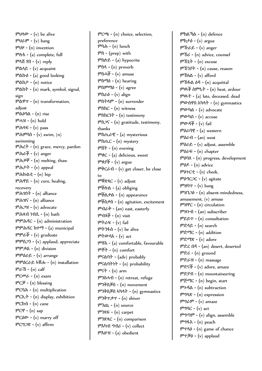ምህላው - (v) be alive ምህራም - (v) bang  $\mathcal{P} \cup \mathcal{V}$  - (n) invention ምሉእ - (a) complete, full ምላሽ ሃበ - (v) reply ምልላይ - (v) acquaint ምልኩዕ - (a) good looking ምልክታ - (n) notice ምልክት - (n) mark, symbol, signal, sign ምልዋጥ - (n) transformation, adiust ምልዕዓል - (n) rise ምሓዝ - (n) hold ምሕላፍ - (v) pass ምሕምባሰ - (v) swim, (n) swimming ምሕረት - (n) grace, mercy, pardon ምሕራቕ - (v) anger ምሕቃቐ - (n) melting, thaw ምሕታት - (v) appeal ምሕኩልቲ - (n) hip ምሕዋይ - (n) cure, healing, recovery ምሕዝነት - (n) alliance ምሕዝና - (n) alliance ምሕጋዝ - (v) advocate ምሕጻብ ነብሲ - (n) bath ምምሕዳር - (n) administration ምምሕዳር ከተማ - (a) municipal ምምራቕ - (v) graduate ምምስጋን - (v) applaud, appreciate ምምቃል - (n) division ምምዕራይ - (v) arrange ምምዕርራይ ኣቑሑ - (n) installation ምራኽ - (n) calf ምርመራ - (n) exam ምርቓ - (n) blessing ምርባሕ - (n) multiplication ምርኢት - (n) display, exhibition ምርኩስ - (n) cane ምርዋ - (n) sap ምርዕው - (v) marry off ምርግጋጽ - (v) affirm

ምርጫ - (n) choice, selection, preference ምሳሕ - (n) lunch ምስ - (prep) with ምስሉይ - (a) hypocrite ምስላ - (n) proverb ምስሓቕ - (v) amuse ምስማዕ - (n) hearing ምስምማዕ - (v) agree ምስራዕ - (v) align ምስትላም - (n) surrender ምስክር - (n) witness ምስክርነት - (n) testimony ምስጋና - (n) gratitude, testimony, thanks ምስጢራዊ - (a) mysterious ምስጢር - (n) mystery ምሸት - (n) evening ምቁር - (a) delicious, sweet ምቁያቕ - (v) argue ምቅርራብ - (v) get closer, be close to ምቑጽጻር - (v) adjust ምቕሉል - (a) obliging ምቕልቃል - (n) appearance ምቕስቃስ - (n) agitation, excitement ምብራቅ - (an) east, easterly ምብጻቕ - (n) visit ምትራፍ - (v) fail ምትንፋስ - (v) be alive ምትውሳእ - (v) act ምቹእ - (a) comfortable, favourable ምቾት - (n) comfort ምናልባት - (adv) probably ምናልባትነት - (n) probability ምናት - (n) arm ምንስሓብ - (n) retreat, refuge ምንቅስቓስ - (n) movement ምንቅስቓስ ኣካላት - (n) gymnastics ምንቅጥቃጥ - (n) shiver ምንጪ - (n) source ምንጻፍ - (n) carpet ምንጽጻር - (n) comparison ምእካብ ግብሪ - (v) collect ምእዙዝ - (a) obedient

ምክልኻል - (n) defence ምክታዕ - (v) argue ምኹራይ - (v) anger ምኽሪ - (n) advice, counsel ምኽኒት - (n) excuse ምኽንያት - (n) cause, reason ምኽኣል - (v) afford ምኽፋል ዕዳ - (n) acquittal ምዉቕ ስምዒት - (n) heat, ardour ምዉት - (a) late, deceased, dead ምውስዋስ አካላት - (n) gymnastics ምውካል - (v) advocate ምውካስ - (v) accuse ምውዳቕ - (v) fail ምዕራባዊ - (a) western ምዕራብ - (an) west ምዕራይ - (v) adjust, assemble ምዕራፍ - (n) chapter ምዕባለ - (n) progress, development ምዕዶ - (n) advice ምዕጉርቲ - (n) cheek, ምዕግርጋር - (v) agitate ምዝባጥ - (v) bang ምዝንጋዕ - (n) absent-mindedness, amusement, (v) amuse ምዝዋር - (n) circulation ምዝጉብ - (an) subscriber ምይይጥ - (n) consultation ምድላይ - (n) search ምድማር - (n) addition ምድማጽ - (v) adore ምድረ በዳ - (an) desert, deserted ምድሪ - (n) ground ምድራዝ - (n) massage ምድናቕ - (v) adore, amaze ምድያብ - (n) mountaineering ምጅማር - (n) begin, start ምጉዳል - (n) subtraction ምግላጽ - (n) expression ምግራም - (v) amaze ምግባር - (v) act ምግጣም - (v) align, assemble ምግፋእ - (n) peach ምጥላዕ - (n) game of chance ምጥቓዕ - (v) applaud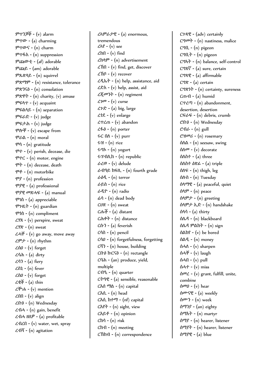ምጥንቓቕ - (v) alarm ምጥው - (a) charming ምጥውና - (n) charm ምጥፋእ - (n) suppression ምጩውቲ - (af) adorable ምጩይ - (am) adorable ምጹጽላይ - (n) squirrel ምጽማም - (n) resistance, tolerance ምጽንናዕ - (n) consolation ምጽዋት - (n) charity, (v) amuse ምፍላጥ - (v) acquaint ምፍልላይ - (n) separation ምፍራድ - (v) judge ምፍታሕ - (v) judge ሞሎቐ - (v) escape from ሞራል - (n) moral ሞሳ - (n) gratitude ሞተ - (v) perish, decease, die ሞተር - (n) motor, engine ሞት - (n) decease, death ሞቶ - (n) motorbike ሞያ - (n) profession ሞያዊ - (a) professional ሞያዊ መጽሓፍ - (a) manual ሞገስ - (a) appreciable ሞጉዚት - (n) guardian ሞጎስ - (n) compliment  $\angle$ *Y*<sub>8</sub> - (v) perspire, sweat ረሃጽ - (n) sweat  $\angle A\overline{\phi}$  - (v) go away, move away ረምታ - (n) rhythm ረሰዐ - (v) forget ረሳሕ - (a) dirty ረሳን - (a) fiery ረስኒ - (n) fever ረስዐ - (v) forget ረቂቕ - (a) thin ረቝሐ - (v) mention ረበበ - (v) align ረቡዕ - (n) Wednesday ረብሓ - (n) gain, benefit ረብሓ ዘለዎ - (a) profitable ረብረበ - (v) water, wet, spray ረብሻ - (n) agitation

ረኣምራታዊ - (a) enormous, tremendous ረኣየ - (v) see ረከበ - (v) find ረክላም - (n) advertisement  $\angle \text{Tr}(\mathbf{u}) - (\mathbf{v})$  find, get, discover ረኸቦ - (v) recover ረዲኤት - (n) help, assistance, aid ረድአ - (v) help, assist, aid ረጂመንት - (n) regiment  $\mathcal{L}$ 1 $\sigma$ <sup>D</sup> - (v) curse ረጉድ - (a) big, large ረጎደ - (v) enlarge ረጥረጠ - (v) abandon ረፋዕ - (n) porter ሩር በለ - (v) purr ሩዝ - (n) rice ሩግኦ - (n) yogurt ሩፑብሊክ - (n) republic ራረወ - (v) delude ራብዓይ ክፍሊ - (n) fourth grade ራዕዲ - (n) terror ራይስ - (n) rice ራዲዮ - (n) radio ሬሳ - (n) dead body ርሀጽ - (n) sweat ርሑቕ - (a) distant ርሕቀት - (n) distance ርሱን - (a) feverish ርሳስ - (n) pencil ርሳዐ - (n) forgetfulness, forgetting ርሻን - (n) house, building ርቡዕ ኩርናዕ - (n) rectangle ርባሕ - (an) produce, yield, multiple ርብዒ - (n) quarter ርትዓዊ - (a) sensible, reasonable ርእሰ ማል - (n) capital ርእሲ - (n) head ርእሲ ከተማ - (nf) capital ርእየት - (n) sight, view ርእይቶ - (n) opinion ርከሳ - (n) risk ርክብ - (n) meeting ርኽክብ - (n) correspondence

ርጉጻዊ - (adv) certainly ርግመት - (n) nastiness, malice  $C<sup>q</sup> \mathcal{R}$  - (n) pigeon ርግቢት - (n) pigeon ርግኣት - (n) balance, self-control ርግጸኛ - (a) sure, certain ርግጻዊ - (a) affirmable ርግጽ - (a) certain ርግጽነት - (n) certainty, sureness ርጡብ - (a) humid  $C T Z^m$  - (n) abandonment, desertion, desertion ርፍራፍ - (n) debris, crumb ሮቡዕ - (n) Wednesday ሮብራ - (n) gull ሮዝመሪ - (n) rosemary ሰለል - (n) seesaw, swing ሰለመ - (v) decorate ሰለስተ - (a) three ሰለስተ ዕጽፊ - (a) triple ሰለፍ - (n) thigh, leg ሰሉስ - (n) Tuesday ሰላማዊ - (a) peaceful, quiet ሰላም - (n) peace ሰላምታ - (n) greeting ሰላምታ ኢድ - (n) handshake ሰላሳ - (a) thirty ሰሌዳ - (n) blackboard ሰሌዳ ምልክት - (n) sign ሰልከየ - (v) be bored ሰልዲ - (n) money ሰሓለ - (v) sharpen ሰሓቐ - (v) laugh ሰሓበ - (v) pull ሰሓተ - (v) miss ሰመረ - (v) grant, fulfill, unite, combine ሰመዐ -  $(v)$  hear ሰሙናዊ - (a) weekly ሰሙን - (n) week ሰማንያ - (an) eighty ሰማእት - (n) martyr ሰማያ - (n) hearer, listener ሰማያት - (n) hearer, listener ሰማያዊ - (a) blue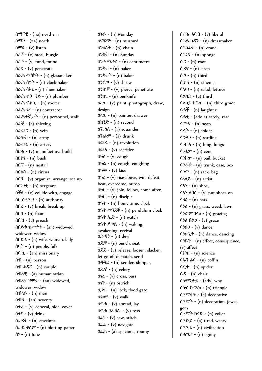ሰሜናዊ - (na) northern ሰሜን - (na) north ሰምዐ - (v) listen ሰረቐ - (v) steal, burgle ሰረተ - (v) fund, found ሰረጸ - (v) penetrate ሰራሕ መስኮት - (n) glassmaker ሰራሕ ሰዓት - (n) clockmaker ሰራሕ ሳእኒ - (n) shoemaker ሰራሕ ቱቦ ማይ - (n) plumber ሰራሕ ናሕሲ - (n) roofer ሰራሕ ገዛ - (n) contractor ሰራሕተኛታት - (n) personnel, staff ሰራቒ - (a) thieving ሰራዉር - (n) vein ሰራዊት - (n) army ሰራውር - (n) artery ሰርሐ - (v) manufacture, build ሰርነግ - (n) bush ሰርኖ - (n) nostril ሰርከስ - (n) circus ሰርዐ - (v) organize, arrange, set up ሰርገንቲ - (n) sergeant ሰቐለ - (v) collide with, engage ሰበ ስልጣን - (n) authority ሰበረ - (v) break, break up ሰበባ - (n) foam ሰበኸ - (v) preach ሰበይቱ ዝመተቶ - (an) widowed, widower, widow ሰበይቲ - (n) wife, woman, lady ሰባት - (n) people, folk ሰባኺ - (an) missionary ሰብ - (n) person ሰብ ሓዳር - (n) couple ሰብኣዊ - (a) humanitarian ሰብኣያ ዝሞታ - (an) widowed, widower, widow ሰብኣይ - (n) man ሰብዓ - (an) seventy ሰተረ - (v) conceal, hide, cover ሰተየ - (v) drink ሰታሪት - (n) envelope ሰታይ ቀለም - (n) blotting-paper ሰነ - (n) June

ሰኑይ - (n) Monday ሰናፍጭ - (n) mustard ሰንሰለት - (n) chain ሰንበት - (n) Sunday ሰንቲ ሜተረ - (n) centimetre ሰንካቲ - (n) baker ሰንካቲት - (n) baker ሰንደወ - (v) throw ሰንጠቐ - (v) pierce, penetrate ሰንጢ - (n) penknife ሰኣለ - (v) paint, photograph, draw, design ሰኣሊ - (n) painter, drawer ሰከንድ - (n) second ሰኹለለ - (v) squander ሰኽራም - (a) drunk ሰዉራ - (n) revolution ሰዉአ - (v) sacrifice ሰዓለ - (v) cough ሰዓል - (n) cough, coughing ሰዓመ - (v) kiss ሰዓረ - (v) rise above, win, defeat, beat, overcome, outdo ሰዓበ - (v) join, follow, come after, ሰዓቢ - (n) disciple ሰዓት - (n) hour, time, clock ሰዓት መንደቕ - (n) pendulum clock ሰዓት ኢድ - (n) watch ሰዓት ደወል - (n) waking, awakening, revival ሰይጣን - (n) devil ሰደቓ - (n) bench, seat ሰደደ - (v) release, loosen, slacken, let go of, dispatch, send ሰዳዳይ - (n) sender, shipper, ሰዴኖ - (n) celery  $\hat{\Gamma}$  (v) cross, pass ሰገን - (n) ostrich ሰጋጥ - (n) lock, flood gate ሰጐመ - (v) walk ሰጥሐ - (v) spread, lay ሰጥሐ ንእኽሊ - (v) toss ሰፈየ - (v) sew, stitch, ሰፈፈ - (v) navigate ሰፊሕ - (a) spacious, roomy

ሰፊሕ ሓሳብ - (a) liberal ሰፋይ ክዳን - (n) dressmaker ሰፍሳፊት - (n) crane ሰፍነግ - (n) sponge ሱር - (n) root ሲረና - (n) siren ሲሶ - (n) third ሲነማ - (n) cinema ሳላጣ - (n) salad, lettuce ሳልሳይ - (a) third ሳልሳይ ክፍሊ - (n) third grade ሳሓ $\Phi$  - (n) laughter, ሳሓቲ - (adv a) rarely, rare ሳሙና - (n) soap ሳሬት - (n) spider ሳርዲን - (n) sardine ሳንቡእ - (n) lung, lungs ሳንቲም - (n) cent ሳንኮሎ - (n) pail, bucket ሳንዱ $\widetilde{\Phi}$  - (n) trunk, case, box ሳንጣ - (n) sack, bag ሳኣላይ - (n) artist ሳእኒ - (n) shoe, ሳእኒ ለበሰ - (v) put shoes on ሳዓዕ - (n) oats ሳዕሪ - (n) grass, weed, lawn ሳዕሪ ምብላዕ - (n) grazing ሳዕሪ በል $0 - (v)$  graze ሳ $\phi$ ሰ $\theta$  - (v) dance ሳዕስዒት - (n) dance, dancing ሳዕቤን - (n) effect, consequence, (v) affect ሳየንስ - (n) science ሳጹን ሬሳ - (n) coffin ሳፌት - (n) spider ሴዳ - (n) chair ስለምንታይ - (adv) why ስሉስ ኩርናዕ - (n) triangle ስልማታዊ - (a) decorative ስልማት - (n) decoration, jewel, gem ስልማት ክሳድ - (n) collar ስልኩይ - (a) tired, weary ስልጣኔ - (n) civilization ስሕግታ - (n) agony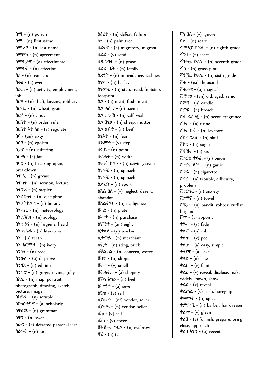ስሚ - (n) poison ስም - (n) first name ስም ኣቦ - (n) last name ስምምዕ - (n) agreement ስምዒታዊ - (a) affectionate ስምዒት - (n) affection ስረ - (n) trousers ስሩዕ - (a) even ስራሕ - (n) activity, employment, job ስርቂ - (n) theft, larceny, robbery ስርናይ - (n) wheat, grain ስርኖ - (n) sinus ስርዓት - (n) order, rule ስርዓት ኣትሓዘ - (v) regulate ስሳ - (an) sixty ስስዐ - (n) egoism ስቓይ - (n) suffering ስቡሕ - (a) fat ስባር - (n) breaking open, breakdown ስብሒ - (n) grease ስብከት - (n) sermon, lecture ስተፕረ - (n) stapler ስነ ስርዓት - (n) discipline ስነ ኣትክልቲ - (n) botany ስነ ኣየር - (n) meteorology ስነ እንስሳ - (n) zoology ስነ ጥዕና - (n) hygiene, health ስነ ጽሑፋ - (n) literature ስኒ - (n) teeth ስኒ ሓርማዝ - (n) ivory ስንስላ - (n) reed ስንኩሌ - (a) disprove ስንዳእ - (n) edition ስንጥሮ - (n) gorge, ravine, gully ስእሊ - (n) map, portrait, photograph, drawing, sketch, picture, image ስክፍታ - (n) scruple ስኮላስቲካዊ - (a) scholarly ስዋስዉ - (n) grammar ስዋን - (n) swan ስዑር - (a) defeated person, loser ስዕመት - (n) kiss

ስዕረት - (n) defeat, failure ስየ - (n) palm tree ስደተኛ - (a) migratory, migrant ስደደ - (v) send ስዲ ንባብ - (n) prose ስድራ ቤት - (n) family ስድነት - (n) imprudence, rashness ስገም - (n) barley ስጉምቲ - (n) step, tread, footstep, footprint ስጋ - (n) meat, flesh, meat ስጋ ሓሰማ - (n) bacon ስጋ ምራኽ - (n) calf, veal ስጋ በጊዕ - (n) sheep, mutton ስጋ ከብቲ - (n) beef ስጌኣት - (n) fear ስጒምቲ - (v) step ስፋይ - (n) point ስፍሓት - (n) width ስፍየት ክዳን - (n) sewing, seam ስፐናቺ - (n) spinach ስፒናቺ - (n) spinach ስፖርት - (n) sport ሸለል በለ - (v) neglect, desert, abandon ሸለልትነት - (n) negligence ሸሓኒ - (n) plate ሸመታ - (n) purchase ሸሞንተ - (an) eight ሸቃላይ - (n) worker ሸቃጣይ - (n) merchant ሸቅታ - (n) sting, prick ሸቐልቀል - (n) concern, worry ሸበጥ - (n) slipper ሸተተ - (v) smell ሸትሕትሖ - (a) slippery ሸኾና እግሪ - (n) heel ሸውዓተ - (a) seven ሸየጠ - (v) sell ሸያጢት - (nf) vendor, seller ሸያጣይ - (n) vendor, seller ሸጠ - (v) sell ሸፈነ - (v) cover ሸፋሽፍቲ ዓይኒ - (n) eyebrow ሻሂ - (n) tea

ሻላ በለ - (v) ignore ሻል - (n) scarf ሻሙናይ ክፍሊ - (n) eighth grade ሻርባ - (n) scarf ሻቡዓይ ክፍሊ - (n) seventh grade ሻኻ - (n) grass plot ሻዱሻይ ክፍሊ - (n) sixth grade ሽሕ - (na) thousand ሽሕራዊ - (a) magical ሽማግለ - (an) old, aged, senior ሽምዓ - (n) candle ሽሮፍ - (n) breach ሽታ ፈረንጂ - (n) scent, fragrance ሽንቲ - (n) urine ሽንቲ ቤት - (n) lavatory ሽክና ርእሲ - (n) skull ሽኮር - (n) sugar ሽዱሽተ - (a) six ሽጉርቲ ቀይሕ - (n) onion ሽጉርቲ ጻዕዳ - (n) garlic ሽጋራ - (n) cigarette ሽግር - (n) trouble, difficulty, problem ሽግርግር - (n) anxiety ሽጎማኖ - (n) towel ሽፍታ - (n) bandit, robber, ruffian, brigand ሾመ - (v) appoint  $\phi$ *y* $\sigma$  - (v) fade ቀለም - (n) ink ቀለጠ - (v) peel ቀሊል - (a) easy, simple ቀላያዊ - (a) lake ቀላይ - (n) lake ቀልቡ - (v) faint ቀልዐ - (v) reveal, disclose, make widely known, show ቀልዕ - (v) reveal ቀልጠፈ - (v) rush, hurry up ቀመማት - (n) spice ቀምቃሚ - (n) barber, hairdresser  $\phi \angle \phi$  - (v) glean ቀረበ - (v) furnish, prepare, bring close, approach ቀረባ እዋን - (a) recent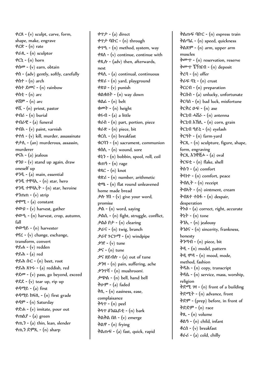ቀረጸ - (v) sculpt, carve, form, shape, make, engrave ቀረጽ - (n) rate ቀራጺ - (n) sculptor  $\phi$  $\mathcal{C}$ ' $\mathcal{L}$  - (n) horn ቀሰመ - (v) earn, obtain ቀስ - (adv) gently, softly, carefully ቀስተ - (n) arch ቀስተ ደመና - (n) rainbow ቀስቲ - (n) arc ቀሸም - (n) arc ቀሺ - (n) priest, pastor ቀብሪ - (n) burial ቀብራዊ - (a) funeral ቀብአ - (v) paint, varnish ቀተለ - (v) kill, murder, assassinate ቀታሊ - (an) murderous, assassin, murderer ቀናአ - (a) jealous  $\phi$ <sup>2</sup> $0$  - (v) stand up again, draw oneself up ቀንዲ - (a) main, essential ቀንዲ ተዋሳኢ - (n) star, hero ቀንዲ ተዋሳኢት - (n) star, heroine ቀንጠጠ - (v) strip ቀዋሚ - (a) constant  $\phi \Phi \Phi$  - (v) harvest, gather  $\phi \Phi \Phi$ <sub>4</sub> - (n) harvest, crop, autumn, fall ቀውዓይ - (n) harvester ቀየረ - (v) change, exchange, transform, convert ቀይሐ - (v) redden ቀይሕ - (a) red ቀይሕ ሱር - (n) beet, root ቀይሕ ጸጉሩ - (a) reddish, red ቀደመ - (v) pass, go beyond, exceed  $\phi$ ደደ - (v) tear up, rip up ቀዳማይ - (a) first ቀዳማይ ክፍሊ - (n) first grade ቀዳም - (n) Saturday ቀድሐ - (v) imitate, pour out ቀጠልያ - (a) green ቀጢን - (a) thin, lean, slender ቀጢን ድምጺ - (n) sharp

ቀጥታ - (a) direct ቀጥታ ባቡር - (n) through ቀጥዒ - (n) method, system, way ቀጸለ - (v) continue, continue with ቀጺሉ - (adv) then, afterwards, next ቀጻሊ - (a) continual, continuous ቀጽሪ - (n) yard, playground ቀጽዐ - (v) punish ቁልቁለት - (n) way down ቁልፊ - (n) belt ቁመት - (n) height ቁሩብ - (a) a little ቁራስ - (n) part, portion, piece ቁራጽ - (n) piece, bit ቁርሲ - (n) breakfast ቁርባን - (n) sacrament, communion ቁስሊ - (n) wound, sore ቁኒን - (n) bobbin, spool, roll, coil ቁጠዓ - (n) rage ቁጻር - (n) knot ቁጽሪ - (n) number, arithmetic ቂጫ - (n) flat round unleavened home made bread ቃሉ ሃበ - (v) give your word, promise ቃል - (n) word, saying ቃልሲ - (n) fight, struggle, conflict, ቃልዕ ቦታ - (n) clearing ቃራና - (n) twig, branch ቃራየ ጉርጉማ - (n) windpipe ቃነየ - (v) tune ቃና - (n) tune ቃና ዘይብሉ - (a) out of tune ቃንዛ - (n) pain, suffering, ache ቃንጥሻ - (n) mushroom\ ቃጭል - (n) bell, hand bell ቅሁም - (a) faded ቅሊ - (n) easiness, ease, complaisance ቅላጥ - (n) peel ቅላጥ ዕንጨይቲ - (n) bark ቅልቅል በለ - (v) emerge ቅልዋ - (n) frying ቅልጡፍ - (a) fast, quick, rapid

ቅልጡፍ ባቡር - (n) express train ቅልጣፈ - (n) speed, quickness ቅልጽም - (n) arm, upper arm muscles ቅሙጥ -  $(n)$  reservation, reserve ቅሙጥ ጜኝዤብ - (n) deposit ቅረባ - (n) offer ቅራፍ ባኒ - (n) crust ቅርርብ - (n) preparation ቅርሱስ - (a) unlucky, unfortunate ቅርሳሰ - (n) bad luck, misfortune ቅርቅረ ዑፍ - (n) axe ቅርኒብ ሓሸራ - (n) antenna ቅርኒብ እኽሊ - (n) corn, grain ቅርኒብ ዓይኒ - (n) eyelash ቅርዓት - (n) farm-yard ቅርጺ - (n) sculpture, figure, shape, form, engraving ቅርጺ እንቋቒሖ - (a) oval ቅርፍቲ - (n) flake, shell ቅሱን - (a) comfort ቅሳነተ - (n) comfort, peace ቅብሊት - (n) receipt ቅብኣት - (n) ointment, cream ቅብጸተ ተስፋ - (n) despair, desperation ቅኑዕ - (a) correct, right, accurate ቅኒት - (n) tone ቅንኢ - (n) jealousy ቅንዕና - (n) sincerity, frankness, honesty ቅንጣብ - (n) piece, bit ቅዲ - (n) model, pattern ቅዲ ሞዳ - (n) mood, mode, method, fashion ቅዳሕ - (n) copy, transcript ቅዳሴ - (n) service, mass, worship, religion ቅድሚ ገዛ - (n) front of a building ቅድሚት - (n) advance, front ቅድም - (prep) before, in front of ቅድድም - (n) race ቅጺ - (n) volume ቆልዓ - (n) child, infant ቆረሰ - (v) breakfast ቆራሪ - (a) cold, chilly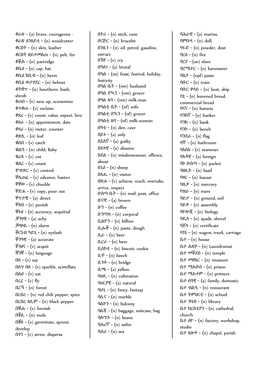ቆራጽ - (a) brave, courageous - ቆራጽ ዕንጸይቲ - (n) woodcutter ቆርበት - (n) skin, leather ቆርበት ዘይተመልጠ - (n) pelt, fur ቆቕሕ - (n) partridge ቆቢዕ - (n) cap, hat ቆቢዕ ከቢብ - (n) beret ቆቢዕ ወታሃደር - (n) helmet ቆትቋጥ - (n) hawthorn, bush, shrub ቆጠበ - (v) save up, economize ቆጥቆጠ - (v) reclaim  $\frac{1}{2}$   $\frac{1}{2}$   $\frac{1}{2}$   $\frac{1}{2}$   $\frac{1}{2}$   $\frac{1}{2}$   $\frac{1}{2}$   $\frac{1}{2}$   $\frac{1}{2}$   $\frac{1}{2}$   $\frac{1}{2}$   $\frac{1}{2}$   $\frac{1}{2}$   $\frac{1}{2}$   $\frac{1}{2}$   $\frac{1}{2}$   $\frac{1}{2}$   $\frac{1}{2}$   $\frac{1}{2}$   $\frac{1}{2}$   $\frac{1}{2}$   $\frac{1}{2}$  ቆጸራ - (n) appointment, date ቆጻሪ - (n) meter, counter ቆጽሊ - (n) leaf ቈለበ - (v) catch ቈልዓ - (n) child, Baby ቈረጸ - (v) cut ቈጸረ - (v) count ቍጽጽር - (v) control ቐሌጠፈ - (v) advance, hasten ቐቐወ - (v) chuckle ቐድሐ - (v) copy, pour out ቐጥታዊ - (a) direct ቐጽዐ - (v) punish ቑኑዕ - (n) accuracy, acquittal ቓንዛዊ - (a) achy ቓጭል - (n) alarm  $\mathcal{F}$ ርኒብ ዓይኒ - (n) eyelash ቕንዓዊ - (a) accurate ቕንዕና - (v) acquit ቛንቛ - (n) language በለ - (v) say በለጥ በለ - (v) sparkle, scintillate በል $\rho$  - (v) eat  $\Omega$ *d* - (v) fly በረኻ - (n) forest በርበረ - (n) red chili pepper, spice በርበረ ጸሊም - (n) black pepper በቑሑ - (v) furnish በቕሊ - (n) mule በቖለ - (v) germinate, sprout, develop በተነ - (v) strew, disperse

በትሪ - (n) stick, cane በናጅር - (n) bracelet በንዚን - (n) oil, petrol, gasoline, extract በኸየ - (v) cry በዓለገ - (a) brutal በዓል - (na) feast, festival, holiday, festivity በዓል ቤት - (nm) husband በዓል ድኳን - (nm) grocer በዓል ጸባ - (nm) milk-man በዓልቲ ቤት - (nf) wife በዓልቲ ድኳን - (nf) grocer በዓልቲ ጸባ - (nf) milk-woman በዓቲ - (n) den, cave በይኑ - (a) only በደለኛ - (a) guilty በደላዊ - (a) abusive በደል - (n) misdemeanour, offence, abuse  $(12\phi - (n)$  sheep በጻሒ - (n) visitor በጽሐ - (v) achieve, reach, overtake, arrive, inspect ቡስጣ ቤት - (n) mail, post, office ቡናዊ - (a) brown ቡን - (n) coffee ቡንጣዝ - (n) corporal ቢልዮን - (n) billion ቢሑ $\widetilde{\Phi}$  - (n) paste, dough ቢራ - (n) beer ቢርራ - (n) beer ቢስኮቲ - (n) biscuit, cookie ቢቸ - (n) beech ቢንቶ - (n) bridge ቢጫ - (a) yellow ባህሊ - (n) cultivation ባህርያዊ - (a) natural  $902 - (n)$  fancy, fantasy ባሊና - (n) marble ባልኮን - (n) balcony ባልጃ - (n) baggage, suitcase, bag ባሎንኌ - (n) beans ባሕረኛ - (n) sailor ባሕሪ - (n) sea

ባሕራዊ - (a) marine, ባምቡላ - (n) doll, ባሩድ - (n) powder, dust ባርዕ - (n) fire ባርያ - (an) slave ባሮሜተር - (n) barometer ባስታ - (npl) paste ባቡር - (n) train ባቡር ቀላይ - (n) boat, ship ባኒ - (n) leavened bread, commercial bread ባናና - (n) banana ባንከኛ - (n) banker ባንክ - (n) bank ባንኮ - (n) bench ባንደራ - (n) flag ባኞ - (n) bathroom ባእበአ - (v) stammer ባእዳዊ - (a) foreign ባኮ ቡስጣ - (n) packet ባዘሊኮ - (n) basil ባዛር - (n) bazaar ባዜቃ - (n) mercury ባዝራ - (n) mare ባይታ - (n) ground, soil ባይቶ - (n) assembly ባዮሎጂ - (n) biology ባዴላ - (n) spade, shovel ባጀላ - (n) certificate ባጎኒ - (n) wagon, truck, carriage  $0 + (-n)$  house ቤተ ሕጽቦ - (n) Laundromat ቤተ መቐደስ -  $(n)$  temple ቤተ መዘከር - (n) museum ቤተ ማሕቡስ - (n) prison ቤተ ማሕተም - (n) printers ቤተ ሰባዊ - (a) family, domestic ቤተ ብልዒ - (n) restaurant ቤተ ትምህርቲ - (n) school ቤተ ንባብ - (n) library ቤተ ክርስቲያን - (n) cathedral, church ቤተ ዕዮ - (n) factory, workshop, studio ቤተ ጸሎት - (n) chapel, parish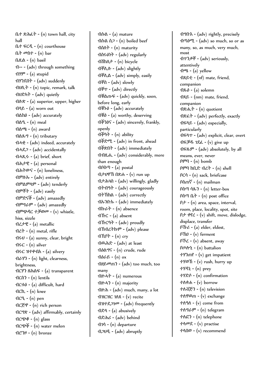ቤተ ጽሕፈት - (n) town hall, city hall ቤተ ፍርዲ - (n) courthouse ቤት መስተ - (n) bar ቤዚል - (n) basil ብ-- - (adv) through something ብሃም - (a) stupid ብሃንደበት - (adv) suddenly ብህሊት - (n) topic, remark, talk ብህድኣት - (adv) quietly ብሉጽ - (a) superior, upper, higher ብላይ - (a) worn out ብልክዕ - (adv) accurately ብልዒ - (n) meal ብልጫ - (n) award ብልጹግ - (n) tributary ብሓቂ - (adv) indeed, accurately ብሓደጋ - (adv) accidentally ብሓጺሩ - (a) brief, short ብሕታዊ - (a) personal ብሕትውና - (n) loneliness, ብምሉኡ - (adv) entirely ብምልምላም - (adv) tenderly ብምቾት - (adv) easily ብምድናቕ - (adv) amazedly ብምግራም - (adv) amazedly ብምጭዳር ተቓወመ - (v) whistle, hiss, sizzle ብረታዊ - (a) metallic ብረት - (n) metal, rifle ብሩህ - (a) sunny, clear, bright ብሩር - (n) silver ብሩር ዝተቀብአ - (a) silvery ብራሃን - (n) light, clearness, brightness, ብርሃን ዘሕልፍ - (a) transparent ብርስን - (n) lentils ብርቱዕ - (a) difficult, hard ብርኪ - (n) knee ብርዒ - (n) pen ብርጅዋ - (n) rich person ብርግጽ - (adv) affirmably, certainly ብርጭቆ - (n) glass ብርጭቕ - (n) water melon ብሮንዞ - (n) bronze

ብሱል - (a) mature ብሱል ስጋ - (n) boiled beef ብስለት - (n) maturity ብስሩዕነት - (adv) regularly ብሽክለታ - (n) bicycle ብቐሊሉ - (adv) slightly ብቐሊል - (adv) simply, easily ብቐስ - (adv) slowly ብቐጥ - (adv) directly ብቑልጡፍ - (adv) quickly, soon, before long, early ብቑኑዕ - (adv) accurately ብቑዕ - (a) worthy, deserving ብቕንዕና - (adv) sincerely, frankly, openly ብቕዓት - (n) ability ብቕድሚ - (adv) in front, ahead ብቕጽበት - (adv) immediately ብብዚሒ - (adv) considerably, more than enough ብቦስጣ - (a) postal ብታህዋኽ በጽሐ - (v) run up ብታሕጓስ - (adv) willingly, gladly ብትብዓት - (adv) courageously ብትኽክል - (adv) correctly ብኡንቡኡ - (adv) immediately ብኩራት - (n) absence ብኹር - (a) absent ብኹርዓት - (adv) proudly ብኽብረትኩም - (adv) please ብኽያት - (n) cry ብዉሕድ - (adv) at least ብዕልግና - (n) crude, rude ብዕራይ - (n) ox ብዘይመጠን - (adv) too much, too many ብዙሓት - (a) numerous ብዙሓን - (n) majority ብዙሕ - (adv) much, many, a lot ብዝርዝር ገለጸ - (v) recite ብዝተደጋገመ - (adv) frequently ብድላ - (a) abusively ብድሕሪ - (adv) behind ብገሳ - (n) departure ብጋህዲ - (adv) abruptly

ብግቡእ - (adv) rightly, precisely ብጣዕሚ - (adv) so much, so or as many, so, as much, very much, most ብጥንቃቐ - (adv) seriously, attentively ብጫ - (a) yellow ብጸይቲ - (nf) mate, friend, companion ብጹዕ - (a) solemn ብጻይ - (nm) mate, friend, companion ብጽሒት - (n) quotient ብጽፈት - (adv) perfectly, exactly ብፍላይ - (adv) especially, particularly ብፍላጥ - (adv) explicit, clear, overt ብፍቓዱ ገደፈ - (v) give up ብፍጹም - (adv) absolutely, by all means, ever, never ቦምባ - (n) bomb ቦምባ ከቢድ ብረት - (n) shell ቦርሳ - (n) sack, briefcase ቦስጠኛ - (n) mailman ቦስጣ ሳጹን - (n) letter-box ቦስጣ ቤት - (n) post office ቦታ - (n) area, space, interval, room, place, locality, spot, site ቦታ ቀየረ - (v) shift, move, dislodge, displace, transfer ቦኹሪ - (a) elder, eldest, ቦኽዐ - (v) ferment ቦኾረ - (v) absent, away ቦጦሎኒ - (n) battalion ተሃንጠየ - (v) get impatient ተሃወኸ - (v) rush, hurry up ተሃዳኒ - (n) prey ተሃድሶ - (n) confirmation ተለቀሐ - (v) borrow ተለቭጅን - (n) television ተለዋወጠ - (v) exchange ተለዓለ - (v) come from ተለግራም - (n) telegram ተለፎን - (n) telephone ተላመደ - (v) practise ተላበወ - (v) recommend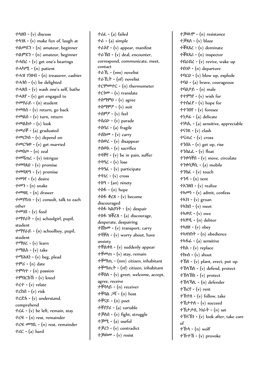ተላዘበ - (v) discuss ተላገጸ - (v) make fun of, laugh at ተልመደን - (n) amateur, beginner ተልምደን - (n) amateur, beginner ተሓበረ - (v) get one's bearings ተሓካሚ - (n) patient ተሓዝ ገንዘብ - (n) treasurer, cashier ተሓጎሰ - (v) be delighted ተሓጸበ - (v) wash one's self, bathe ተሓጸየ - (v) get engaged to ተመሃራይ - (n) student ተመለሰ - (v) return, go back ተመልሰ - (v) turn, return ተመልከተ - (v) look ተመሪቐ - (a) graduated ተመርኮሰ - (v) depend on ተመርዓወ - (v) get married ተመስጦ - (n) zeal ተመሻጠረ - (v) intrigue ተመባጸዐ - (v) promise ተመባጽዓ - (v) promise ተመነየ - (v) desire ተመን - (n) snake ተመዛዚ - (n) drawer ተመያየጠ - (v) consult, talk to each other ተመገበ - (v) feed ተማሃሪት - (n) schoolgirl, pupil, student ተማሃራይ - (n) schoolboy, pupil, student ተማህረ - (v) learn ተማልአ - (v) take ተማሕጸነ - (v) beg, plead ተምሪ - (n) date ተምሳጥ - (n) passion ተምበርከኸ - (v) kneel ተረተ - (v) relate ተረከሰ - (v) risk ተረድአ - (v) understand, comprehend  $\tau$ ረፈ - (v) be left, remain, stay ተረፍ - (n) rest, remainder ተረፍ መግቢ - (n) rest, remainder ተሪር - (a) hard

ተሪፈ - (a) failed ተራ - (a) simple ተራእየ - (v) appear, manifest ተራኸበ - (v) deal, encounter, correspond, communicate, meet, contact ተራኺ - (nm) novelist ተራኺት - (nf) novelist ተርሞመተር - (n) thermometer ተርጎመ - (v) translate ተሰማምዐ - (v) agree ተሰማምዖ - (v) suit ተሰምዖ - (v) feel ተሰሪዑ - (v) parade ተሰባሪ - (a) fragile ተሰከመ - (v) carry ተሰወረ - (v) disappear ተሰወአ - (v) sacrifice ተሳቐየ - (v) be in pain, suffer ተሳዓረ - (v) lose ተሳዓፈ - (v) participate ተሳገረ - (v) cross ተስዓ - (an) ninety ተስፋ - (n) hope ተስፋ ቆረጸ - (v) become discouraged ተስፋ ኣልቦነት - (n) despair ተስፋ ዝቖረጸ - (a) discourage, desperate, despairing ተሸከመ - (v) transport, carry ተሻቐለ - (v) worry about, have anxiety ተቐልቀለ - (v) suddenly appear ተቐ $\sigma$ m - (v) stay, remain ተቐማጢ - (nm) citizen, inhabitant ተቐማጢት - (nf) citizen, inhabitant ተቐበለ - (v) greet, welcome, accept, agree, receive ተቐባላይ - (n) receiver ተቐባል ጋሻ - (n) host ተቐናይ - (n) poet ተቐያያሪ - (a) variable ተቓለሰ - (v) fight, struggle ተቓሚ - (a) useful ተቓረነ - (v) contradict ተቓወመ - (v) resist

ተቓዉሞ - (n) resistance ተቓጸለ - (v) blaze ተቖጻጸረ - (v) dominate ተቖጻጻሪ - (n) inspector ተበራበረ - (v) revive, wake up ተበገሶ - (n) departure ተባርዐ - (v) blow up, explode ተባዕ - (a) brave, courageous ተባዕታይ - (n) male ተተምነየ - (v) wish for ተተስፈየ - (v) hope for ተተንበየ - (v) foresee ተነቃፊ - (a) delicate ተነካኢ - (a) sensitive, appreciable ተናጎጸ - (v) clash ተናጠረ - (v) cross ተንሰአ - (v) get up, rise ተንስፈፈ - (v) float ተንቀሳቐሰ - (v) move, circulate ተንቀሳቓሲ - (a) mobile ተንከፈ - (v) touch ተንዳ - (n) tent ተአንዘበ - (v) realize ተኣመነ - (v) admit, confess ተኣነነ - (v) groan ተኣከበ - (v) meet ተኣወደ - (v) owe ተኣዋዲ - (n) debtor ተኣዘዘ - (v) obey ተኣዛዝነት - (n) obedience ተኣፋፊ - (a) sensitive ተክአ - (v) replace ተኰሰ - (v) shoot ተኸለ - (v) plant, erect, put up ተኸላኸለ - (v) defend, protect ተኸላኸከ - (v) protect ተኸላኻሊ - (n) defender ተኸረየ - (v) rent ተኸተለ - (v) follow, take ተኸታተለ - (v) succeed ተኸታታሊ ነገራት - (n) set ተኸናኸነ - (v) look after, take care of ተኹላ - (n) wolf ተኹተኸ - (v) provoke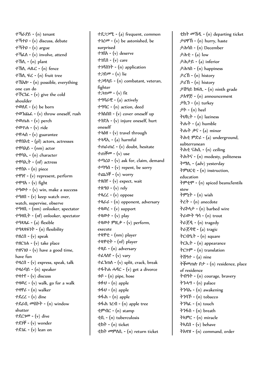ተኻራያይ - (n) tenant ተኻተዐ - (v) discuss, debate ተኻትዐ - (v) argue ተኻፈለ - (v) involve, attend ተኽሊ - (n) plant ተኽሊ ሓጹር - (n) fence ተኽሊ ፍረ - (n) fruit tree ተኽእሎ - (n) possible, everything one can do ተኾርነፈ - (v) give the cold shoulder ተወለደ - (v) be born ተወንጨፈ - (v) throw oneself, rush ተወጠሐ - (v) perch ተወጥሐ - (v) ride ተዋሓሰ - (v) guarantee ተዋሰእቲ - (pl) actors, actresses ተዋሳአይ - (nm) actor ተዋሳኢ - (n) character ተዋሳኢት - (nf) actress ተዋስኦ - (n) piece ተዋነየ - (v) represent, perform ተዋግአ - (v) fight ተዓወተ - (v) win, make a success ተዓዘበ - (v) keep watch over, watch, supervise, observe ተዓዛቢ - (nm) onlooker, spectator ተዓዛቢት - (nf) onlooker, spectator ተዓጻጻፊ - (a) flexible ተዓጻጻፍነት - (n) flexibility ተዘረበ - (v) speak  $\text{HlC1}$ *d* - (v) take place  $\tau$ H $\Gamma$ 70 - (v) have a good time, have fun ተዛረበ - (v) express, speak, talk ተዛራባይ - (n) speaker ተዛተየ - (v) discuss ተዛወረ - (v) walk, go for a walk ተዛዋሪ - (n) walker ተደረረ - (v) dine ተደራቢ መስኮት - (n) window shutter ተደርገመ - (v) dive ተደነቐ - (v) wonder ተደገፈ - (v) lean on

ተደጋጋሚ - (a) frequent, common  $\tau$ 12 $\sigma$  - (v) be astonished, be surprised ተገበአ - (v) deserve ተገደሰ - (v) care ተገዳስነት - (n) application ተጋደመ - (v) lie ተጋዳላይ - (n) combatant, veteran, fighter ተጋጠመ - (v) fit ተግባራዊ - (a) actively ተግባር - (n) action, deed ተጎልበበ - (v) cover oneself up ተጎድአ - (v) injure oneself, hurt oneself ተጓዕዘ - (v) travel through ተጓዳኢ - (a) harmful ተጠራጠረ - (v) doubt, hesitate ተጠቐመ - (v) use ተጣረዐ - (v) ask for, claim, demand ተጣዓሰ - (v) repent, be sorry ተጨነቐ - (v) worry ተጸበየ - (v) expect, wait ተጸግዐ - (v) rely ተጻረረ - (v) oppose ተጻራሪ - (n) opponent, adversary ተጻወረ - (v) support ተጻወተ - (v) play ተጻወተ ምዚቃ - (v) perform, execute ተጻዋቲ - (nm) player ተጻዋቲት - (nf) player ተጻይ - (n) adversary ተፈላለየ - (v) vary ተፈንጠለ - (v) split, crack, break ተፋትሐ ሓዳር - (v) get a divorce  $\pm 0$  - (n) pipe, hose ቱፉህ - (n) apple ቱፋህ - (n) apple ቱፋሕ - (n) apple ቱፋሕ ገረብ - (n) apple tree ቲምብር - (n) stamp ቲቢ - (n) tuberculosis ቲከት - (n) ticket ቲከት መምለሲ - (n) return ticket

ቲከት መኸዲ - (n) departing ticket ታህዋኽ - (n) hurry, haste ታሕሳስ - (n) December ታሕቲ - (a) low ታሕታይ - (a) inferior ታሕጓስ - (n) happiness ታረኸ - (n) history ታሪኽ - (n) history ታሽዓይ ክፍሊ - (n) ninth grade ታእዋጅ - (n) announcement ታኪን - (n) turkey ታኮ - (n) heel ትህኪት - (n) laziness ትሑት - (a) humble ትሑት ቃና - (a) minor ትሕቲ ምድሪ - (a) underground, subterranean ትሕቲ ናሕሲ - (n) ceiling ትሕትና - (n) modesty, politeness ትማሊ - (adv) yesterday ትምህርቲ - (n) instruction, education ትምቲሞ - (n) spiced beans/lentils stew ትምኒት - (n) wish ትረት - (n) anecdote ትሪኮላታ - (n) barbed wire ትራውት ዓሳ - (n) trout ትራጀዲ - (n) tragedy ትራጀዳዊ - (a) tragic ትርብዒት - (n) square ትርኢት - (n) appearance ትርጉም - (n) translation ትሽዓተ - (a) nine ትቕመጠሉ ቦታ - (n) residence, place of residence ትብዓት - (n) courage, bravery ትንሓግ - (n) palace ትንሳኤ - (n) awakening ትንባኾ - (n) tobacco ትንካፈ - (n) touch ትንፋስ - (n) breath ትኣምር - (n) miracle ትኣደበ - (v) behave ትእዛዝ - (n) command, order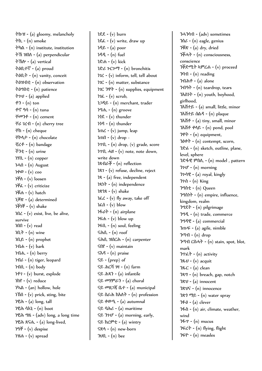ትኩዝ - (a) gloomy, melancholy ትኪ - (n) smoke ትካል - (n) institute, institution ትኽ ዝበለ - (a) perpendicular ትኽሎ - (a) vertical ትዕቢተኛ - (a) proud ትዕቢት - (n) vanity, conceit ትዕዝብቲ - (n) observation ትዕግስቲ - (n) patience ትጉህ - (a) applied ቶን - (n) ton ቶኖ ዓሳ - (n) tuna ቸመንቶ - (n) cement ቸሪ ገረብ - (n) cherry tree ቸክ - (n) cheque ቸኮላታ - (n) chocolate ቺረቶ - (n) bandage ችንቲ - (n) urine ነሃሲ - (n) copper ነሓሰ - (n) August ነቀወ - (v) coo ነቐለ - (v) loosen ነቐፈ - (v) criticize ነቑሐ - (v) hatch ነቓጽ - (a) determined ነቕነቐ - (v) shake ነበረ - (v) exist, live, be alive, survive ነበበ - (v) read ነቢት - (n) wine ነቢይ - (n) prophet ነብሐ - (v) bark ነብሒ - (n) berry ነብሪ - (n) tiger, leopard ነብሲ - (n) body ነቶገ - (v) burst, explode ነከየ - (v) reduce ነኳል - (an) hollow, hole ነኸሰ - (v) prick, sting, bite ነዊሕ - (a) long, tall ነዊሕ ሳእኒ - (n) boot ነዊሕ ግዜ - (adv) long, a long time ነዊሕ ጸናሒ - (a) long-lived, ነዓቐ - (v) despise ነዝሐ - (v) spread

ነደደ - (v) burn ነደፈ - (v) write, draw up ነዳይ - (a) poor ነዳዲ - (n) fuel ነድሐ - (v) kick ነድሪ ጉርጉማ - (n) bronchitis ነገረ - (v) inform, tell, tell about ነገር - (n) matter, substance ነገር ንዋት - (n) supplies, equipment ነገፈ - (v) scrub, ነጋዳይ - (n) merchant, trader ነግሒ - (n) groove ነጎደ - (v) thunder ነጎዳ - (n) thunder ነጠረ - (v) jump, leap ነጠበ - (v) drop - ነጥቢ - (n) drop, (v) grade, score ነጥቢ ሓዘ - (v) note, note down, write down ነጸብራቕ - (n) reflection ነጸገ - (v) refuse, decline, reject ነጻ - (a) free, independent ነጻነት - (n) independence ነጽነጸ - (v) shake ነፈረ - (v) fly away, take off ነፈሰ - (v) blow ነፋሪት - (n) airplane ነፍሐ - (v) blow up ነፍሲ - (n) soul, feeling ናሕሲ - (n) roof ናሕሲ ዝሰርሕ - (n) carpenter ናበየ - (v) maintain ናእዳ - (n) praise ናይ - (prep) of ናይ ሕርሻ ገዛ - (n) farm ናይ ሕጻን - (a) infantile ናይ መሃምራን - (a) choral ናይ መዘጋጃ ቤተ - (a) municipal ናይ ስራሕ ክእለት - (n) profession ናይ ቀውዒ - (a) autumnal ናይ ባሕሪ - (a) maritime ናይ ንጉሆ - (a) morning, early, ናይ ክረምቲ - (a) wintry ናጽላ - (n) new-born  $70\ell - (n)$  bee

ንሓንሳብ - (adv) sometimes ንስሪ -  $(n)$  eagle, genius ንቑጽ - (a) dry, dried ንቐሓት -  $(n)$  consciousness, conscience ንቕድሚት ኣምረሐ - (v) proceed ንባብ - (n) reading ንብሕቶ - (a) alone ንብዓት - (n) teardrop, tears ንእስነት - (n) youth, boyhood, girlhood, ንእሽተይ - (a) small, little, minor ንእሽተይ ሰልዳ - (n) plaque ንእሽቶ - (a) tiny, small, minor ንእሽቶ ቀላይ - (n) pond, pool ንዋት - (n) equipment, ንዕቀት - (n) contempt, scorn, ንድፊ - (n) sketch, outline, plane, level, sphere ንድፋዊ ምስሊ - (n) model , pattern  $2rV - (n)$  morning ንጉሳዊ - (a) royal, kingly ንጉስ - (n) King ንግስቲ - (n) Queen ንግስነት - (n) empire, influence, kingdom, realm ንግደት - (n) pilgrimage ንግዲ - (n) trade, commerce ንግዳዊ - (a) commercial ንጡፍ - (a) agile, nimble ንጣብ - (n) drop ንጣብ ርስሓት - (n) stain, spot, blot, mark ንጥፈት - (n) activity  $78.0 - (v)$  acquit ንጹር - (a) clean  $789 - (n)$  breach, gap, notch ንጽህ - (a) innocent ንጽህና - (n) innocence ንጽጎ ማይ - (n) water spray ንፉዕ - (a) clever ንፋስ - (n) air, climate, weather, wind ንፋጥ - (n) mucus ንፍረት - (n) flying, flight ንፍዮ - (n) measles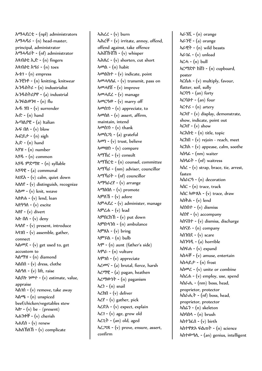አማሓደርቲ - (npl) administrators አማሓዳሪ - (n) head-master, principal, administrator አማሓዳሪት - (nf) administrator አጻብዕቲ ኢድ - (n) fingers አጻብዕቲ እግሪ - (n) toes ኡቴገ - (n) empress ኡንቺነቶ - (n) knitting, knitwear ኡንዱስትሪ - (n) industrialist ኡንዱስትሪያዋ - (a) industrial ኡንፍልወንዛ - (n) flu ኡዱ ሃበ - (v) surrender ኡድ - (n) hand ኡጣልያዊ - (a) Italian ኡፍ በለ - (v) blow ኡፎይታ - (n) sigh ኢድ - (n) hand ኣሃዝ - (n) number ኣሃዱ - (n) common ኣሃዱ ምድማጽ - (n) syllable ኣሃዳዊ - (a) communal ኣህደአ - (v) calm, quiet down ኣለለየ - (v) distinguish, recognize ኣለመ - (v) knit, weave ኣለቀሐ - (v) lend, loan ኣለዓዓለ - (v) excite ኣለየ - (v) divert ኣሉ በለ - (v) deny ኣላለየ - (v) present, introduce ኣላገበ - (v) assemble, gather, connect ኣልመደ - (v) get used to, get accustom to ኣልማዝ - (n) diamond ኣልበሰ - (v) dress, clothe ኣልዓለ - (v) lift, raise ኣልያሉ ገመተ - (v) estimate, value, appraise ኣልገሰ - (v) remove, take away ኣልጫ - (n) unspiced beef/chicken/vegetables stew ኣሎ - (v) be - (present) ኣሐንቀቐ - (v) cherish ኣሐደሰ - (v) renew ኣሕለኽለኸ - (v) complicate

ኣሕረረ - (v) burn ኣሕረቐ - (v) irritate, annoy, offend, offend against, take offence ኣሕሸኹሸኸ - (v) whisper ኣሕጸረ - (v) shorten, cut short ኣመል - (n) habit ኣመልከተ - (v) indicate, point ኣመሓላለፈ - (v) transmit, pass on ኣመሓየሸ - (v) improve ኣመሓደረ - (v) manage ኣመርዓወ - (v) marry off ኣመሰገነ - (v) appreciate, to ኣመስለ - (v) assert, affirm, maintain, intend ኣመስገነ - (v) thank ኣመስጋኒ - (a) grateful  $\hbar \sigma$ <sup>*o*r</sup> $\sigma$  - (v) trust, believe ኣመዛዘነ - (v) compare ኣማኸረ - (v) consult ኣማኸርቲ - (n) counsel, committee ኣማኻሪ - (nm) adviser, councillor ኣማኻሪት - (nf) councillor ኣማዓራረየ - (v) arrange ኣማዕበለ - (v) promote ኣምለኸ - (v) adore ኣምሓደረ - (v) administer, manage ኣምረሐ - (v) lead ኣምበርከኸ - (v) put down ኣምቡላንስ - (n) ambulance ኣምጸአ - (v) bring ኣምፑል - (n) bulb ኣሞ - (n) aunt (father's side) ኣሞራ - (n) vulture ኣሞገሰ - (v) appreciate ኣረመና - (a) brutal, fierce, harsh ኣረማዊ - (a) pagan, heathen ኣረማውነት - (n) paganism ኣረነ - (n) snail ኣረከበ - (v) deliver ኣረየ - (v) gather, pick ኣረድአ - (v) expect, explain  $\hbar Z_1$  - (v) age, grow old ኣረጊት - (an) old, aged ኣረጋገጸ - (v) prove, ensure, assert, confirm

ኣራንሺ - (n) orange ኣራንቺ - (a) orange ኣራዊት - (n) wild beasts ኣራገፈ - (v) unload ኣርሓ - (n) bull ኣርማድዮ ክሽነ - (n) cupboard, poster ኣርሰሐ - (v) multiply, favour, flatter, soil, sully ኣርባዓ - (an) forty ኣርባዕተ - (an) four ኣርተሪ - (n) artery ኣርኣየ - (v) display, demonstrate, show, indicate, point out ኣርኣየ - (v) show ኣርእስቲ - (n) title, topic ኣርከበ - (v) rejoin - reach, meet ኣርከአ - (v) appease, calm, soothe ኣሰላፊ - (nm) waiter ኣሰላፊት - (nf) waitress ኣሰረ - (v) strap, brace, tie, arrest, fasten ኣሰራርዓ - (n) decoration ኣሰር - (n) trace, track ኣሰር ኣውጸአ - (v) trace, draw ኣሰቅሐ - (v) lend ኣሰነበተ - (v) dismiss ኣሰነየ - (v) accompany ኣሰናበተ - (v) dismiss, discharge ኣሰናይ - (n) company ኣሰንበደ - (v) scare ኣሰንባዲ - (a) horrible ኣሰፍሐ - (v) expand ኣስሓቐ - (v) amuse, entertain ኣስሓይታ - (n) frost ኣስመረ - (v) unite or combine ኣስረሐ - (v) employ, use, spend ኣስራሒ - (nm) boss, head, proprietor, protector ኣስራሒት - (nf) boss, head, proprietor, protector ኣስሬን - (n) skeleton ኣስባስላ - (n) brush ኣስተንፈሰ - (v) birth ኣስተዋጽኦ ፍልጠት - (n) science ኣስተውዓሊ - (an) genius, intelligent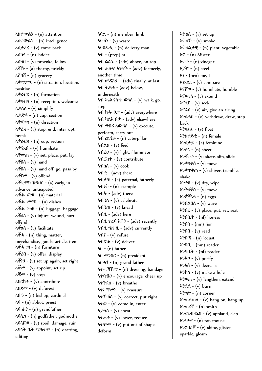ኣስተውዕል - (n) attention ኣስተውዕሎ - (n) intelligence ኣስታረረ - (v) come back ኣስካላ - (n) ladder ኣስዓበ - (v) provoke, follow ኣሻኹ - (a) thorny, prickly ኣሽባሸ - (n) grocery ኣቀማምጣ - (n) situation, location, position ኣቀራርጻ - (n) formation ኣቀባብላ - (n) reception, welcome ኣቃለለ - (v) simplify ኣቃድዳ - (n) cup, section ኣቅጣጫ - (n) direction ኣቋረጸ - (v) stop, end, interrupt, break ኣቋራርጻ - (n) cup, section ኣቋናጸበ - (v) humiliate ኣቐመጠ - (v) set, place, put, lay ኣቐበለ - (v) hand ኣቐበለ - (v) hand off, go, pass by ኣቐየመ - (v) offend ኣቐዲምካ ዝግበር - (a) early, in advance, anticipated ኣቑሑ ህንጻ - (n) material ኣቑሑ መግቢ - (n) dishes ኣቑሑ ጉዕዞ - (n) luggage, baggage ኣቑሰለ - (v) injure, wound, hurt, offend ኣቕለለ - (v) facilitate ኣቕሓ - (n) thing, matter, merchandise, goods, article, item  $\lambda \phi \mathcal{A}$   $2H - (n)$  furniture ኣቕረበ - (v) offer, display  $\delta \overline{\phi}$ *l* $0$  - (v) set up again, set right  $\delta \overline{\phi}$  - (y) appoint, set up ኣቘመ - (v) stop ኣበርከተ - (v) contribute ኣበደመ - (v) deforest ኣቡን - (n) bishop, cardinal ኣባ - (n) abbot, priest ኣባ ሕጎ - (n) grandfather ኣባሊገ - (n) godfather, godmother ኣባላሸወ - (v) spoil, damage, ruin ኣባላት ቤት ማሕተም - (n) drafting, editing

ኣባል - (n) member, limb ኣባኸነ - (v) waste ኣባጻጽሒ - (n) delivery man ኣብ - (prep) at ኣብ ልዕሊ - (adv) above, on top ኣብ ሕሉፍ እዋናት - (adv) formerly, another time ኣብ መዳእታ - (adv) finally, at last ኣብ ትሕቲ - (adv) below, underneath ኣብ ኣገልግሎት ወዓለ - (v) walk, go, step ኣብ ኩኡ ቦታ - (adv) everywhere ኣብ ካልእ ቦታ - (adv) elsewhere ኣብ ግብሪ ኣውዓለ - (v) execute, perform, carry out ኣብ ጨጎራ - (n) caterpillar ኣብልዐ - (v) feed ኣብረሀ - (v) light, illuminate ኣብርከተ - (v) contribute ኣብሰለ - (v) cook ኣብቲ - (adv) there ኣብታዊ - (a) paternal, fatherly ኣብነት - (n) example ኣብኡ - (adv) there ኣብዓለ - (v) celebrate ኣብዓጠ - (v) knead ኣብዚ - (adv) here ኣብዚ ቀረባ እዋን - (adv) recently ኣብዚ ግዜ ዚ - (adv) currently ኣብየ - (v) refuse ኣብጽሐ - (v) deliver ኣቦ - (n) father ኣቦ መንበር - (n) president ኣቦሓጎ - (n) grand father ኣተሓኻኸማ - (n) dressing, bandage ኣተባብዐ - (v) encourage, cheer up ኣተንፈሰ - (v) breathe ኣተኣማመነ - (v) reassure ኣተኻኸለ - (v) correct, put right ኣተወ - (v) come in, enter ኣታለለ - (v) cheat ኣትሓተ - (v) lower, reduce ኣትሞመ - (v) put out of shape, deform

ኣትከለ - (v) set up ኣትከኸ - (v) smoke ኣትክልታዊ - (n) plant, vegetable ኣቶ - (n) Mister ኣቸቶ - (n) vinegar ኣቻዮ - (n) steel ኣነ - (prn) me, I ኣነጻጸረ - (v) compare ኣናሸወ - (v) humiliate, humble ኣናውሐ - (v) extend ኣናደየ - (v) seek ኣናፈሰ - (v) air, give an airing ኣንሰሓበ - (v) withdraw, draw, step back ኣንሳፈፈ - (v) float ኣንስተይቲ - (n) female ኣንስታይ - (a) feminine ኣንሶላ - (n) sheet ኣንሻተተ - (v) skate, slip, slide ኣንቀሳቀሰ - (v) move ኣንቀጥቀጠ - (v) shiver, tremble, shake ኣንቀጸ - (v) dry, wipe ኣንቅሳቐሰ - (v) move ኣንቋቝሖ - (n) eggs ኣንበልበለ - (v) wave ኣንበረ - (v) place, put, set, seat ኣንበሲት - (nf) lioness ኣንበሳ - (nm) lion ኣንበበ - (v) read ኣንበጣ - (n) locust ኣንባቢ - (nm) reader ኣንባቢት - (nf) reader ኣንአሀ - (v) purify ኣንኣሰ - (v) decrease ኣንኮለ - (v) make a hole ኣንወሐ - (v) lengthen, extend ኣንደደ - (v) burn ኣንጎሎ - (n) corner ኣንጠልጠለ - (v) hang on, hang up ኣንጠረኛ - (n) smith ኣንጨብጨበ - (v) applaud, clap ኣንጭዋ - (n) rat, mouse ኣንጸባረቐ - (v) shine, glisten, sparkle, gleam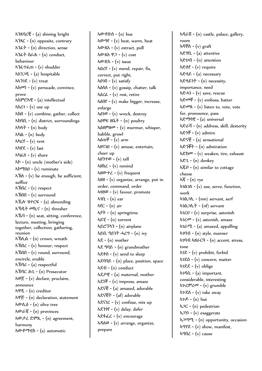ኣንጸባረቒ - (a) shining bright ኣንጻር - (n) opposite, contrary ኣንፈት - (n) direction, sense ኣንፈት ስራሕ - (n) conduct, behaviour ኣንፈጥፈጠ - (v) shudder ኣአንጋዲ - (a) hospitable ኣኣንገደ - (v) treat  $\lambda \lambda \sigma$ <sup>*b*</sup> - (v) persuade, convince, prove ኣእምሮኣዊ - (a) intellectual ኣእረገ - (v) use up  $\hbar \ln(-\Delta x)$  combine, gather, collect ኣከባቢ - (n) district, surroundings ኣካላት - (n) body ኣካል - (n) body ኣካረየ - (v) rent ኣካየደ - (v) last ኣካፈለ - (v) share ኣኮ - (n) uncle (mother's side) ኣኮማሰዐ - (v) ruminate ኣኸለ - (v) be enough, be sufficient, suffice ኣኸበረ - (v) respect ኣኸበበ - (v) surround ኣኺሉ ዝተርፍ - (a) abounding ኣኻዲት መኪና - (n) thresher ኣኼባ - (n) seat, sitting, conference, lecture, meeting, bringing together, collection, gathering, reunion ኣኽሊል - (n) crown, wreath ኣኽበረ - (v) honour, respect ኣኽበበ - (v) round, surround, encircle, enable ኣኽባሪ - (a) respectful ኣኽባር ሕጊ - (n) Prosecutor ኣወጀ - (v) declare, proclaim, announce ኣዋዲ - (n) creditor ኣዋጅ - (n) declaration, statement ኣውሊዕ - (n) olive tree ኣውራጃ - (n) provinces ኣውታረ ድምጺ - (n) agreement, harmony ኣውቶማቲክ - (a) automatic

ኣውቶቡስ - (n) bus ኣውዓየ - (v) heat, warm, heat ኣውጸአ - (v) extract, pull ኣውጸአ ዋጋ - (v) cost ኣውጽአ - (v) issue  $\lambda$ 0 $\zeta$  - (v) mend, repair, fix, correct, put right, ኣዐገበ - (v) satisfy ኣዕለለ - (v) gossip, chatter, talk ኣዕረፈ - (v) rest, retire ኣዕበየ - (v) make bigger, increase, enlarge ኣዕነወ - (v) wreck, destroy ኣዕዋፍ ዘቤት - (n) poultry ኣዕዘምዘመ - (v) murmur, whisper, babble, growl ኣዕጠቐ - (v) arm  $kH$ <sub>70</sub> - (v) amuse, entertain, cheer up ኣዘንተወ - (v) tell ኣዘከረ - (v) remind ኣዘውተረ - (v) frequent  $\lambda$ HH - (v) organize, arrange, put in order, command, order ኣዛዘወ - (v) favour, promote ኣዝኒ - (n) ear ኣየር - (n) air ኣያት - (n) springtime ኣይሂ - (n) torrent ኣይሮኘላን - (n) airplane ኣይቢ ዓይነት ሓረግ - (n) ivy ኣደ - (n) mother ኣደ ዓባይ - (n) grandmother ኣደቀሰ - (v) send to sleep ኣደባባይ - (n) place, position, space ኣደብ - (n) conduct ኣደታዊ - (a) maternal, mother ኣደነቐ - (v) impress, amaze ኣደናቒ - (a) amazed, adorable ኣደናቒት - (af) adorable ኣደናገረ - (v) confuse, mix up ኣደንጎየ - (v) delay, defer ኣደፋፈረ - (v) encourage ኣዳለወ - (v) arrange, organize, prepare

ኣዳራሽ - (n) castle, palace, gallery, room ኣዳቐለ - (v) graft ኣድሃቢ - (a) attentive ኣድህብ - (n) attention ኣድለየ - (v) require ኣድላይ - (a) necessary ኣድላይነት - (n) necessity, importance, need ኣድሓነ - (v) save, rescue ኣድመቐ - (v) emboss, batter ኣድመጸ - (v) listen to, vote, vote for, pronounce, pass ኣድማሳዊ - (a) universal ኣድራሻ - (n) address, skill, dexterity ኣድነቐ - (v) admire ኣድናቒ - (a) sensational ኣድንቖት - (n) admiration ኣድከመ - (v) weaken, tire, exhaust ኣድጊ - (n) donkey ኣጁቦ - (n) similar to cottage cheese ኣጃ - (n) rye ኣገልገለ - (v) use, serve, function, work ኣገልጋሊ - (nm) servant, serf ኣገልጋሊት - (nf) servant  $\lambda$  $\lambda$  $\lambda$  $\theta$  - (v) surprise, astonish ኣገረመ - (v) astonish, amaze ኣገራሚ - (a) amazed, appalling ኣገባብ - (n) style, manner ኣገባብ ኣዘራርባ - (n) accent, stress, tone ኣገደ - (v) prohibit, forbid ኣገደሰ - (v) concern, matter ኣገደደ - (v) oblige ኣገዳሲ - (a) important, considerable, interesting ኣጉረምረመ - (v) grumble ኣጉደለ - (v) take away ኣጉዶ - (n) hut ኣጋር - (n) pedestrian ኣጋነነ - (v) exaggerate ኣጋጣሚ - (n) opportunity, occasion ኣግሃደ - (v) show, manifest, ኣግበረ - (v) cause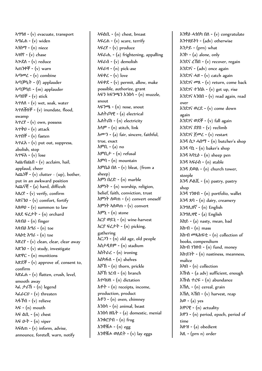ኣግዓዘ - (v) evacuate, transport ኣግፈሐ - (v) widen ኣጎስማ - (n) niece ኣጓየየ - (v) chase ኣጕደለ - (v) reduce ኣጠንቀቐ - (v) warn ኣጣመረ - (v) combine ኣጣቓዒት - (f) applauder ኣጣቓዓይ - (m) applauder ኣጣበቐ - (v) stick ኣጥለለ - (v) wet, soak, water ኣጥለቕለቐ - (v) inundate, flood, swamp ኣጥረየ - (v) own, possess ኣጥቅዐ - (v) attack ኣጥበቐ - (v) fasten ኣጥፈአ - (v) put out, suppress, abolish, stop ኣጥፍአ - (v) lose ኣጨብጨበ - (v) acclaim, hail, applaud, cheer ኣጨነቐ - (v) clutter - (up), bother, put in an awkward position ኣጨናቒ - (a) hard, difficult ኣጸረየ - (v) verify, confirm ኣጸናንዐ - (v) comfort, fortify ኣጸወዐ - (v) summon to law ኣጸደ ፍረታት - (n) orchard ኣጻብዕ - (n) finger ኣጻብዕ እግሪ - (n) toe ኣጻዕቲ እግሪ - (n) toe ኣጽረየ - (v) clean, clear, clear away ኣጽንዐ - (v) study, investigate ኣጽዋር - (n) munitions ኣጽደቐ - (v) approve of, consent to, confirm ኣጽፈሐ - (v) flatten, crush, level, smooth away ኣፈ ታሪኽ - (n) legend ኣፈራርሀ - (v) threaten ኣፋኾሰ - (v) relieve ኣፍ - (n) mouth ኣፍ ልቢ - (n) chest ኣፍ ዑት - (n) viper ኣፍለጠ - (v) inform, advise, announce, foretell, warn, notify

ኣፍልቢ - (n) chest, breast ኣፍረሐ - (v) scare, terrify ኣፍረየ - (v) produce ኣፍራሒ - (a) frightening, appalling ኣፍራሰ - (v) demolish ኣፍራዛ - (n) pick-axe ኣፍቀረ - (v) love ኣፍቀደ - (v) permit, allow, make possible, authorize, grant ኣፍን ኣፍንጫን እንስሳ - (n) muzzle, snout ኣፍንጫ - (n) nose, snout ኤለትሪካዊ - (a) electrical ኤለትሪክ - (n) electricity እላም - (n) stitch, link እሙን - (a) fair, sincere, faithful, true, exact እምቢ - (a) no እምቢታ - (n) refusal እምባ - (n) mountain እምቤዕ በለ - (v) bleat, (from a sheep) እምነ በረድ - (n) marble እምነት - (n) worship, religion, belief, faith, conviction, trust እምነት ለወጠ - (v) convert oneself እምነት ኣለወጠ - (v) convert እምኒ - (n) stone እርያ ወይኒ - (n) wine-harvest እርያ ፍረታት - (n) picking, gathering  $\lambda$  $\mathcal{L}$  $\mathcal{P}$  - (n) old age, old people እስታዲዩም - (n) stadium እስትራረ - (n) ironing እስካፋለ - (n) shelves እሾኽ - (n) thorn, prickle እሾኽ ገረብ - (n) branch እተባህለ - (n) dictation እቶት - (n) receipts, income, production, product እቶን - (n) oven, chimney እንስሳ - (n) animal, beast እንስሳ ዘቤት - (a) domestic, menial እንቁሮያብ - (n) frog እንቋቑሖ - (n) egg እንቋቑሖ ወለደት - (v) lay eggs

እንቋዕ ሓጎሰካ በለ - (v) congratulate እንተዘይኮነ - (adv) otherwise እንታይ - (prn) what እንኮ - (a) alone, only እንደና ረኸበ - (v) recover, regain እንደገና - (adv) once again እንደገና ሓዘ - (v) catch again እንደገና መጸ - (v) return, come back እንደገና ተንሰአ - (v) get up, rise  $\lambda$ ? 275  $\lambda$ ? (0) read again, read over እንደገና ወረደ - (v) come down again እንደገና ወደቐ - (v) fall again እንደገና ደየበ - (v) reclimb እንደገና ጀመረ - (v) restart እንዳ ስጋ ሓሰማ - (n) butcher's shop እንዳ ባኒ - (n) baker's shop እንዳ ኣባጊዕ - (n) sheep pen እንዳ ኣፍራስ - (n) stable እንዳ ደወል - (n) church tower, steeple እንዳ ዶልሺ - (n) pastry, pastry shop እንዳ ገንዘብ - (n) portfolio, wallet እንዳ ጸባ - (n) dairy, creamery እንግሊዘኛ - (n) English እንግሊዛዊ - (a) English እከይ - (a) nasty, mean, bad እኩብ - (n) mass እኩብ መጻሕፍቲ - (n) collection of books, compendium እኩብ ገንዘብ - (n) fund, money እኩይነት - (n) nastiness, meanness, malice እካበ - (n) collection እኹል - (a adv) sufficient, enough እኹል ተረፍ - (n) abundance እኽሊ - (n) cereal, grain እኽሊ ኣኸበ - (v) harvest, reap እወ - (a) yes እዋናዊ - (n) actuality እዋን - (n) period, epoch, period of time እዙዝ - (a) obedient እዚ - (prn n) order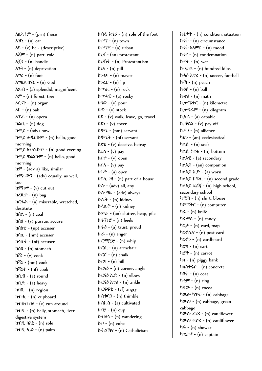እዚኣቶም - (prn) those እዝኒ - (n) ear እዩ - (v) be - (descriptive) እጃም - (n) part, role እጅገ - (n) handle  $\lambda$  $2\lambda$  - (n) deprivation እግሪ - (n) foot እግዚኣብሄር - (n) God እጹብ - (a) splendid, magnificent ኦም - (n) forest, tree ኦርጋን - (n) organ ኦክ - (n) oak ኦፐራ - (n) opera ከልቢ - (n) dog ከመይ - (adv) how ከመይ ሓዲርኩም - (n) hello, good morning ከመይ ኣምሲኩም - (n) good evening ከመይ ዊዕልኩም - (n) hello, good morning ከም - (adv a) like, similar ከምኡውን - (adv) equally, as well, too ከምከመ - (v) cut out ከረጺት - (n) bag ከርፋሕ - (a) miserable, wretched, destitute ከሰል - (n) coal ከሰሰ - (v) pursue, accuse ከሰስቲ - (np) accuser ከሳሲ - (nm) accuser ከሳሲት - (nf) accuser ከስዐ - (n) stomach ከሸነ - (v) cook ከሻኒ - (nm) cook ከሻኒት - (nf) cook ከቢብ - (a) round ከቢድ - (a) heavy ከባቢ - (n) region ከብሒ - (n) cupboard ከብከብ በለ - (v) run around ከብዲ - (n) belly, stomach, liver, digestive system ከብዲ ሳእኒ - (n) sole ከብዲ ኢድ - (n) palm

ከብዲ እግሪ - (n) sole of the foot ከተማ - (n) town ከተማዊ - (a) urban ከኒሻ - (an) protestant ከኒሻነት - (n) Protestantism ከኒና - (n) pill ከንቲባ - (n) mayor ከንፈር - (n) lip ከውሒ - (n) rock ከውሓዊ - (a) rocky ከዓወ - (v) pour ከዘነ - (v) stock ከደ - (v) walk, leave, go, travel ከደነ - (v) cover ከዳሚ - (nm) servant ከዳሚት - (nf) servant ከድዐ - (v) deceive, betray ከፈለ - (v) pay ከፈተ - (v) open ከፈአ - (v) pay ከፋት - (a) open ከፍሊ ገዛ - (n) part of a house ኩሉ - (adv) all, any ኩሉ ግዜ - (adv) always ኩሊት - (n) kidney ኩላሊት - (n) kidney ኩምራ - (an) clutter, heap, pile ኩሩኹሮ - (n) heels ኩሩዕ - (a) trust, proud ኩራ - (n) anger ኩርማጅጅ - (n) whip ኩርሲ - (n) armchair ኩርሽ - (n) chalk ኩርባ - (n) hill ኩርናዕ - (n) corner, angle ኩርናዕ ኢድ - (n) elbow ኩርናዕ እግሪ - (n) ankle ኩርፍፍቲ - (af) angry ኩስቱባን - (n) thimble ኩስኩስ - (a) cultivated ኩባያ - (n) cup ኩብለላ - (n) wandering ኩቦ - (n) cube ኩትልኽና - (n) Catholicism

ኩነታት - (n) condition, situation ኩነት - (n) circumstance ኩነት ኣእምር - (n) mood ኩነና - (n) condemnation ኩናት - (n) war ኩንታል - (n) hundred kilos ኩእሶ እግሪ - (n) soccer, football ኩኽ - (n) peach ኩዕሶ - (n) ball ኩጽሪ - (n) math ኪሎሜተር - (n) kilometre ኪሎግራም - (n) kilogram ኪኢላ - (a) capable ኪኸፍል - (v) pay off ኪዳን - (n) alliance ካህን - (an) ecclesiastical ካልሲ - (n) sock ካልሲ ነዊሕ - (n) bottom ካልኣዊ - (a) secondary ካልኣይ - (an) companion ካልኣይ ኢድ - (a) worn ካልኣይ ክፍሊ - (n) second grade ካልኣይ ደረጃ - (n) high school, secondary school ካሚሻ - (n) shirt, blouse ካምፑትር - (n) computer ካራ - (n) knife ካራመለ - (n) candy ካርታ - (n) card, map ካርቶሊና - (n) post card ካርቶን - (n) cardboard ካሮሳ - (n) cart ካሮት - (n) carrot ካሳ - (n) piggy bank ካሻስትሩስ - (n) concrete ካቦት - (n) coat ካቲም - (n) ring ካካው - (n) cocoa ካዉሎ ካፑቺ - (n) cabbage ካውሎ - (n) cabbage, green cabbage ካውሎ ፊየሪ - (n) cauliflower ካውሎ ፍዮሪ - (n) cauliflower ካፋ - (n) shower ካፒታኖ - (n) captain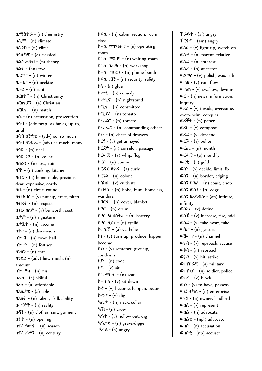ኬሚስትራ - (n) chemistry ክሊማ - (n) climate ክሊኒክ - (n) clinic ክላሲካዊ - (a) classical ክልስ ሓሳብ - (n) theory ክልተ - (an) two ክረምቲ - (n) winter ክራባታ - (n) necktie ክራይ - (n) rent ክርስትና - (n) Christianity ክርስትያን - (a) Christian ክርቢት - (n) match ክሲ - (n) accusation, prosecution ክሳብ - (adv prep) as far as, up to, until ክሳብ ክንድቲ - (adv) so, so much ክሳብ ክንድኡ - (adv) as much, many ክሳድ - (n) neck ክሳድ ጎቦ - (n) collar ክስራን - (n) loss, ruin ክሽነ - (n) cooking, kitchen ክቡር - (a) honourable, precious, dear, expensive, costly ክቢ - (n) circle, round ክብ ኣበለ - (v) put up, erect, pitch ክብረት - (n) respect ክብሪ ዘለዎ - (v) be worth, cost ክታም - (n) signature ክታቤት - (n) vaccine h $\hbar \theta$  - (n) discussion ክንተባ - (n) town hall ክንቲት - (n) feather ክንከን - (n) care ክንደይ - (adv) how much, (n) amount ክንፊ ዓሳ - (n) fin ክኢላ - (a) skilful ክኣል - (a) affordable ክእለታዊ - (a) able ክእለት - (n) talent, skill, ability ክውንነት - (n) reality ክዳን - (n) clothes, suit, garment ክፋት - (n) opening ክፍለ ዓመት - (n) season ክፍለ ዘመን - (n) century

ክፍሊ - (n) cabin, section, room, class ክፍሊ መጥባሕቲ - (n) operating room ክፍሊ መጸበዩ - (n) waiting room ክፍሊ ስራሕ - (n) workshop ክፍሊ ተለፎን - (n) phone booth ክፍሊ ገበን - (n) security, safety ኮላ - (n) glue  $h^{\text{CD},2}$  - (n) comedy ኮመዲኖ - (n) nightstand ኮሚተ - (n) committee ኮሚደረ - (n) tomato ኮሚደሮ - (n) tomato ኮማንደር - (n) commanding officer  $h^{qp}$  - (n) chest of drawers ኮረየ - (v) get annoyed ኮረደዮ - (n) corridor, passage ኮርመጀ - (v) whip, flog ኮርስ - (n) course ኮርዳድ ጸጉሪ - (a) curly ኮሮነል - (n) colonel ኮስኮሰ - (v) cultivate ኮብላሊ - (n) hobo, bum, homeless, wanderer ኮቦርታ - (n) cover, blanket ኮቦሮ - (n) drum ኮቦሮ ኦርከስትራ - (n) battery ኮቦሮ ዓይኒ - (n) eyelid ኮተሊኽ - (a) Catholic ኮነ - (v) turn up, produce, happen, become ኮነነ - (v) sentence, give up, condemn ኮድ - (n) code ኮፍ - (v) sit ኮፍ መበሊ - (n) seat ኮፍ በለ - (v) sit down ኰነ - (v) become, happen, occur ኰዓተ - (v) dig ኳሌታ - (n) neck, collar ኳኽ - (n) crow ኳዓተ - (v) hollow out, dig ኳዓታይ - (n) grave-digger ኾራዪ - (a) angry

ኾራይት - (af) angry ኾርፋፍ - (am) angry ወለዐ - (v) light up, switch on ወለዲ - (n) parent, relative ወለድ - (n) interest ወለዶ - (n) ancestor ወልወለ - (v) polish, wax, rub ወሓዘ - (v) run, flow  $\mathcal{D}$ *A* $\cap$  - (v) swallow, devour  $\omega_{\mathcal{L}}$  - (n) news, information, inquiry  $\omega_{\mathcal{L}}$  - (v) invade, overcome, overwhelm, conquer ወረቐት - (n) paper  $\mathcal{D}\mathcal{L}\mathcal{D}$  - (v) compose ወረደ - (v) descend ወረጃ - (a) polite  $\omega$ *C<sub>c</sub>h*<sub>c</sub> - (n) month ወርሓዊ - (a) monthly  $\omega$  $\mathcal{C}$   $\phi$  - (n) gold ወሰነ - (v) decide, limit, fix ወሰን - (n) border, edging ወሰን ባሕሪ - (n) coast, chop ወሰን ወሰን - (n) edge ወሰን ዘአይብሉ - (an) infinite, infinity ወሰአነ - (v) define ወሰኸ - (v) increase, rise, add ወሰደ - (v) take away, take ወስታ - (n) gesture ወሽመጥ - (n) channel ወቐሰ - (v) reproach, accuse ወቕሳ - (n) reproach  $\omega \overline{\phi} 0$  - (v) hit, strike ወተሃበራዊ - (a) military ወተሃደር - (n) soldier, police ወተፈ - (v) block ወነነ - (v) to have, possess ወኒነ ትካል - (n) enterprise ወናኒ - (n) owner, landlord ወከለ - (v) represent ወከል - (n) advocate ወከልቲ - (npl) advocator ወከሰ - (n) accusation ወከስቲ - (np) accuser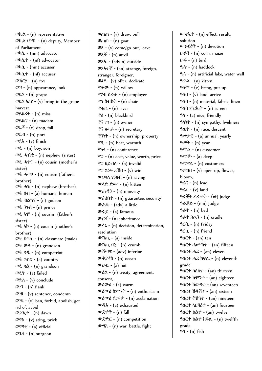ወኪል - (n) representative ወኪል ህዝቢ - (n) deputy, Member of Parliament ወካሊ - (nm) advocator ወካሊት - (nf) advocator ወካሲ - (nm) accuser ወካሲት - (nf) accuser ወኻርያ - (n) fox ወዝ - (n) appearance, look ወይኒ - (n) grape ወይኒ ኣረየ - (v) bring in the grape harvest ወይዘሪት - (n) miss ወይዘሮ - (n) madam ወደቐ - (v) drop, fall ወደብ - (n) port ወደአ - (v) finish  $\mathcal{P}_k$  - (n) boy, son ወዲ ሓብቲ - (n) nephew (sister) ወዲ ሓትኖ - (n) cousin (mother's sister) ወዲ ሓወቦ - (n) cousin (father's brother) ወዲ ሓዊ - (n) nephew (brother) ወዲ ሰብ - (a) humane, human ወዲ ብልግና - (n) godson ወዲ ንጉስ - (n) prince ወዲ ኣሞ - (n) cousin (father's sister) ወዲ ኣኮ - (n) cousin (mother's brother) ወዲ ክፍሊ - (n) classmate (male)  $\omega_{\mathcal{L}} \omega_{\mathcal{L}}$  - (n) grandson ወዲ ዓዲ - (n) compatriot ወዲ ገጠር - (a) country ወዲ ጓል - (n) grandson ወዲቐ - (a) failed ወድአ - (v) conclude  $\omega_1$  - (n) flank ወገዘ - (v) sentence, condemn  $\omega_1$ 2 - (v) ban, forbid, abolish, get rid of, avoid ወጋሕታ - (n) dawn ወግአ - (v) sting, prick ወግዓዊ - (a) official ወጔሳ - (n) surgeon

 $\mathcal{D}(\mathcal{D})$  - (v) draw, pull  $\mathcal{D}(\mathfrak{m}) - (\mathfrak{n})$  goat  $\omega_8$  - (v) come/go out, leave ወጸቓ - (n) anvil ወጻኢ - (adv n) outside ወጻእተኛ - (an) strange, foreign, stranger, foreigner, ወፈየ - (v) offer, dedicate ዊሎው - (n) willow ዋሃብ ስራሕ - (n) employer ዋላ ስብከት - (n) chair ዋሕዚ - (n) river ዋሪ - (n) blackbird ዋና ገዛ - (n) owner ዋና ጸሓፊ - (n) secretary ዋንነት - (n) ownership, property ዋዒ - (n) heat, warmth ዋዕላ - (n) conference ዋጋ - (n) cost, value, worth, price ዋጋ ዘይብሉ - (a) invalid ዋጋ ጻዕሩ ረኸበ - (v) win ውህላለ ገንዘብ - (n) saving ውላድ ድሙ - (n) kitten ውሑዳን - (n) minority ውሕስነት - (n) guarantee, security ውሕድ - (adv) a little ውሩይ - (a) famous ውርሻ - (n) inheritance ውሳኔ - (n) decision, determination, resolution ውሽጢ - (a) inside ውሽጢ ባኒ - (n) crumb ውሽጣዊ - (adv) inferior ውቅያኖስ - (n) ocean ውዑይ - (a) hot ውዕል - (n) treaty, agreement, consent, ውዕውዕ - (a) warm ውዕውዕ ስምዒት - (n) enthusiasm ውዕውዕ ደገፍታ - (n) acclamation ውዲእ - (a) exhausted ውድቀት - (n) fall ውድድር - (n) competition ውግእ - (n) war, battle, fight

ውጽኢት - (n) effect, result, solution ውፉይነት - (n) devotion ዑፉን - (n) corn, maize ዑፍ - (n) bird ዒሉ - (n) haddock ዒላ - (n) artificial lake, water well ዒዋል - (n) kitten ዓለመ - (v) bring, put up ዓለበ - (v) land, arrive ዓለባ - (n) material, fabric, linen ዓለባ ምርኢት - (n) screen ዓላ - (a) nice, friendly ዓላነት - (n) sympathy, liveliness ዓሌት - (n) race, descent ዓመታዊ - (a) annual, yearly ዓመት - (n) year ዓሚል - (n) customer ዓሚቝ - (a) deep ዓማዊል - (n) customers ዓምበበ - (v) open up, flower, bloom, ዓረር - (n) lead ዓረፈ - (v) land ዓራቒት ፈራዲት - (nf) judge ዓራቓይ - (nm) judge ዓራት - (n) bed ዓራት ሕጻን - (n) cradle ዓርቢ - (n) Friday ዓርኪ - (n) friend ዓሰርተ - (an) ten ዓሰርተ ሓሙሽተ - (an) fifteen ዓሰርተ ሓደ - (an) eleven ዓሰርተ ሓደ ክፍሊ - (n) eleventh grade ዓሰርተ ሰለስተ - (an) thirteen ዓሰርተ ሸሞንተ - (an) eighteen ዓሰርተ ሸውዓተ - (an) seventeen ዓሰርተ ሽዱሽተ - (an) sixteen ዓሰርተ ትሽዓተ - (an) nineteen ዓሰርተ ኣርባዕተ - (an) fourteen ዓሰርተ ክልተ - (an) twelve ዓሰርተ ክልተ ክፍሊ - (n) twelfth grade ዓሳ - (n) fish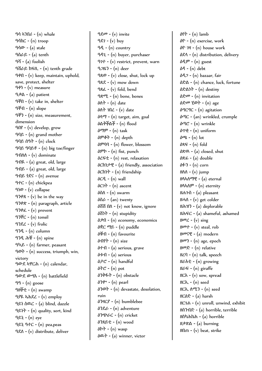ዓሳ ኣንበሪ - (n) whale ዓሳክር - (n) troop ዓሳው - (a) stale ዓስራይ - (a) tenth ዓሻ - (a) foolish ዓሽራይ ክፍሊ - (n) tenth grade ዓቀበ - (v) keep, maintain, uphold, save, protect, shelter ዓቀነ - (v) measure ዓቃል - (a) patient ዓቐበ - (v) take in, shelter ዓቐብ - (n) slope ዓቐን - (n) size, measurement, dimension ዓበየ - (v) develop, grow ዓባይ - (n) grand mother ዓባይ ሰዓት - (n) clock ዓባይ ዓባይቶ - (n) big toe/finger ዓብለለ - (v) dominate ዓብዪ - (a) great, old, large ዓብይ - (a) great, old, large ዓብይ ጎደና - (n) avenue ዓተር - (n) chickpea ዓነወ - (v) collapse ዓንቀጸ - (v) be in the way ዓንቀጽ - (n) paragraph, article ዓንቀፈ - (v) prevent ዓንቐር - (n) tonsil ዓንደረ - (v) frolic ዓንዲ - (n) column ዓንዲ ሕቔ - (n) spine ዓኳይ - (n) farmer, peasant ዓወት - (n) success, triumph, win, victory ዓውደ ኣዋርሕ - (n) calendar, schedule ዓውደ ውግእ - (n) battlefield  $99 - (n)$  goose ዓዘቕቲ - (n) swamp ዓያዪ ኣሕደረ - (v) employ ዓይነ ስዉር - (a) blind, dazzle ዓይነት - (n) quality, sort, kind ዓይኒ - (n) eye ዓይኒ ዓተር - (n) pea,peas ዓደለ - (v) distribute, deliver

ዓደመ - (v) invite ዓደገ - (v) buy ዓዲ - (n) country ዓዳጊ - (n) buyer, purchaser  $97t - (v)$  restrict, prevent, warn ዓጋዜን - (n) deer  $980 - (v)$  close, shut, lock up ዓጸደ - (v) mow down ዓጸፈ - (v) fold, bend ዓጽሚ - (n) bone, bones ዕለት - (n) date ዕለት ገበረ - (v) date ዕላማ - (n) target, aim, goal  $b$ ልቅቐልኞ -  $(n)$  flood ዕማም - (n) task ዕምቆት - (n) depth ዕምባባ - (n) flower, blossom ዕምኮ - (n) fist, punch ዕረፍቲ - (n) rest, relaxation ዕርክነታዊ - (a) friendly, association ዕርክነት - (n) friendship  $\partial C_1$  - (n) wall ዕርገት - (n) ascent ዕስለ - (n) swarm ዕስራ - (an) twenty ዕሽሽ በለ - (v) not know, ignore ዕሽነት - (n) stupidity ዕቃበ - (n) economy, economics ዕቋር ማይ - (n) puddle ዕቑብ - (n) favourite ዕብየት - (n) size  $b$ <sup>+</sup> $n$  - (a) serious, grave ዕቱብ - (a) serious ዕታሮ - (n) handful ዕትሮ - (n) pot ዕንቅፋት - (n) obstacle ዕንቍ - (n) pearl ዕንወት - (n) devastate, desolation, ruin ዕንዛርያ - (n) bumblebee ዕንደራ - (n) adventure ዕንጭራር - (n) cricket ዕንጸይቲ - (n) wood ዕኮት - (n) wasp ዕዉት - (a) winner, victor

ዕየት - (n) lamb ዕዮ - (n) exercise, work ዕዮ ገዛ - (n) house work ዕደላ - (n) distribution, delivery ዕዲም - (n) guest  $b^2 - (n)$  debt  $\phi$ ዳ $\varphi$  - (n) bazaar, fair ዕድል - (n) chance, luck, fortune ዕድልነት - (n) destiny  $\delta \mathcal{R}^{\mathcal{P}}$  - (n) invitation ዕድመ ሂወት - (n) age ዕግርግር - (n) agitation ዕጣር - (an) wrinkled, crumple ዕጣሮ - (n) wrinkle ዕጥቂ - (n) uniform ዕጫ - (n) lot ዕጻፍ - (n) fold  $\partial \mathcal{R}^{\mathcal{D}}$  - (a) closed, shut ዕጽፊ - (a) double  $\phi_{2}^{2}$  - (n) corn ዘለለ - (v) jump ዘላኣለማዊ - (a) eternal ዘላኣለም - (n) eternity ዘሐጉስ - (a) pleasant ዘሓለ - (v) get colder ዘሕዝን - (a) deplorable ዘሕፍር - (a) shameful, ashamed Hav $\mathcal{C}$  - (v) sing ዘመተ - (v) steal, rob ዘመናዊ - (a) modern  $H^{op}$ ? - (n) age, epoch ዘመድ - (n) relative ዘረባ - (n) talk, speech ዘራእቲ - (n) growing ዘራፍ - (n) giraffe  $HCA - (v)$  sow, spread ዘርኢ - (n) seed ዘርኢ ለሚን - (n) seed ዘርዕድ - (a) harsh  $H C<sub>1</sub>A - (v)$  unroll, unwind, exhibit ዘሰንብድ - (a) horrible, terrible ዘስካሕክሕ - (a) horrible ዘቃጽል - (a) burning ዘበጠ - (v) beat, strike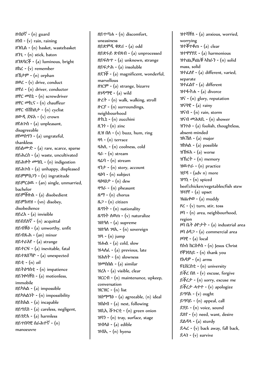ዘብዐኛ - (n) guard ዘነበ - (v) rain, raining ዘንቢል - (n) basket, wastebasket ዘንጊ - (n) stick, baton ዘንጸባርቕ - (a) luminous, bright ዘከረ - (v) remember ዘኸታም - (n) orphan ዘወረ - (v) drive, conduct ዘዋሪ - (n) driver, conductor ዘዋር መስኒ - (n) screwdriver ዘዋር መኪና - (n) chauffeur ዘዋር ብሽክለታ - (n) cyclist ዘውዲ ደፍአ - (v) crown ዘየሐጉስ - (a) unpleasant, disagreeable ዘየመስግን - (a) ungrateful, thankless ዘይልሙድ - (a) rare, scarce, sparse ዘይሕረስ - (a) waste, uncultivated ዘይሕቀት መግቢ - (n) indigestion ዘይሕጉስ - (a) unhappy, displeased ዘይምምስጋን - (n) ingratitude ዘይምርዕዉ - (an) single, unmarried, bachelor ዘይምቕሉል - (a) disobedient ዘይምእዛዝ - (vn) disobey, disobedience ዘይረአ - (a) invisible ዘይበደለኛ - (n) acquittal ዘይብቑዕ - (a) unworthy, unfit ዘይብጹሕ - (an) minor ዘይተራእየ - (a) strange ዘይተርፍ - (a) inevitable, fatal ዘይተጸበኻዮ - (a) unexpected ዘይቲ - (n) oil ዘይትዕግስቲ - (n) impatience ዘይንቀሳቐስ - (a) motionless, immobile ዘይካኣል - (a) impossible ዘይካኣልነት - (n) impossibility ዘይክእል - (a) incapable ዘይግደስ - (a) careless, negligent, ዘይጎድእ - (a) harmless ዘይጥበባዊ ሰራሕተኛ - (n) manoeuvre

ዘይጥጣሐ - (n) discomfort, uneasiness ዘይጽምዲ ቁጽሪ - (a) odd ዘይጽሩይ ጽብጻብ - (a) unprocessed ዘይፍሉጥ - (a) unknown, strange ዘይፍታሕ - (a) insoluble ዘደንቕ - (a) magnificent, wonderful, marvellous ዘገርም - (a) strange, bizarre ዘገዳማዊ - (a) wild ዙረት - (n) walk, walking, stroll ዙርያ - (n) surroundings, neighbourhood ዙኪኒ - (n) zucchini ዚንጎ - (n) zinc ዚዝ በለ - (v) buzz, hum, ring ዛላ - (n) terrace ዛሕሊ - (n) coolness, cold ዛራ - (n) stream ዛሬባ - (n) stream ዛንታ - (n) story, account ዛዕባ - (n) subject ዛዕዛዕታ - (n) dew ዛግራ - (n) pheasant ዜማ - (n) chorus ዜጋ - (n) citizen ዜግነት - (n) nationality ዜግነት ለወጠ - (v) naturalize ዝለዓለ - (a) supreme ዝለዓለ ገዛኢ - (n) sovereign ዝላ - (n) jump ዝሑል - (a) cold, slow ዝሓለፈ - (a) previous, late ዝሕለት - (n) slowness ዝመስሰል - (a) similar ዝረአ - (a) visible, clear ዝርርብ - (n) maintenance, upkeep, conversation ዝርዝር - (n) list ዝሰማማዕ - (a) agreeable, (n) ideal ዝስዕብ - (a) next, following ዝቢኢ ሹጉርቲ - (n) green onion ዝባን - (n) tray, surface, stage ዝብላዕ - (a) edible ዝብኢ - (n) hyena

ዝተሻቐለ - (a) anxious, worried, worrying ዝተቖጥቆጠ - (a) clear ዝተዋሃሃደ - (a) harmonious ዝተጨቓጨቑ ኣክራን - (n) solid mass, solid ዝተፈለየ - (a) different, varied, separate ዝተፈልየ - (a) different ዝተፋትሐ - (a) divorce ዝና - (n) glory, reputation ዝናባዊ - (a) rainy ዝናብ - (n) rain, storm ዝናብ መሕጸቢ - (n) shower ዝንጉዕ - (a) foolish, thoughtless, absent-minded ዝኣኸለ - (a) major ዝከኣል - (a) possible ዝኸፍአ - (a) worse ዝኽረት - (n) memory ዝዉተራ - (n) practice ዝያዳ - (adv n) more ዝግኒ - (n) spiced beef/chicken/vegetables/fish stew ዝጓሃየ - (a) upset ዝጨቀወ - (a) muddy  $HZ - (v)$  turn, stir, toss ዞባ - (n) area, neighbourhood, region ዞባ ቤት ዕዮታት - (a) industrial area ዞባ ዕዳጋ - (a) commercial area ዞባዊ - (a) local የሱስ ክርስቶስ - (n) Jesus Christ የቐንየለይ - (n) thank you የእዳዎ - (n) arms ዩኒቨርስቲ - (n) university ይቕረ በለ - (v) excuse, forgive ይቕረታ - (n) sorry, excuse me ይቕረታ ሓተተ - (v) apologize ይግባእ - (v) ought ይግባይ - (n) appeal, call ደሃይ - (n) voice, sound ደለየ - (v) need, want, desire ደልዳላ - (a) sturdy ደሓረ - (v) back away, fall back, ደሓነ - (v) survive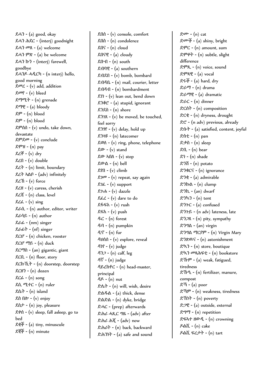ደሓን - (a) good, okay ደሓን ሕደር - (interj) goodnight ደሓን መጸ - (a) welcome ደሓን ምጽ - (a) be welcome ደሓን ኩን - (interj) farewell, goodbye ደሓንዶ ሓዲርካ - (n interj) hello, good morning ደመረ -  $(v)$  add, addition ደመየ - (v) bleed ደማሚት - (n) grenade ደማዊ - (a) bloody ደም - (n) blood ደም - (n) blood ደምሰሰ - (v) undo, take down, devastate ደምደመ - (v) conclude ደሞዝ - (n) pay ደረቐ - (v) dry ደረበ - (v) double ደረት - (n) limit, boundary ደረት ኣልቦ - (adv) infinitely ደረኸ - (v) force ደረዘ - (v) caress, cherish ደረጃ - (n) class, level ደረፈ - (v) sing ደራሲ - (n) author, editor, writer ደራሳይ - (n) author ደራፊ - (nm) singer ደራፊት - (nf) singer ደርሆ - (n) chicken, rooster ደርሆ ማይ - (n) duck ደርማስ - (an) gigantic, giant ደርቢ - (n) floor, story ደርኩኺት - (n) doorstep, doorstep ደርዘን - (n) dozen ደርፊ - (n) song ደሲ ሚተር - (n) ruler ደሴት - (n) island ደስ በሎ - (v) enjoy ደስታ - (n) joy, pleasure ደቀሰ - (v) sleep, fall asleep, go to bed ደቂኞ - (a) tiny, minuscule ደቒቕ - (n) minute

ደበሰ - (v) console, comfort ደበስ - (n) condolence ደበና - (n) cloud ደበናዊ - (a) cloudy ደቡብ - (n) south ደብባዊ - (a) southern ደብደበ - (v) bomb, bombard ደብዳቤ - (n) mail, courier, letter ደብዳብ - (n) bombardment ደነነ - (v) lean out, bend down ደንቆሮ - (a) stupid, ignorant ደንደስ - (n) shore ደንገጸ - (v) be moved, be touched, feel sorry ደንጎየ - (v) delay, hold up ደንጓዩ - (n) latecomer ደወለ - (v) ring, phone, telephone ደው - (v) stand ደው ኣበለ - (v) stop ደውል - (n) bell ደየበ - (v) climb  $R_1$  $\sigma$  - (v) repeat, say again  $R_1Z - (v)$  support ደጉሐ - (v) dazzle ደፈረ - (v) dare to do ደፋፍአ - (v) rush ደፍአ - (v) push ዱር - (n) forest ዱባ - (n) pumpkin ዲኖ - (n) fur ዳህሰሰ - (v) explore, reveal ዳነየ - (v) judge ዳንጋ - (n) calf, leg ዳኛ - (n) judge ዳይረክቶር - (n) head-master, principal ዳዶ - (n) nut ድሌት - (n) will, wish, desire ድልዱል - (a) thick, dense ድልድል - (n) dyke, bridge ድሓር - (prep) afterwards ድሕሪ ሓጺር ግዜ - (adv) after ድሕሪ ሕጂ - (adv) now ድሕሪት - (n) back, backward ድሕንነት - (a) safe and sound

ድሙ - (n) cat ድሙኞ - (a) shiny, bright ድምር - (n) amount, sum ድምቀት - (n) subtle, slight difference ድምጺ - (n) voice, sound ድምጻዊ - (a) vocal ድሩቕ - (a) hard, dry ድራማ - (n) drama ድራማዊ - (a) dramatic ድራር - (n) dinner ድርሰት - (n) composition ድርቂ - (n) dryness, drought ድሮ - (n adv) previous, already ድሱት - (a) satisfied, content, joyful ድስቲ - (n) pan ድቃስ - (n) sleep ድቢ - (n) bear ድነ - (n) shade ድንሽ - (n) potato ድንቁርና - (n) ignorance ድንቂ - (a) admirable ድንኩል - (n) clump ድንኪ - (an) dwarf ድንኳን - (n) tent ድንጉር - (a) confused ድንጉይ - (n adv) lateness, late ድንጋጸ - (n) pity, sympathy ድንግል - (an) virgin ድንግል ማርያም - (n) Virgin Mary ድንጽዉና - (n) astonishment ድኳን - (n) store, boutique ድኳን መጻሕፍቲ - (n) bookstore ድኹም - (a) weak, fatigued, tiredness ድኹዒ - (n) fertilizer, manure, compost ድኻ - (a) poor ድኻም - (n) weakness, tiredness ድኽነት - (n) poverty ድጋዊ - (a) outside, external ድግማ - (n) repetition ድፍኣተ ዘውዲ - (n) crowning ዶልሺ - (n) cake ዶልሺ ፍረታት - (n) tart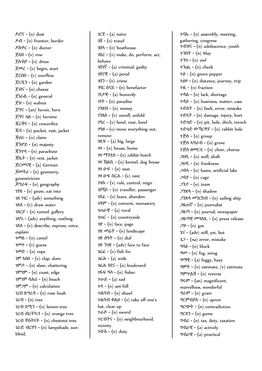ዶሮና - (n) dust ዶብ - (n) frontier, border ዶክቶር - (n) doctor ጀለበ - (v) row ጀለብያ - (n) dress  $\overline{\mathcal{K}}$   $\sigma$   $\sigma$   $\mathcal{K}$  - (v) begin, start ጀርበበ - (v) overflow ጀርዲን - (n) garden ጀብና - (n) cheese ጀነራል - (n) general ጀዝ - (n) walnut ጀግና - (an) heroic, hero ጀግና ጓል - (n) heroine ጁርቅና - (n) cowardice ጁባ - (n) pocket, vest, jacket ጃህራ - (n) claim ጃንሆይ - (n) majesty ጃንጥላ - (n) parachute ጃኬት - (n) vest, jacket ጅርመናዊ - (a) German ጆመትሪ - (n) geometry, geometrician ጆግራፍ - (n) geography  $778 - (v)$  gnaw, eat into ገለ ነገር - (adv) something ገለለ - (v) draw water ገለርያ - (n) tunnel, gallery ገለኳ - (adv) anything, nothing  $7\Lambda$ 8 - (v) describe, express, voice, explain  $70\%$  - (n) camel  $7<sup>CD</sup>$ ተ - (v) guess ገመድ - (n) rope ገም ኣበለ - (v) clap, slam  $79^{\circ}$ ታ - (n) slam, chattering  $79^{\rm p}79^{\rm p}$  - (n) coast, edge ገምገም ባሕሪ - (n) beach ገምጋም - (n) calculation ገረበ ጽግረዳ - (n) rose bush ገረብ - (n) tree ገረብ ለሚን - (n) lemon-tree ገረብ ብርትኳን - (n) orange tree ገረብ ቸስትናት - (n) chestnut-tree ገራድ ብርሃን - (n) lampshade, sunblind,

 $7CZ - (a)$  naive  $7\tilde{0}$  - (v) travel ገበላ - (n) boathouse ገበረ - (v) make, do, perform, act, behave ገበነኛ - (a) criminal, guilty ገበናዊ - (a) penal ገበን - (n) crime ገባር ሰናይ - (n) benefactor ገነታዊ - (a) heavenly ገነት - (n) paradise  $7$ ንዘ $\Omega$  -  $(n)$  money  $728$  $\Lambda$  - (v) unroll, unfold  $79\angle$  - (v) howl, roar, bawl  $79$ H - (v) move everything out, remove ገዚፍ - (a) big, large  $7H - (n)$  house, home ገዛ ማንቲለ - (n) rabbit hutch ገዛ ኸልቢ - (n) kennel, dog house ገዛ ዑፍ - (n) nest ገዛ ዑፍ ሰርሐ - (v) nest  $7Hh - (v)$  rule, control, reign ገያሻይ - (n) traveller, passenger  $7.26 - (v)$  leave, abandon  $7\mathcal{A}\mathcal{P}$  - (n) convent, monastery ገጠራዊ - (a) rural ገጠር - (n) countryside  $7R - (n)$  face, page ገጽ መሬት - (n) landscape ገጽ ሰዓት - (n) dial ገጽ ንገጽ - (adv) face to face  $766 - (v)$  fish for ገፊሕ - (a) wide ገፊሕ ጎደና - (n) boulevard ገፋፍ ዓሳ - (n) fisher ጉሁይ - (a) sad ጉላ - (n) ant-hill ጉልባብ - (n) shawl ጉልባብ ቀልዐ - (v) take off one's hat, clear up ጉራዶ - (n) sword ጉርብትና - (n) neighbourhood, vicinity ጉቡእ - (n) duty

ጉባኤ - (n) assembly, meeting, gathering, congress ጉብዝና - (n) adolescence, youth ጉንበት - (n) May  $r^2$ ? - (n) owl ጉንጪ - (n) cheek  $\mathcal{P}\phi$  - (n) green pepper ጉዕዞ - (n) distance, journey, trip  $P$ H<sub>k</sub> - (n) fraction ጉዳል - (n) lack, shortage ጉዳይ - (n) business, matter, case ጉድለት - (n) fault, error, mistake ጉድኣት - (n) damage, injury, hurt ጉድጓድ - (n) pit, hole, ditch, trench ጉድጓድ ውኻርዋያ - (n) rabbit hole ጉጅለ - (n) group ጉጅለ ኣግራብ - (n) grove ጉጅለ ዘመርቲ - (n) choir, chorus ጋህሲ - (n) well, shaft ጋህዲ - (n) frankness ጋብላ - (n) basin, artificial lake ጋብያ - (n) cage ጋንታ - (n) team ጋንጽላ - (n) shadow ጋንጽላ መንርከብ - (n) sailing ship ጋዜጠኛ - (n) journalist ጋዜጣ - (n) journal, newspaper ጋዜጣዊ መግለጺ - (n) press release ጋዝ - (n) gas  $25 - (adv)$  still, yet, but  $22 - (na)$  error, mistake ግላዕ - (n) block  $q\sigma$  - (n) fog, smog ግማዊ - (a) foggy, hazy ግምት - (n) estimate, (v) estimate ግምጥልሽ - (n) reverse ግሩም - (an) magnificent, marvellous, wonderful ግራም - (n) gram ግርምብያለ - (n) apron ግርጭት - (n) contradiction ግርጻን - (n) gums ግብሪ - (n) tax, duty, taxation ግብራዊ - (a) actively ግብራዊ - (a) practical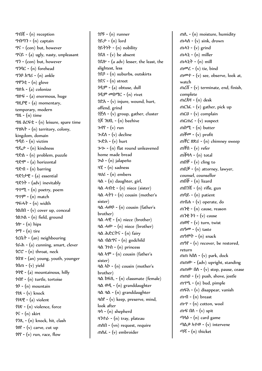ግብጃ - (n) reception ግብጣን - (n) captain ግና - (con) but, however ግናይ - (a) ugly, nasty, unpleasant ግን - (con) but, however ግንባር - (n) forehead ግንቦ እግሪ - (n) ankle ግዋንቲ - (n) glove ግዙእ - (a) colonize ግዙፍ - (a) enormous, huge ግዚያዊ - (a) momentary, temporary, modern ግዜ - (n) time ግዜ ዕረፍቲ - (n) leisure, spare time ግዝኣት - (n) territory, colony, kingdom, domain ግዳይ - (n) victim ግዴታ - (n) kindness ግድል - (n) problem, puzzle ግድሞ - (a) horizontal ግድብ - (n) barring ግድነታዊ - (a) essential ግድነት - (adv) inevitably ግጥሚ - (n) poetry, poem ግጥም - (n) match ግፍሓት - (n) width ጎልበበ - (v) cover up, conceal ጎልጉል - (n) field, ground ጎሎ - (n) hips ጎማ - (n) tire ጎረቤት - (an) neighbouring  $\partial \phi$  - (a) cunning, smart, clever  $\partial \mathcal{C} \mathcal{C}$  - (n) throat, neck ጎበዝ - (an) young, youth, younger ጎበጠ - (v) yield ጎባዊ - (a) mountainous, hilly ጎብየ - (n) turtle, tortoise ጎቦ - (n) mountain ጎነጸ - (v) knock ጎነጻዊ - (a) violent ጎነጽ - (n) violence, force  $\gamma$ <sup> $\zeta$ </sup> - (n) skirt ጎንጺ - (n) knock, hit, clash ጎዘየ - (v) carve, cut up ጎየየ - (v) run, race, flow

ጎያዩ - (n) runner ጎይታ - (n) lord ጎይትነት - (n) nobility ጎደለ - (v) be absent ጎደሎ - (a adv) lesser, the least, the slightest, less ጎደቦ - (n) suburbs, outskirts ጎደና - (n) street ጎዲም - (a) obtuse, dull ጎዲም መስማር - (n) rivet ጎድአ - (v) injure, wound, hurt, offend, grind ጎጅለ - (v) group, gather, cluster ጎጆ ንህቢ - (n) beehive ጐየየ - (v) run ጐደለ - (v) decline ጐድአ - (v) hurt  $P^{\bullet}$  - (n) flat round unleavened home made bread  $P\phi$  - (n) jalapeño  $3\ell$  - (n) sadness ጓህሪ - (n) embers ጓል - (n) daughter, girl, ጓል ሓብቲ - (n) niece (sister) ጓል ሓትነ - (n) cousin (mother's sister) ጓል ሓወቦ - (n) cousin (father's brother) ጓል ሓዊ - (n) niece (brother) ጓል ሓው - (n) niece (brother) ጓል ሕድርትና - (n) fairy ጓል ብልግና - (n) godchild ጓል ንጉስ - (n) princess ጓል ኣሞ - (n) cousin (father's sister) ጓል ኣኮ - (n) cousin (mother's brother) ጓል ክፍሊ - (n) classmate (female) ጓል ወዲ - (n) granddaughter ጓል ጓል - (n) granddaughter ጓሰየ - (v) keep, preserve, mind, look after ጓሳ - (n) shepherd ጓንተራ - (n) tray, plateau ጠለበ - (vn) request, require ጠለፈ - (v) embroider

ጠሊ - (n) moisture, humidity ጠሓለ - (v) sink, drown ጠሓነ - (v) grind ጠሓኒ - (n) miller ጠሓኒት - (n) mill  $m\omega$  - (v) tie, bind  $\theta$   $\theta$   $\theta$  + - (v) see, observe, look at, watch ጠረሸ - (v) terminate, end, finish, complete ጠረጰዛ - (n) desk ጠርነፈ - (v) gather, pick up  $nCQ - (v)$  complain ጠርጠረ - (v) suspect ጠስሚ - (n) butter ጠቐመ - (v) profit ጠቐር ዘጽሪ - (n) chimney sweep ጠቐሰ - (v) refer ጠቕላላ - (n) total ጠበቐ - (v) cling to ጠበቓ - (n) attorney, lawyer, counsel, counsellor ጠበቕ - (n) lizard ጠበንጃ - (n) rifle, gun ጠባይ - (n) patient ጠብሐ - (v) operate, do ጠንቂ - (n) cause, reason ጠንቂ ኮነ - (v) cause ጠወየ - (v) turn, twist ጠዓመ - (v) taste ጠዓሞት - (n) snack ጠዓየ - (v) recover, be restored, return ጠጠ ኣበለ - (v) park, dock ጠጠው - (adv) upright, standing ጠጠው በለ - (v) stop, pause, cease  $\ln 10 - (v)$  push, shove, jostle ጠጥዒ - (n) bud, pimple ጠፍአ - (v) disappear, vanish ጡብ - (n) breast ጡጥ - (n) cotton, wool ጡፍ በለ - (v) spit ጣላዕ - (n) card game ጣልቃ ኣተወ - (v) intervene ጣሻ - (n) thicket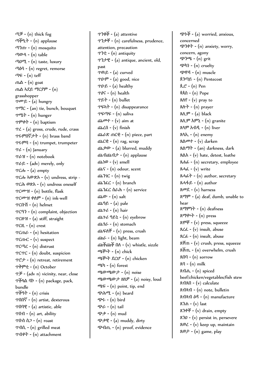ጣቓ - (n) thick fog ጣቕዒት - (n) applause ጣንጡ - (n) mosquito ጣውላ - (n) table ጣዐሚ - (n) taste, luxury ጣዕሳ - (n) regret, remorse ጣፍ - (n) teff ጤል - (n) goat ጤል ኣደይ ማርያም - (n) grasshopper ጥሙይ - (a) hungry ጥማር - (an) tie, bunch, bouquet ጥሜት - (n) hunger ጥምቀት - (n) baptism ጥረ - (a) gross, crude, rude, crass ጥሩምበኛታት - (n) brass band ጥሩምባ - (n) trumpet, trumpeter  $T\delta$  - (n) January ጥራዝ - (n) notebook ጥራይ - (adv) merely, only  $TC_{\mathbf{d}}$  - (a) empty ጥርሑ ኣውጽኦ - (v) undress, strip - ጥርሕ ወጽአ - (v) undress oneself ጥርሙዝ - (n) bottle, flask ጥርሙዝ ቀለም - (n) ink-well ጥርቡሽ - (n) helmet ጥርዓን - (n) complaint, objection ጥርዙዝ - (a) stiff, straight ጥርዚ - (n) crest ጥርጠራ - (n) hesitation ጥርጡር - (v) suspect ጥርጣረ - (n) distrust ጥርጥር - (n) doubt, suspicion ጥሮታ - (n) retreat, retirement ጥቅምቲ - (n) October ጥቓ - (adv n) vicinity, near, close ጥቕላል ባኮ - (n) package, pack, bundle ጥቕዓት - (n) crisis ጥበበኛ - (n) artist, dexterous ጥበባዊ - (a) artistic, able ጥበብ - (n) art, ability ጥቡስ ስጋ - (n) roast ጥብሲ - (n) grilled meat ጥብቀት - (n) attachment

ጥንቁቕ - (a) attentive ጥንቃቐ - (n) carefulness, prudence, attention, precaution ጥንቲ - (n) antiquity ጥንታዊ - (a) antique, ancient, old, past ጥዉይ - (a) curved ጥዑም - (a) good, nice ጥዑይ - (a) healthy ጥዕና - (n) health ጥይት - (n) bullet ጥፍኣት - (n) disappearance ጥፍጣፍ - (n) saliva ጨመተ - (v) aim at ጨረሰ - (v) finish ጨራጽ ጠርቂ - (n) piece, part  $G L Q + (n)$  rag, scrap ጨቃው - (a) blurred, muddy ጨብጨብታ - (n) applause ጨነወ - (v) smell ጨና - (n) odour, scent ጨንገር - (n) twig ጨንፈር - (n) branch ጨንፈር ስራሕ - (n) service ጨው - (n) salt ጨዓይ - (a) pale ጨጉሪ - (n) hair ጨጉሪ ዓይኒ - (n) eyebrow ጨጎራ - (n) stomach ጨፍለቐ - (v) press, crush ጩራ - (n) light, beam ጩቕጩቕ በለ - (v) whistle, sizzle ጫቚት - (n) chick ጫቚት ደርሆ - (n) chicken ጫካ - (n) forest ጫውጫውታ - (n) noise ጫውጫውታ ዘለዎ - (a) noisy, loud ጫፍ - (n) point, tip, end ጭሕሚ - (n) beard ጭሩ - (n) bird ጭራ - (n) tail ጭቃ - (n) mud ጭቃዊ - (a) muddy, dirty ጭብጢ - (n) proof, evidence

ጭኑቕ - (a) worried, anxious, concerned ጭንቀት - (n) anxiety, worry, concern, agony ጭንጫ - (n) grit ጭካነ - (n) cruelty ጭዋዳ - (n) muscle ጰንጣይ - (n) Pentecost ጲሮ - (n) Pen ጳጳስ - (n) Pope ጸለየ - (v) pray to ጸሉት - (n) prayer ጸሊም - (a) black ጸሊም እምኒ - (n) granite ጸላም አብዲ - (n) liver ጸላኢ - (n) enemy ጸልመተ - (v) darken ጸልማት - (an) darkness, dark ጸልአ - (v) hate, detest, loathe ጸሐፊ - (n) secretary, employee ጸሓፈ - (v) write ጸሓፊት - (n) author, secretary ጸሓፋይ - (n) author ጸመደ - (v) harness ጸማም - (a) deaf, dumb, unable to hear ጸማምነት - (n) deafness ጸማቊት - (n) press ጸሞቐ - (v) press, squeeze ጸረፈ - (v) insult, abuse ጸርፊ - (n) insult, abuse ጸቐጠ - (v) crush, press, squeeze ጸቕጢ - (n) overwhelm, crush ጸበባ - (n) sorrow ጸባ - (n) milk ጸብሒ - (n) spiced beef/chicken/vegetables/fish stew ጸብጸበ - (v) calculate ጸብጻብ - (n) note, bulletin ጸብጻብ ዕዳ - (n) manufacture ጸንሐ - (v) last ጸንቀቐ - (v) drain, empty ጸንዐ - (v) persist in, persevere ጸወረ - (v) keep up, maintain ጸወታ - (n) game, play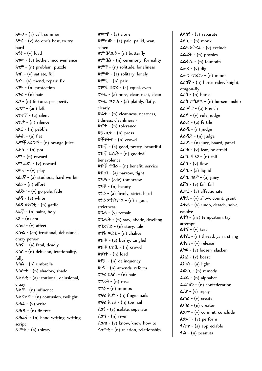$R$ <sup> $\omega$ </sup> $0$  - (v) call, summon  $89$ <sup>2</sup> - (v) do one's best, to try hard ጸዓነ - (v) load  $87<sup>CD</sup>$  - (v) bother, inconvenience ጸገም - (n) problem, puzzle ጸገበ - (v) satiate, full  $82t - (v)$  mend, repair, fix  $87<sup>o</sup>$  - (n) protection  $8r6 - (n)$  hair  $8.2 - (n)$  fortune, prosperity ጸጋም - (an) left ጸጥተኛ - (a) silent ጸጥታ - (n) silence ጸጸር - (n) pebble ጸፊሕ - (a) flat ጹማቕ አራንቺ - (n) orange juice ጻሕሊ - (n) pot ጻማ - (n) reward ጻማ ፈደየ - (v) reward ጻውቲ - (v) play ጻዕረኛ - (a) studious, hard worker ጻዕሪ - (n) effort ጻዕደወ - (v) go pale, fade ጻዕዳ - (a) white ጻዕዳ ሽጉርቲ - (n) garlic ጻድቕ - (n) saint, holy ጻጸ - (n) ant ጽለወ - (v) affect ጽሉል - (an) irrational, delusional, crazy person ጽሉእ - (a) fatal, deadly ጽላለ - (n) delusion, irrationality, folly ጽላል - (n) umbrella ጽላሎት - (n) shadow, shade ጽልልቲ - (a) irrational, delusional, crazy ጽልዋ - (n) influence ጽልግልግ - (n) confusion, twilight ጽሓፈ - (v) write ጽሕዲ - (n) fir tree ጽሕፈት - (n) hand-writing, writing, script ጽሙእ - (a) thirsty

ጽሙዋ - (a) alone ጽምልው - (a) pale, pallid, wan, ashen ጽምብላሊዕ - (n) butterfly ጽምብል - (n) ceremony, formality ጽምዋ - (n) solitude, loneliness ጽምው - (a) solitary, lonely ጽምዲ - (n) pair ጽምዲ ቁጽሪ - (a) equal, even ጽሩይ - (a) pure, clear, neat, clean ጽሩይ ውጹእ - (a) plainly, flatly, clearly ጽሬት - (n) cleanness, neatness, tidiness, cleanliness - ጽሮት - (n) tolerance ጽቓጢት - (n) press ጽቕጥቅጥ - (n) crowd ጽቡ $\widetilde{\Phi}$  - (a) good, pretty, beautiful ጽቡቕ ድሌት - (n) goodwill, benevolence ጽቡቕ ግብሪ - (n) benefit, service ጽቢብ - (a) narrow, tight ጽባሕ - (adv) tomorrow ጽባቐ - (n) beauty ጽኑዕ - (a) firmly, strict, hard ጽኑዕ ምክትታል - (n) rigour, strictness ጽንሐ - (v) remain ጽንሒት - (n) stay, abode, dwelling ጽንጽዋይ - (n) story, tale ጽዋእ ወይኒ - (n) chalice ጽዑቕ - (a) bushy, tangled ጽዑቕ ህዝቢ - (n) crowd ጽዕነት - (n) load ጽየቓ - (n) delinquency ጽገና - (n) amends, reform ጽጉሪ ርእሲ - (n) hair ጽጌረዳ - (n) rose ጽጌዕ - (n) mumps ጽፍሪ ኢድ - (n) finger nails ጽፍሪ እግሪ - (n) toe nail ፈለየ - (v) isolate, separate ፈለግ - (n) river ፈለጠ - (v) know, know how to ፈለጥቲ - (n) relation, relationship

ፈላለየ - (v) separate ፈላሲ - (n) monk ፈልዩ ኣትረፈ - (v) exclude ፈልደት - (n) physics ፈልፋሊ - (n) fountain ፈሓረ - (v) dig ፈሓር ማዕድን - (n) minor ፈረሰኛ - (n) horse rider, knight, dragon-fly ፈረስ - (n) horse ፈረስ ምስቃል - (n) horsemanship ፈረንሳዊ - (a) French ፈረደ - (v) rule, judge ፈራይ - (a) fertile ፈራዲ - (n) judge ፈራዳይ - (n) judge ፈራዶ - (n) jury, board, panel  $\mathcal{L}\mathcal{L}\mathcal{L}\mathcal{L}$  - (v) fear, be afraid ፈርሲ ዳንጋ - (n) calf ፈሰሰ - (v) flow ፈሳሲ - (a) liquid ፈሳሲ ዘለዎ - (a) juicy ፈሸለ - (v) fail, fail ፈቃር - (a) affectionate ፈቐደ - (v) allow, count, grant  $\measuredangle$ *th* - (v) undo, detach, solve, resolve ፈተነ - (nv) temptation, try, attempt ፈተና - (v) test ፈትሊ - (n) thread, yarn, string ፈትሐ - (v) release ፈነወ - (v) loosen, slacken ፈከረ - (v) boast ፈኲስ - (a) light ፈውሲ - (n) remedy ፈደል - (n) alphabet ፈደረሽን - (n) confederation ፈደየ - (v) repay ፈጠረ - (v) create ፈጣሪ - (n) creator  $\measuredangle$ ጸመ - (v) commit, conclude ፈጽመ - (v) perform ፉሉጥ - (a) appreciable ፉል - (n) peanuts